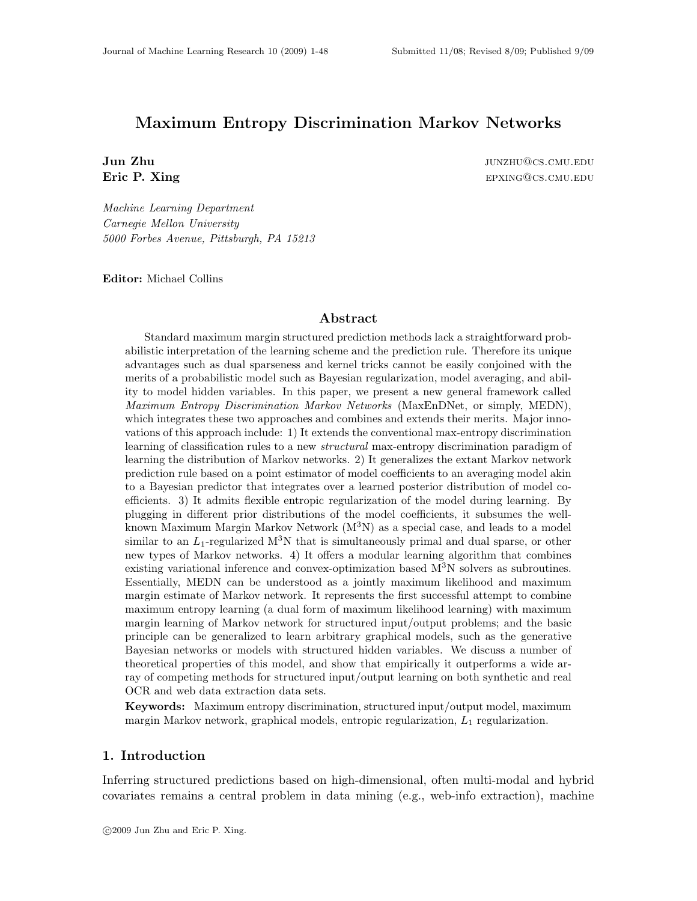## Maximum Entropy Discrimination Markov Networks

**Jun Zhu is a set of the contract of the contract of the contract of the contract of the contract of the contract of the contract of the contract of the contract of the contract of the contract of the contract of the contr** Eric P. Xing epxing episode example by the episode example episode example episode example example example example example example example example example example example example example example example example example exa

*Machine Learning Department Carnegie Mellon University 5000 Forbes Avenue, Pittsburgh, PA 15213*

Editor: Michael Collins

#### Abstract

Standard maximum margin structured prediction methods lack a straightforward probabilistic interpretation of the learning scheme and the prediction rule. Therefore its unique advantages such as dual sparseness and kernel tricks cannot be easily conjoined with the merits of a probabilistic model such as Bayesian regularization, model averaging, and ability to model hidden variables. In this paper, we present a new general framework called *Maximum Entropy Discrimination Markov Networks* (MaxEnDNet, or simply, MEDN), which integrates these two approaches and combines and extends their merits. Major innovations of this approach include: 1) It extends the conventional max-entropy discrimination learning of classification rules to a new *structural* max-entropy discrimination paradigm of learning the distribution of Markov networks. 2) It generalizes the extant Markov network prediction rule based on a point estimator of model coefficients to an averaging model akin to a Bayesian predictor that integrates over a learned posterior distribution of model coefficients. 3) It admits flexible entropic regularization of the model during learning. By plugging in different prior distributions of the model coefficients, it subsumes the wellknown Maximum Margin Markov Network  $(M^3N)$  as a special case, and leads to a model similar to an  $L_1$ -regularized  $M^3N$  that is simultaneously primal and dual sparse, or other new types of Markov networks. 4) It offers a modular learning algorithm that combines existing variational inference and convex-optimization based  $M<sup>3</sup>N$  solvers as subroutines. Essentially, MEDN can be understood as a jointly maximum likelihood and maximum margin estimate of Markov network. It represents the first successful attempt to combine maximum entropy learning (a dual form of maximum likelihood learning) with maximum margin learning of Markov network for structured input/output problems; and the basic principle can be generalized to learn arbitrary graphical models, such as the generative Bayesian networks or models with structured hidden variables. We discuss a number of theoretical properties of this model, and show that empirically it outperforms a wide array of competing methods for structured input/output learning on both synthetic and real OCR and web data extraction data sets.

Keywords: Maximum entropy discrimination, structured input/output model, maximum margin Markov network, graphical models, entropic regularization,  $L_1$  regularization.

## 1. Introduction

Inferring structured predictions based on high-dimensional, often multi-modal and hybrid covariates remains a central problem in data mining (e.g., web-info extraction), machine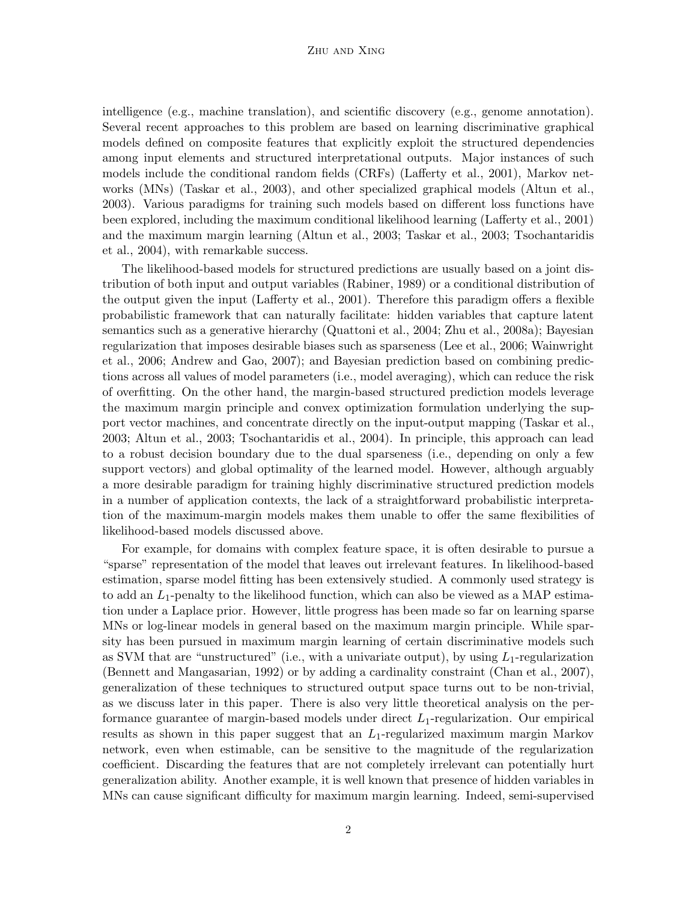#### Zhu and Xing

intelligence (e.g., machine translation), and scientific discovery (e.g., genome annotation). Several recent approaches to this problem are based on learning discriminative graphical models defined on composite features that explicitly exploit the structured dependencies among input elements and structured interpretational outputs. Major instances of such models include the conditional random fields (CRFs) (Lafferty et al., 2001), Markov networks (MNs) (Taskar et al., 2003), and other specialized graphical models (Altun et al., 2003). Various paradigms for training such models based on different loss functions have been explored, including the maximum conditional likelihood learning (Lafferty et al., 2001) and the maximum margin learning (Altun et al., 2003; Taskar et al., 2003; Tsochantaridis et al., 2004), with remarkable success.

The likelihood-based models for structured predictions are usually based on a joint distribution of both input and output variables (Rabiner, 1989) or a conditional distribution of the output given the input (Lafferty et al., 2001). Therefore this paradigm offers a flexible probabilistic framework that can naturally facilitate: hidden variables that capture latent semantics such as a generative hierarchy (Quattoni et al., 2004; Zhu et al., 2008a); Bayesian regularization that imposes desirable biases such as sparseness (Lee et al., 2006; Wainwright et al., 2006; Andrew and Gao, 2007); and Bayesian prediction based on combining predictions across all values of model parameters (i.e., model averaging), which can reduce the risk of overfitting. On the other hand, the margin-based structured prediction models leverage the maximum margin principle and convex optimization formulation underlying the support vector machines, and concentrate directly on the input-output mapping (Taskar et al., 2003; Altun et al., 2003; Tsochantaridis et al., 2004). In principle, this approach can lead to a robust decision boundary due to the dual sparseness (i.e., depending on only a few support vectors) and global optimality of the learned model. However, although arguably a more desirable paradigm for training highly discriminative structured prediction models in a number of application contexts, the lack of a straightforward probabilistic interpretation of the maximum-margin models makes them unable to offer the same flexibilities of likelihood-based models discussed above.

For example, for domains with complex feature space, it is often desirable to pursue a "sparse" representation of the model that leaves out irrelevant features. In likelihood-based estimation, sparse model fitting has been extensively studied. A commonly used strategy is to add an  $L_1$ -penalty to the likelihood function, which can also be viewed as a MAP estimation under a Laplace prior. However, little progress has been made so far on learning sparse MNs or log-linear models in general based on the maximum margin principle. While sparsity has been pursued in maximum margin learning of certain discriminative models such as SVM that are "unstructured" (i.e., with a univariate output), by using  $L_1$ -regularization (Bennett and Mangasarian, 1992) or by adding a cardinality constraint (Chan et al., 2007), generalization of these techniques to structured output space turns out to be non-trivial, as we discuss later in this paper. There is also very little theoretical analysis on the performance guarantee of margin-based models under direct  $L_1$ -regularization. Our empirical results as shown in this paper suggest that an  $L_1$ -regularized maximum margin Markov network, even when estimable, can be sensitive to the magnitude of the regularization coefficient. Discarding the features that are not completely irrelevant can potentially hurt generalization ability. Another example, it is well known that presence of hidden variables in MNs can cause significant difficulty for maximum margin learning. Indeed, semi-supervised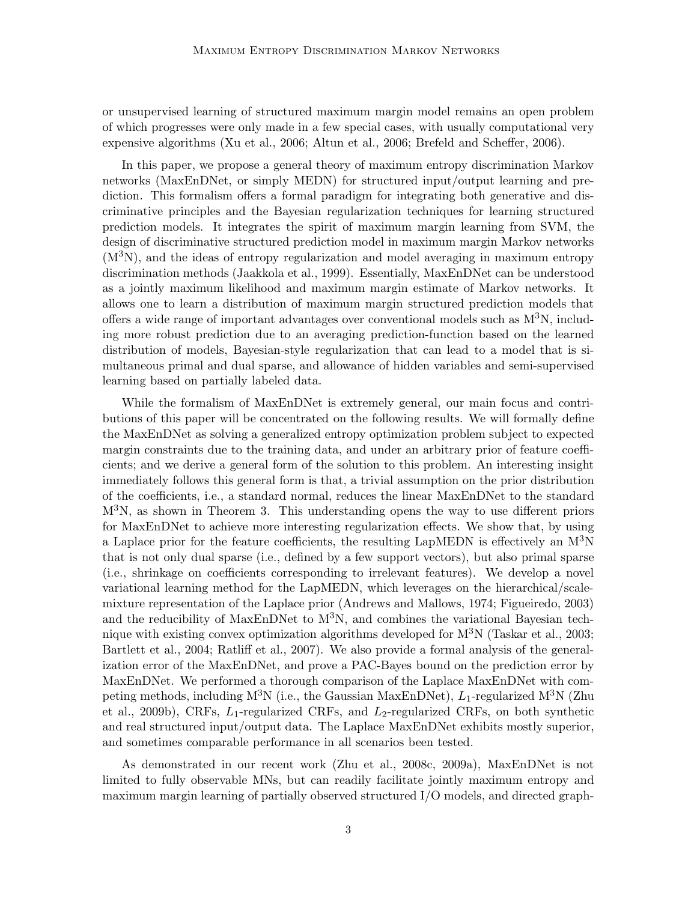or unsupervised learning of structured maximum margin model remains an open problem of which progresses were only made in a few special cases, with usually computational very expensive algorithms (Xu et al., 2006; Altun et al., 2006; Brefeld and Scheffer, 2006).

In this paper, we propose a general theory of maximum entropy discrimination Markov networks (MaxEnDNet, or simply MEDN) for structured input/output learning and prediction. This formalism offers a formal paradigm for integrating both generative and discriminative principles and the Bayesian regularization techniques for learning structured prediction models. It integrates the spirit of maximum margin learning from SVM, the design of discriminative structured prediction model in maximum margin Markov networks  $(M<sup>3</sup>N)$ , and the ideas of entropy regularization and model averaging in maximum entropy discrimination methods (Jaakkola et al., 1999). Essentially, MaxEnDNet can be understood as a jointly maximum likelihood and maximum margin estimate of Markov networks. It allows one to learn a distribution of maximum margin structured prediction models that offers a wide range of important advantages over conventional models such as  $M^{3}N$ , including more robust prediction due to an averaging prediction-function based on the learned distribution of models, Bayesian-style regularization that can lead to a model that is simultaneous primal and dual sparse, and allowance of hidden variables and semi-supervised learning based on partially labeled data.

While the formalism of MaxEnDNet is extremely general, our main focus and contributions of this paper will be concentrated on the following results. We will formally define the MaxEnDNet as solving a generalized entropy optimization problem subject to expected margin constraints due to the training data, and under an arbitrary prior of feature coefficients; and we derive a general form of the solution to this problem. An interesting insight immediately follows this general form is that, a trivial assumption on the prior distribution of the coefficients, i.e., a standard normal, reduces the linear MaxEnDNet to the standard  $M<sup>3</sup>N$ , as shown in Theorem 3. This understanding opens the way to use different priors for MaxEnDNet to achieve more interesting regularization effects. We show that, by using a Laplace prior for the feature coefficients, the resulting LapMEDN is effectively an  $M^{3}N$ that is not only dual sparse (i.e., defined by a few support vectors), but also primal sparse (i.e., shrinkage on coefficients corresponding to irrelevant features). We develop a novel variational learning method for the LapMEDN, which leverages on the hierarchical/scalemixture representation of the Laplace prior (Andrews and Mallows, 1974; Figueiredo, 2003) and the reducibility of MaxEnDNet to  $M^{3}N$ , and combines the variational Bayesian technique with existing convex optimization algorithms developed for  $M<sup>3</sup>N$  (Taskar et al., 2003; Bartlett et al., 2004; Ratliff et al., 2007). We also provide a formal analysis of the generalization error of the MaxEnDNet, and prove a PAC-Bayes bound on the prediction error by MaxEnDNet. We performed a thorough comparison of the Laplace MaxEnDNet with competing methods, including  $M^3N$  (i.e., the Gaussian MaxEnDNet),  $L_1$ -regularized  $M^3N$  (Zhu et al., 2009b), CRFs,  $L_1$ -regularized CRFs, and  $L_2$ -regularized CRFs, on both synthetic and real structured input/output data. The Laplace MaxEnDNet exhibits mostly superior, and sometimes comparable performance in all scenarios been tested.

As demonstrated in our recent work (Zhu et al., 2008c, 2009a), MaxEnDNet is not limited to fully observable MNs, but can readily facilitate jointly maximum entropy and maximum margin learning of partially observed structured I/O models, and directed graph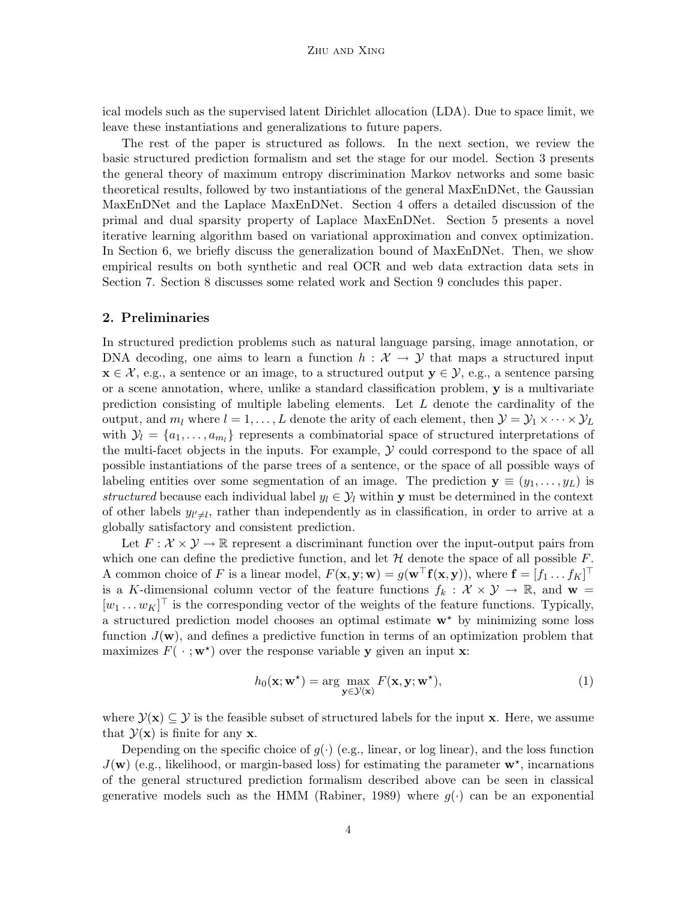ical models such as the supervised latent Dirichlet allocation (LDA). Due to space limit, we leave these instantiations and generalizations to future papers.

The rest of the paper is structured as follows. In the next section, we review the basic structured prediction formalism and set the stage for our model. Section 3 presents the general theory of maximum entropy discrimination Markov networks and some basic theoretical results, followed by two instantiations of the general MaxEnDNet, the Gaussian MaxEnDNet and the Laplace MaxEnDNet. Section 4 offers a detailed discussion of the primal and dual sparsity property of Laplace MaxEnDNet. Section 5 presents a novel iterative learning algorithm based on variational approximation and convex optimization. In Section 6, we briefly discuss the generalization bound of MaxEnDNet. Then, we show empirical results on both synthetic and real OCR and web data extraction data sets in Section 7. Section 8 discusses some related work and Section 9 concludes this paper.

#### 2. Preliminaries

In structured prediction problems such as natural language parsing, image annotation, or DNA decoding, one aims to learn a function  $h : \mathcal{X} \to \mathcal{Y}$  that maps a structured input  $\mathbf{x} \in \mathcal{X}$ , e.g., a sentence or an image, to a structured output  $\mathbf{y} \in \mathcal{Y}$ , e.g., a sentence parsing or a scene annotation, where, unlike a standard classification problem, y is a multivariate prediction consisting of multiple labeling elements. Let  $L$  denote the cardinality of the output, and  $m_l$  where  $l = 1, \ldots, L$  denote the arity of each element, then  $\mathcal{Y} = \mathcal{Y}_1 \times \cdots \times \mathcal{Y}_L$ with  $\mathcal{Y}_l = \{a_1, \ldots, a_{m_l}\}\$  represents a combinatorial space of structured interpretations of the multi-facet objects in the inputs. For example,  $\mathcal Y$  could correspond to the space of all possible instantiations of the parse trees of a sentence, or the space of all possible ways of labeling entities over some segmentation of an image. The prediction  $y \equiv (y_1, \ldots, y_L)$  is *structured* because each individual label  $y_l \in \mathcal{Y}_l$  within y must be determined in the context of other labels  $y_{l' \neq l}$ , rather than independently as in classification, in order to arrive at a globally satisfactory and consistent prediction.

Let  $F: \mathcal{X} \times \mathcal{Y} \to \mathbb{R}$  represent a discriminant function over the input-output pairs from which one can define the predictive function, and let  $\mathcal H$  denote the space of all possible  $F$ . A common choice of F is a linear model,  $F(\mathbf{x}, \mathbf{y}; \mathbf{w}) = g(\mathbf{w} \mathbf{f}(\mathbf{x}, \mathbf{y})),$  where  $\mathbf{f} = [f_1 \dots f_K]^\top$ is a K-dimensional column vector of the feature functions  $f_k : \mathcal{X} \times \mathcal{Y} \to \mathbb{R}$ , and  $\mathbf{w} =$  $[w_1 \dots w_K]$ <sup> $\perp$ </sup> is the corresponding vector of the weights of the feature functions. Typically, a structured prediction model chooses an optimal estimate  $w^*$  by minimizing some loss function  $J(\mathbf{w})$ , and defines a predictive function in terms of an optimization problem that maximizes  $F(\cdot; \mathbf{w}^*)$  over the response variable **y** given an input **x**:

$$
h_0(\mathbf{x}; \mathbf{w}^*) = \arg\max_{\mathbf{y} \in \mathcal{Y}(\mathbf{x})} F(\mathbf{x}, \mathbf{y}; \mathbf{w}^*),\tag{1}
$$

where  $\mathcal{Y}(\mathbf{x}) \subseteq \mathcal{Y}$  is the feasible subset of structured labels for the input x. Here, we assume that  $\mathcal{Y}(\mathbf{x})$  is finite for any **x**.

Depending on the specific choice of  $g(\cdot)$  (e.g., linear, or log linear), and the loss function  $J(\mathbf{w})$  (e.g., likelihood, or margin-based loss) for estimating the parameter  $\mathbf{w}^*$ , incarnations of the general structured prediction formalism described above can be seen in classical generative models such as the HMM (Rabiner, 1989) where  $g(\cdot)$  can be an exponential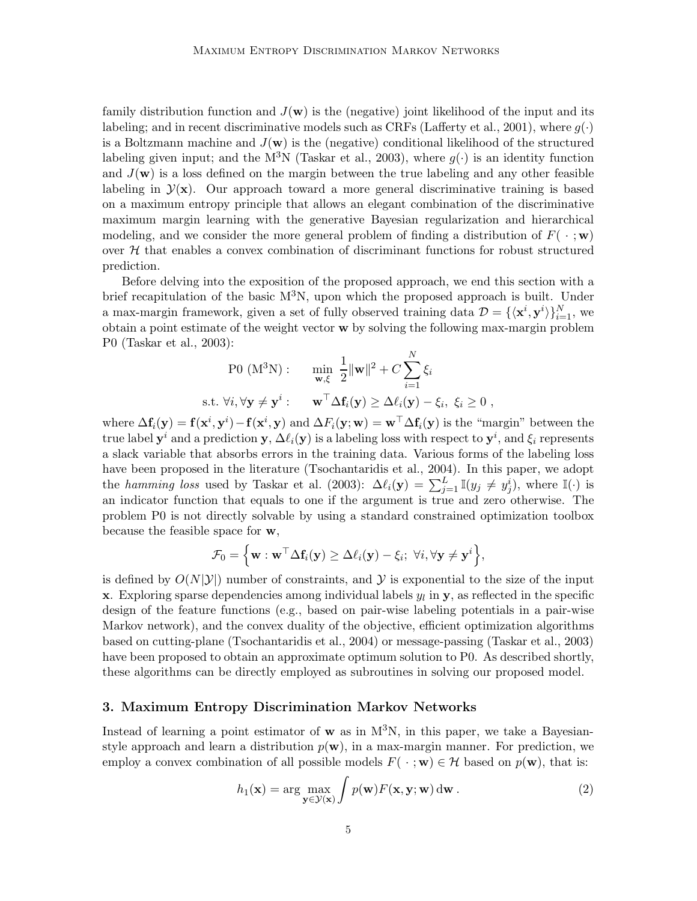family distribution function and  $J(\mathbf{w})$  is the (negative) joint likelihood of the input and its labeling; and in recent discriminative models such as CRFs (Lafferty et al., 2001), where  $g(\cdot)$ is a Boltzmann machine and  $J(\mathbf{w})$  is the (negative) conditional likelihood of the structured labeling given input; and the  $M^{3}N$  (Taskar et al., 2003), where  $q(\cdot)$  is an identity function and  $J(\mathbf{w})$  is a loss defined on the margin between the true labeling and any other feasible labeling in  $\mathcal{Y}(\mathbf{x})$ . Our approach toward a more general discriminative training is based on a maximum entropy principle that allows an elegant combination of the discriminative maximum margin learning with the generative Bayesian regularization and hierarchical modeling, and we consider the more general problem of finding a distribution of  $F(\cdot; \mathbf{w})$ over  $H$  that enables a convex combination of discriminant functions for robust structured prediction.

Before delving into the exposition of the proposed approach, we end this section with a brief recapitulation of the basic  $M^3N$ , upon which the proposed approach is built. Under a max-margin framework, given a set of fully observed training data  $\mathcal{D} = \{ \langle x^i, y^i \rangle \}_{i=1}^N$ , we obtain a point estimate of the weight vector w by solving the following max-margin problem P0 (Taskar et al., 2003):

$$
\text{P0 (M}^3\text{N}): \quad \min_{\mathbf{w}, \xi} \frac{1}{2} ||\mathbf{w}||^2 + C \sum_{i=1}^N \xi_i
$$
\n
$$
\text{s.t. } \forall i, \forall \mathbf{y} \neq \mathbf{y}^i: \quad \mathbf{w}^\top \Delta \mathbf{f}_i(\mathbf{y}) \ge \Delta \ell_i(\mathbf{y}) - \xi_i, \ \xi_i \ge 0 \ ,
$$

where  $\Delta f_i(y) = f(x^i, y^i) - f(x^i, y)$  and  $\Delta F_i(y; w) = w^\top \Delta f_i(y)$  is the "margin" between the true label  $y^i$  and a prediction  $y$ ,  $\Delta \ell_i(y)$  is a labeling loss with respect to  $y^i$ , and  $\xi_i$  represents a slack variable that absorbs errors in the training data. Various forms of the labeling loss have been proposed in the literature (Tsochantaridis et al., 2004). In this paper, we adopt the *hamming loss* used by Taskar et al. (2003):  $\Delta \ell_i(\mathbf{y}) = \sum_{j=1}^L \mathbb{I}(y_j \neq y_j^i)$ , where  $\mathbb{I}(\cdot)$  is an indicator function that equals to one if the argument is true and zero otherwise. The problem P0 is not directly solvable by using a standard constrained optimization toolbox because the feasible space for w,

$$
\mathcal{F}_0 = \left\{ \mathbf{w} : \mathbf{w}^\top \Delta \mathbf{f}_i(\mathbf{y}) \geq \Delta \ell_i(\mathbf{y}) - \xi_i; \ \forall i, \forall \mathbf{y} \neq \mathbf{y}^i \right\},\
$$

is defined by  $O(N|\mathcal{Y}|)$  number of constraints, and  $\mathcal Y$  is exponential to the size of the input **x**. Exploring sparse dependencies among individual labels  $y_l$  in **y**, as reflected in the specific design of the feature functions (e.g., based on pair-wise labeling potentials in a pair-wise Markov network), and the convex duality of the objective, efficient optimization algorithms based on cutting-plane (Tsochantaridis et al., 2004) or message-passing (Taskar et al., 2003) have been proposed to obtain an approximate optimum solution to P0. As described shortly, these algorithms can be directly employed as subroutines in solving our proposed model.

## 3. Maximum Entropy Discrimination Markov Networks

Instead of learning a point estimator of  $w$  as in  $M^3N$ , in this paper, we take a Bayesianstyle approach and learn a distribution  $p(\mathbf{w})$ , in a max-margin manner. For prediction, we employ a convex combination of all possible models  $F(\cdot; \mathbf{w}) \in \mathcal{H}$  based on  $p(\mathbf{w})$ , that is:

$$
h_1(\mathbf{x}) = \arg\max_{\mathbf{y} \in \mathcal{Y}(\mathbf{x})} \int p(\mathbf{w}) F(\mathbf{x}, \mathbf{y}; \mathbf{w}) \, d\mathbf{w} \,. \tag{2}
$$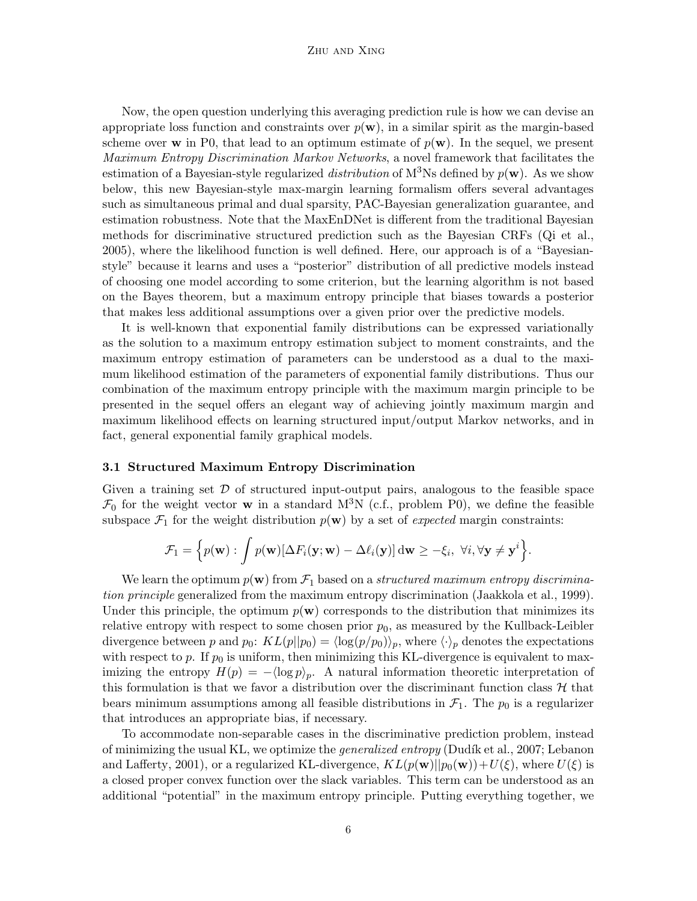Now, the open question underlying this averaging prediction rule is how we can devise an appropriate loss function and constraints over  $p(\mathbf{w})$ , in a similar spirit as the margin-based scheme over w in P0, that lead to an optimum estimate of  $p(\mathbf{w})$ . In the sequel, we present *Maximum Entropy Discrimination Markov Networks*, a novel framework that facilitates the estimation of a Bayesian-style regularized *distribution* of  $M^3$ Ns defined by  $p(\mathbf{w})$ . As we show below, this new Bayesian-style max-margin learning formalism offers several advantages such as simultaneous primal and dual sparsity, PAC-Bayesian generalization guarantee, and estimation robustness. Note that the MaxEnDNet is different from the traditional Bayesian methods for discriminative structured prediction such as the Bayesian CRFs (Qi et al., 2005), where the likelihood function is well defined. Here, our approach is of a "Bayesianstyle" because it learns and uses a "posterior" distribution of all predictive models instead of choosing one model according to some criterion, but the learning algorithm is not based on the Bayes theorem, but a maximum entropy principle that biases towards a posterior that makes less additional assumptions over a given prior over the predictive models.

It is well-known that exponential family distributions can be expressed variationally as the solution to a maximum entropy estimation subject to moment constraints, and the maximum entropy estimation of parameters can be understood as a dual to the maximum likelihood estimation of the parameters of exponential family distributions. Thus our combination of the maximum entropy principle with the maximum margin principle to be presented in the sequel offers an elegant way of achieving jointly maximum margin and maximum likelihood effects on learning structured input/output Markov networks, and in fact, general exponential family graphical models.

#### 3.1 Structured Maximum Entropy Discrimination

Given a training set  $\mathcal D$  of structured input-output pairs, analogous to the feasible space  $\mathcal{F}_0$  for the weight vector **w** in a standard M<sup>3</sup>N (c.f., problem P0), we define the feasible subspace  $\mathcal{F}_1$  for the weight distribution  $p(\mathbf{w})$  by a set of *expected* margin constraints:

$$
\mathcal{F}_1 = \left\{ p(\mathbf{w}) : \int p(\mathbf{w}) [\Delta F_i(\mathbf{y}; \mathbf{w}) - \Delta \ell_i(\mathbf{y})] \, \mathrm{d} \mathbf{w} \geq -\xi_i, \ \forall i, \forall \mathbf{y} \neq \mathbf{y}^i \right\}.
$$

We learn the optimum  $p(\mathbf{w})$  from  $\mathcal{F}_1$  based on a *structured maximum entropy discrimination principle* generalized from the maximum entropy discrimination (Jaakkola et al., 1999). Under this principle, the optimum  $p(\mathbf{w})$  corresponds to the distribution that minimizes its relative entropy with respect to some chosen prior  $p_0$ , as measured by the Kullback-Leibler divergence between p and  $p_0$ :  $KL(p||p_0) = \langle \log(p/p_0) \rangle_p$ , where  $\langle \cdot \rangle_p$  denotes the expectations with respect to p. If  $p_0$  is uniform, then minimizing this KL-divergence is equivalent to maximizing the entropy  $H(p) = -\langle \log p \rangle_p$ . A natural information theoretic interpretation of this formulation is that we favor a distribution over the discriminant function class  $\mathcal H$  that bears minimum assumptions among all feasible distributions in  $\mathcal{F}_1$ . The  $p_0$  is a regularizer that introduces an appropriate bias, if necessary.

To accommodate non-separable cases in the discriminative prediction problem, instead of minimizing the usual KL, we optimize the *generalized entropy* (Dudík et al., 2007; Lebanon and Lafferty, 2001), or a regularized KL-divergence,  $KL(p(\mathbf{w})||p_0(\mathbf{w}))+U(\xi)$ , where  $U(\xi)$  is a closed proper convex function over the slack variables. This term can be understood as an additional "potential" in the maximum entropy principle. Putting everything together, we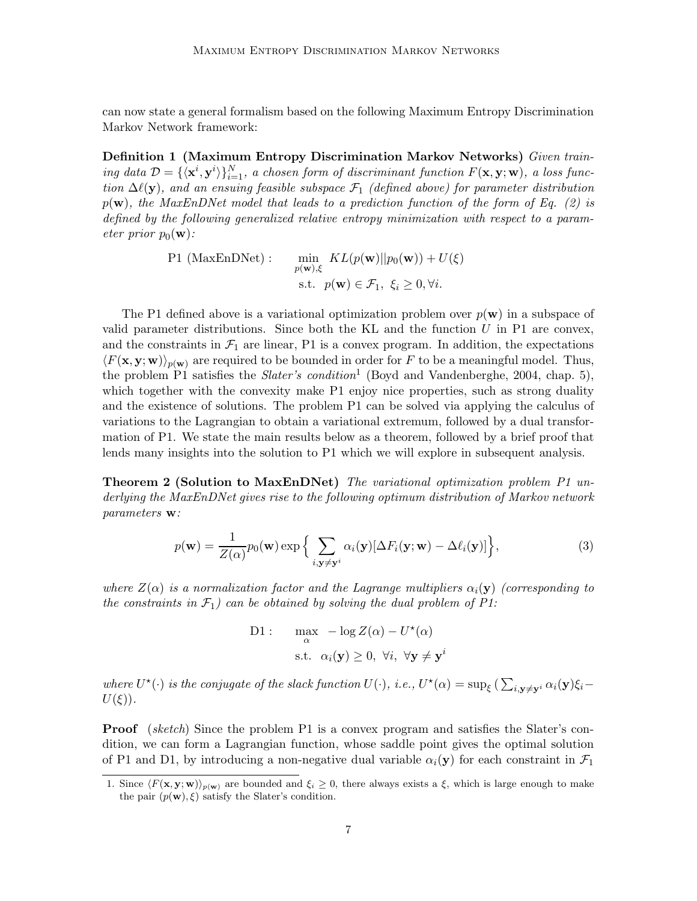can now state a general formalism based on the following Maximum Entropy Discrimination Markov Network framework:

Definition 1 (Maximum Entropy Discrimination Markov Networks) *Given train* $ing\ data\ \mathcal{D} = {\mathbf{x}^i, \mathbf{y}^i}\}_{i=1}^N$ *, a chosen form of discriminant function*  $F(\mathbf{x}, \mathbf{y}; \mathbf{w})$ *, a loss function*  $\Delta\ell(y)$ *, and an ensuing feasible subspace*  $\mathcal{F}_1$  *(defined above) for parameter distribution* p(w)*, the MaxEnDNet model that leads to a prediction function of the form of Eq. (2) is defined by the following generalized relative entropy minimization with respect to a parameter prior*  $p_0(\mathbf{w})$ *:* 

> P1 (MaxEnDNet) :  $\min_{p(\textbf{w}), \xi} \ KL(p(\textbf{w}) || p_0(\textbf{w})) + U(\xi)$ s.t.  $p(\mathbf{w}) \in \mathcal{F}_1, \ \xi_i \geq 0, \forall i.$

The P1 defined above is a variational optimization problem over  $p(\mathbf{w})$  in a subspace of valid parameter distributions. Since both the KL and the function  $U$  in P1 are convex, and the constraints in  $\mathcal{F}_1$  are linear, P1 is a convex program. In addition, the expectations  $\langle F(\mathbf{x}, \mathbf{y}; \mathbf{w}) \rangle_{p(\mathbf{w})}$  are required to be bounded in order for F to be a meaningful model. Thus, the problem P1 satisfies the *Slater's condition*<sup>1</sup> (Boyd and Vandenberghe, 2004, chap. 5), which together with the convexity make P1 enjoy nice properties, such as strong duality and the existence of solutions. The problem P1 can be solved via applying the calculus of variations to the Lagrangian to obtain a variational extremum, followed by a dual transformation of P1. We state the main results below as a theorem, followed by a brief proof that lends many insights into the solution to P1 which we will explore in subsequent analysis.

Theorem 2 (Solution to MaxEnDNet) *The variational optimization problem P1 underlying the MaxEnDNet gives rise to the following optimum distribution of Markov network parameters* w*:*

$$
p(\mathbf{w}) = \frac{1}{Z(\alpha)} p_0(\mathbf{w}) \exp\Big\{\sum_{i,\mathbf{y}\neq\mathbf{y}^i} \alpha_i(\mathbf{y})[\Delta F_i(\mathbf{y};\mathbf{w}) - \Delta \ell_i(\mathbf{y})]\Big\},\tag{3}
$$

*where*  $Z(\alpha)$  *is a normalization factor and the Lagrange multipliers*  $\alpha_i(\mathbf{y})$  *(corresponding to the constraints in*  $\mathcal{F}_1$ *) can be obtained by solving the dual problem of P1:* 

D1: 
$$
\max_{\alpha} -\log Z(\alpha) - U^*(\alpha)
$$
  
s.t.  $\alpha_i(\mathbf{y}) \ge 0, \forall i, \forall \mathbf{y} \ne \mathbf{y}^i$ 

where  $U^*(\cdot)$  is the conjugate of the slack function  $U(\cdot)$ , i.e.,  $U^*(\alpha) = \sup_{\xi} (\sum_{i,\mathbf{y}\neq\mathbf{y}^i} \alpha_i(\mathbf{y})\xi_i U(\xi)$ ).

Proof (*sketch*) Since the problem P1 is a convex program and satisfies the Slater's condition, we can form a Lagrangian function, whose saddle point gives the optimal solution of P1 and D1, by introducing a non-negative dual variable  $\alpha_i(\mathbf{y})$  for each constraint in  $\mathcal{F}_1$ 

<sup>1.</sup> Since  $\langle F(\mathbf{x}, \mathbf{y}; \mathbf{w}) \rangle_{p(\mathbf{w})}$  are bounded and  $\xi_i \geq 0$ , there always exists a  $\xi$ , which is large enough to make the pair  $(p(\mathbf{w}), \xi)$  satisfy the Slater's condition.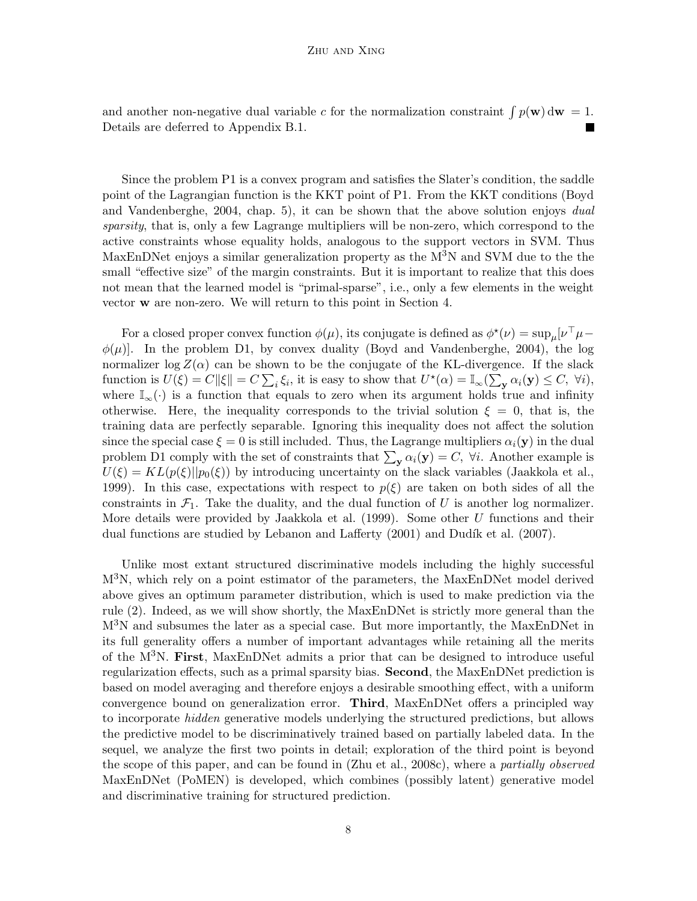and another non-negative dual variable c for the normalization constraint  $\int p(\mathbf{w}) d\mathbf{w} = 1$ . Details are deferred to Appendix B.1.

Since the problem P1 is a convex program and satisfies the Slater's condition, the saddle point of the Lagrangian function is the KKT point of P1. From the KKT conditions (Boyd and Vandenberghe, 2004, chap. 5), it can be shown that the above solution enjoys *dual sparsity*, that is, only a few Lagrange multipliers will be non-zero, which correspond to the active constraints whose equality holds, analogous to the support vectors in SVM. Thus MaxEnDNet enjoys a similar generalization property as the  $M<sup>3</sup>N$  and SVM due to the the small "effective size" of the margin constraints. But it is important to realize that this does not mean that the learned model is "primal-sparse", i.e., only a few elements in the weight vector w are non-zero. We will return to this point in Section 4.

For a closed proper convex function  $\phi(\mu)$ , its conjugate is defined as  $\phi^*(\nu) = \sup_{\mu} [\nu^{\top} \mu - \nu]$  $\phi(\mu)$ . In the problem D1, by convex duality (Boyd and Vandenberghe, 2004), the log normalizer  $\log Z(\alpha)$  can be shown to be the conjugate of the KL-divergence. If the slack function is  $U(\xi) = C ||\xi|| = C \sum_i \xi_i$ , it is easy to show that  $U^*(\alpha) = \mathbb{I}_{\infty}(\sum_{\mathbf{y}} \alpha_i(\mathbf{y}) \leq C, \forall i$ , where  $\mathbb{I}_{\infty}(\cdot)$  is a function that equals to zero when its argument holds true and infinity otherwise. Here, the inequality corresponds to the trivial solution  $\xi = 0$ , that is, the training data are perfectly separable. Ignoring this inequality does not affect the solution since the special case  $\xi = 0$  is still included. Thus, the Lagrange multipliers  $\alpha_i(\mathbf{y})$  in the dual problem D1 comply with the set of constraints that  $\sum_{\mathbf{y}} \alpha_i(\mathbf{y}) = C$ ,  $\forall i$ . Another example is  $U(\xi) = KL(p(\xi)||p_0(\xi))$  by introducing uncertainty on the slack variables (Jaakkola et al., 1999). In this case, expectations with respect to  $p(\xi)$  are taken on both sides of all the constraints in  $\mathcal{F}_1$ . Take the duality, and the dual function of U is another log normalizer. More details were provided by Jaakkola et al.  $(1999)$ . Some other U functions and their dual functions are studied by Lebanon and Lafferty (2001) and Dudík et al. (2007).

Unlike most extant structured discriminative models including the highly successful M3N, which rely on a point estimator of the parameters, the MaxEnDNet model derived above gives an optimum parameter distribution, which is used to make prediction via the rule (2). Indeed, as we will show shortly, the MaxEnDNet is strictly more general than the  $M<sup>3</sup>N$  and subsumes the later as a special case. But more importantly, the MaxEnDNet in its full generality offers a number of important advantages while retaining all the merits of the M3N. First, MaxEnDNet admits a prior that can be designed to introduce useful regularization effects, such as a primal sparsity bias. Second, the MaxEnDNet prediction is based on model averaging and therefore enjoys a desirable smoothing effect, with a uniform convergence bound on generalization error. Third, MaxEnDNet offers a principled way to incorporate *hidden* generative models underlying the structured predictions, but allows the predictive model to be discriminatively trained based on partially labeled data. In the sequel, we analyze the first two points in detail; exploration of the third point is beyond the scope of this paper, and can be found in (Zhu et al., 2008c), where a *partially observed* MaxEnDNet (PoMEN) is developed, which combines (possibly latent) generative model and discriminative training for structured prediction.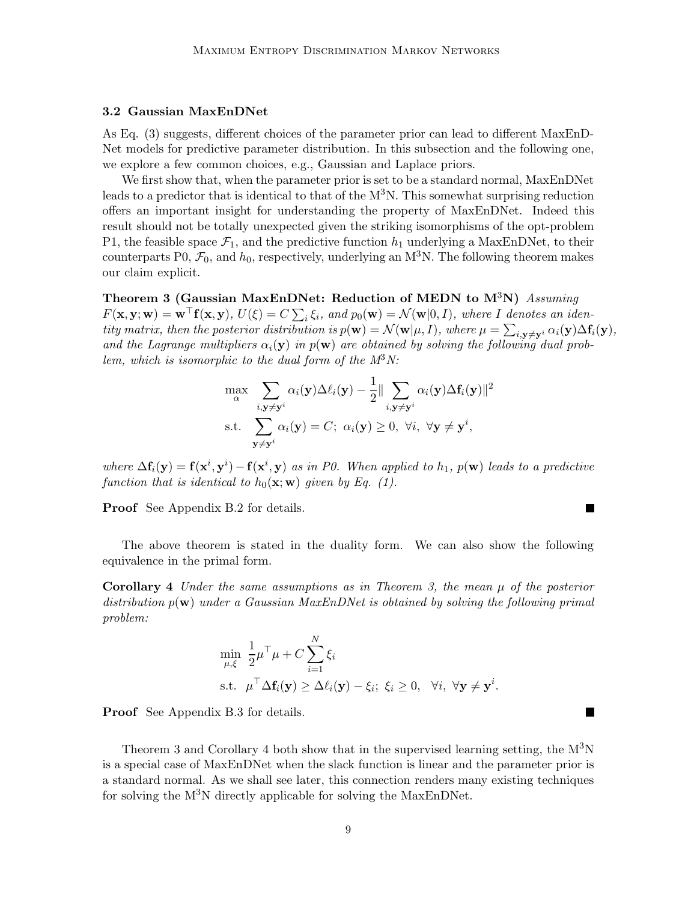## 3.2 Gaussian MaxEnDNet

As Eq. (3) suggests, different choices of the parameter prior can lead to different MaxEnD-Net models for predictive parameter distribution. In this subsection and the following one, we explore a few common choices, e.g., Gaussian and Laplace priors.

We first show that, when the parameter prior is set to be a standard normal, MaxEnDNet leads to a predictor that is identical to that of the  $M^3N$ . This somewhat surprising reduction offers an important insight for understanding the property of MaxEnDNet. Indeed this result should not be totally unexpected given the striking isomorphisms of the opt-problem P1, the feasible space  $\mathcal{F}_1$ , and the predictive function  $h_1$  underlying a MaxEnDNet, to their counterparts P0,  $\mathcal{F}_0$ , and  $h_0$ , respectively, underlying an M<sup>3</sup>N. The following theorem makes our claim explicit.

Theorem 3 (Gaussian MaxEnDNet: Reduction of MEDN to M3N) *Assuming*  $F(\mathbf{x}, \mathbf{y}; \mathbf{w}) = \mathbf{w}^{\top} \mathbf{f}(\mathbf{x}, \mathbf{y}), \ U(\xi) = C \sum_i \xi_i, \text{ and } p_0(\mathbf{w}) = \mathcal{N}(\mathbf{w} | 0, I), \text{ where } I \text{ denotes an iden-}$ *tity matrix, then the posterior distribution is*  $p(\mathbf{w}) = \mathcal{N}(\mathbf{w}|\mu, I)$ *, where*  $\mu = \sum_{i, \mathbf{y} \neq \mathbf{y}^i} \alpha_i(\mathbf{y}) \Delta f_i(\mathbf{y})$ *,* and the Lagrange multipliers  $\alpha_i(y)$  in  $p(w)$  are obtained by solving the following dual prob*lem, which is isomorphic to the dual form of the M*3*N:*

$$
\max_{\alpha} \sum_{i, \mathbf{y} \neq \mathbf{y}^i} \alpha_i(\mathbf{y}) \Delta \ell_i(\mathbf{y}) - \frac{1}{2} \|\sum_{i, \mathbf{y} \neq \mathbf{y}^i} \alpha_i(\mathbf{y}) \Delta \mathbf{f}_i(\mathbf{y})\|^2
$$
  
s.t. 
$$
\sum_{\mathbf{y} \neq \mathbf{y}^i} \alpha_i(\mathbf{y}) = C; \ \alpha_i(\mathbf{y}) \ge 0, \ \forall i, \ \forall \mathbf{y} \neq \mathbf{y}^i,
$$

where  $\Delta \mathbf{f}_i(\mathbf{y}) = \mathbf{f}(\mathbf{x}^i, \mathbf{y}^i) - \mathbf{f}(\mathbf{x}^i, \mathbf{y})$  as in P0. When applied to  $h_1$ ,  $p(\mathbf{w})$  leads to a predictive *function that is identical to*  $h_0(\mathbf{x}; \mathbf{w})$  *given by Eq. (1).* 

 $\blacksquare$ 

П

Proof See Appendix B.2 for details.

The above theorem is stated in the duality form. We can also show the following equivalence in the primal form.

Corollary 4 *Under the same assumptions as in Theorem 3, the mean* µ *of the posterior distribution* p(w) *under a Gaussian MaxEnDNet is obtained by solving the following primal problem:*

$$
\min_{\mu,\xi} \frac{1}{2} \mu^{\top} \mu + C \sum_{i=1}^{N} \xi_i
$$
\n
$$
\text{s.t. } \mu^{\top} \Delta \mathbf{f}_i(\mathbf{y}) \ge \Delta \ell_i(\mathbf{y}) - \xi_i; \ \xi_i \ge 0, \ \ \forall i, \ \forall \mathbf{y} \ne \mathbf{y}^i.
$$

Proof See Appendix B.3 for details.

Theorem 3 and Corollary 4 both show that in the supervised learning setting, the  $M^{3}N$ is a special case of MaxEnDNet when the slack function is linear and the parameter prior is a standard normal. As we shall see later, this connection renders many existing techniques for solving the  $M^{3}N$  directly applicable for solving the MaxEnDNet.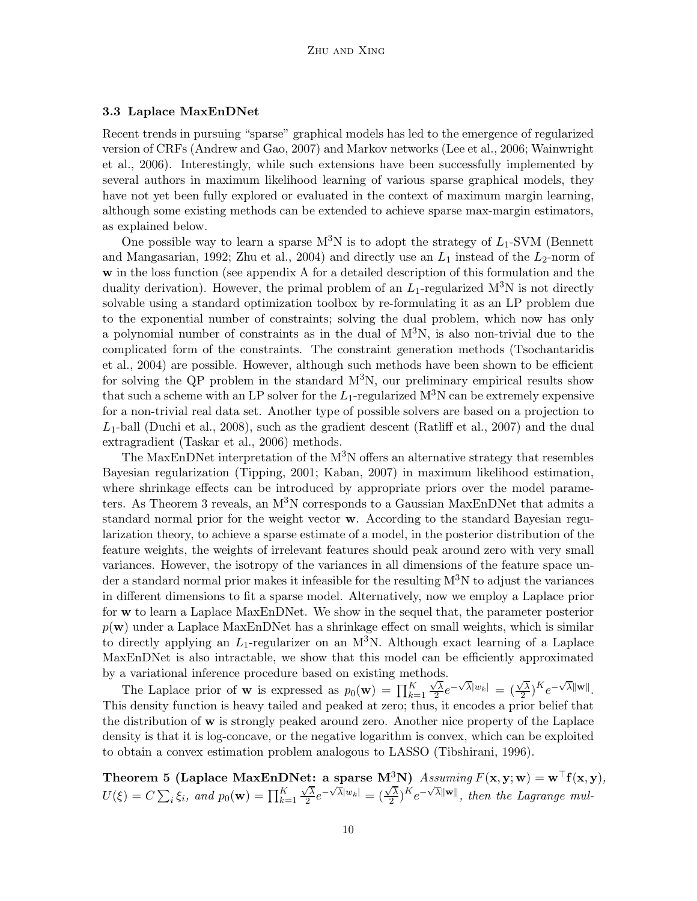#### 3.3 Laplace MaxEnDNet

Recent trends in pursuing "sparse" graphical models has led to the emergence of regularized version of CRFs (Andrew and Gao, 2007) and Markov networks (Lee et al., 2006; Wainwright et al., 2006). Interestingly, while such extensions have been successfully implemented by several authors in maximum likelihood learning of various sparse graphical models, they have not yet been fully explored or evaluated in the context of maximum margin learning, although some existing methods can be extended to achieve sparse max-margin estimators, as explained below.

One possible way to learn a sparse  $M^3N$  is to adopt the strategy of  $L_1$ -SVM (Bennett and Mangasarian, 1992; Zhu et al., 2004) and directly use an  $L_1$  instead of the  $L_2$ -norm of w in the loss function (see appendix A for a detailed description of this formulation and the duality derivation). However, the primal problem of an  $L_1$ -regularized M<sup>3</sup>N is not directly solvable using a standard optimization toolbox by re-formulating it as an LP problem due to the exponential number of constraints; solving the dual problem, which now has only a polynomial number of constraints as in the dual of  $M<sup>3</sup>N$ , is also non-trivial due to the complicated form of the constraints. The constraint generation methods (Tsochantaridis et al., 2004) are possible. However, although such methods have been shown to be efficient for solving the QP problem in the standard  $M<sup>3</sup>N$ , our preliminary empirical results show that such a scheme with an LP solver for the  $L_1$ -regularized  $M^3N$  can be extremely expensive for a non-trivial real data set. Another type of possible solvers are based on a projection to  $L_1$ -ball (Duchi et al., 2008), such as the gradient descent (Ratliff et al., 2007) and the dual extragradient (Taskar et al., 2006) methods.

The MaxEnDNet interpretation of the  $M<sup>3</sup>N$  offers an alternative strategy that resembles Bayesian regularization (Tipping, 2001; Kaban, 2007) in maximum likelihood estimation, where shrinkage effects can be introduced by appropriate priors over the model parameters. As Theorem 3 reveals, an M3N corresponds to a Gaussian MaxEnDNet that admits a standard normal prior for the weight vector w. According to the standard Bayesian regularization theory, to achieve a sparse estimate of a model, in the posterior distribution of the feature weights, the weights of irrelevant features should peak around zero with very small variances. However, the isotropy of the variances in all dimensions of the feature space under a standard normal prior makes it infeasible for the resulting  $M<sup>3</sup>N$  to adjust the variances in different dimensions to fit a sparse model. Alternatively, now we employ a Laplace prior for w to learn a Laplace MaxEnDNet. We show in the sequel that, the parameter posterior  $p(\mathbf{w})$  under a Laplace MaxEnDNet has a shrinkage effect on small weights, which is similar to directly applying an  $L_1$ -regularizer on an M<sup>3</sup>N. Although exact learning of a Laplace MaxEnDNet is also intractable, we show that this model can be efficiently approximated by a variational inference procedure based on existing methods.

The Laplace prior of **w** is expressed as  $p_0(\mathbf{w}) = \prod_{k=1}^K$  $\sqrt{\lambda}$  $\sqrt{\overline{\lambda}}e^{-\sqrt{\overline{\lambda}}|w_k|} = (\frac{\sqrt{\overline{\lambda}}}{2})$  $(\sqrt{\lambda})^K e^{-\sqrt{\lambda} ||\mathbf{w}||}.$ This density function is heavy tailed and peaked at zero; thus, it encodes a prior belief that the distribution of w is strongly peaked around zero. Another nice property of the Laplace density is that it is log-concave, or the negative logarithm is convex, which can be exploited to obtain a convex estimation problem analogous to LASSO (Tibshirani, 1996).

Theorem 5 (Laplace MaxEnDNet: a sparse M<sup>3</sup>N)  $Assuming F(\mathbf{x}, \mathbf{y}; \mathbf{w}) = \mathbf{w}^\top \mathbf{f}(\mathbf{x}, \mathbf{y})$ ,  $U(\xi) = C \sum_i \xi_i$ , and  $p_0(\mathbf{w}) = \prod_{k=1}^K$  $\sqrt{\lambda}$  $\frac{\sqrt{\lambda}}{2}e^{-\sqrt{\lambda}|w_k|}=(\frac{\sqrt{\lambda}}{2})$  $\frac{\sqrt{\lambda}}{2}$ <sup>K</sup> $e^{-\sqrt{\lambda}\|\mathbf{w}\|}$ , then the Lagrange mul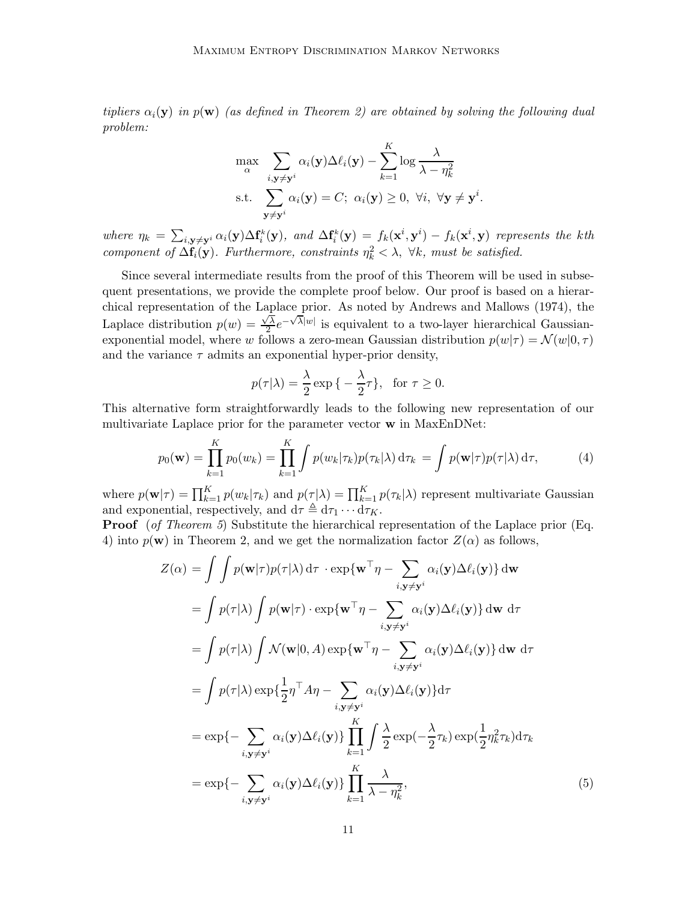*tipliers*  $\alpha_i(y)$  *in*  $p(w)$  *(as defined in Theorem 2) are obtained by solving the following dual problem:*

$$
\max_{\alpha} \sum_{i, \mathbf{y} \neq \mathbf{y}^i} \alpha_i(\mathbf{y}) \Delta \ell_i(\mathbf{y}) - \sum_{k=1}^K \log \frac{\lambda}{\lambda - \eta_k^2}
$$
  
s.t. 
$$
\sum_{\mathbf{y} \neq \mathbf{y}^i} \alpha_i(\mathbf{y}) = C; \ \alpha_i(\mathbf{y}) \ge 0, \ \forall i, \ \forall \mathbf{y} \neq \mathbf{y}^i
$$

.

 $where \eta_k = \sum_{i,\mathbf{y}\neq\mathbf{y}^i} \alpha_i(\mathbf{y}) \Delta \mathbf{f}_i^k(\mathbf{y}), \text{ and } \Delta \mathbf{f}_i^k(\mathbf{y}) = f_k(\mathbf{x}^i, \mathbf{y}^i) - f_k(\mathbf{x}^i, \mathbf{y})$  represents the kth *component of*  $\Delta \mathbf{f}_i(\mathbf{y})$ *. Furthermore, constraints*  $\eta_k^2 < \lambda$ ,  $\forall k$ *, must be satisfied.* 

Since several intermediate results from the proof of this Theorem will be used in subsequent presentations, we provide the complete proof below. Our proof is based on a hierarchical representation of the Laplace prior. As noted by Andrews and Mallows (1974), the Laplace distribution  $p(w) = \frac{\sqrt{\lambda}}{2}$  $\frac{\sqrt{\lambda}}{2}e^{-\sqrt{\lambda}|w|}$  is equivalent to a two-layer hierarchical Gaussianexponential model, where w follows a zero-mean Gaussian distribution  $p(w|\tau) = \mathcal{N}(w|0, \tau)$ and the variance  $\tau$  admits an exponential hyper-prior density,

$$
p(\tau|\lambda) = \frac{\lambda}{2} \exp\left\{-\frac{\lambda}{2}\tau\right\}, \text{ for } \tau \ge 0.
$$

This alternative form straightforwardly leads to the following new representation of our multivariate Laplace prior for the parameter vector w in MaxEnDNet:

$$
p_0(\mathbf{w}) = \prod_{k=1}^K p_0(w_k) = \prod_{k=1}^K \int p(w_k|\tau_k) p(\tau_k|\lambda) d\tau_k = \int p(\mathbf{w}|\tau) p(\tau|\lambda) d\tau,
$$
 (4)

where  $p(\mathbf{w}|\tau) = \prod_{k=1}^{K} p(w_k|\tau_k)$  and  $p(\tau|\lambda) = \prod_{k=1}^{K} p(\tau_k|\lambda)$  represent multivariate Gaussian and exponential, respectively, and  $d\tau \triangleq d\tau_1 \cdots d\tau_K$ .

Proof (*of Theorem 5*) Substitute the hierarchical representation of the Laplace prior (Eq. 4) into  $p(\mathbf{w})$  in Theorem 2, and we get the normalization factor  $Z(\alpha)$  as follows,

$$
Z(\alpha) = \int \int p(\mathbf{w}|\tau)p(\tau|\lambda) d\tau \cdot \exp{\{\mathbf{w}^{\top}\eta - \sum_{i,\mathbf{y}\neq\mathbf{y}^{i}} \alpha_{i}(\mathbf{y})\Delta\ell_{i}(\mathbf{y})\}} d\mathbf{w}
$$
  
\n
$$
= \int p(\tau|\lambda) \int p(\mathbf{w}|\tau) \cdot \exp{\{\mathbf{w}^{\top}\eta - \sum_{i,\mathbf{y}\neq\mathbf{y}^{i}} \alpha_{i}(\mathbf{y})\Delta\ell_{i}(\mathbf{y})\}} d\mathbf{w} d\tau
$$
  
\n
$$
= \int p(\tau|\lambda) \int \mathcal{N}(\mathbf{w}|0, A) \exp{\{\mathbf{w}^{\top}\eta - \sum_{i,\mathbf{y}\neq\mathbf{y}^{i}} \alpha_{i}(\mathbf{y})\Delta\ell_{i}(\mathbf{y})\}} d\mathbf{w} d\tau
$$
  
\n
$$
= \int p(\tau|\lambda) \exp{\{\frac{1}{2}\eta^{\top}A\eta - \sum_{i,\mathbf{y}\neq\mathbf{y}^{i}} \alpha_{i}(\mathbf{y})\Delta\ell_{i}(\mathbf{y})\}} d\tau
$$
  
\n
$$
= \exp{\{-\sum_{i,\mathbf{y}\neq\mathbf{y}^{i}} \alpha_{i}(\mathbf{y})\Delta\ell_{i}(\mathbf{y})\}} \prod_{k=1}^{K} \int \frac{\lambda}{2} \exp(-\frac{\lambda}{2}\tau_{k}) \exp(\frac{1}{2}\eta_{k}^{2}\tau_{k}) d\tau_{k}
$$
  
\n
$$
= \exp{\{-\sum_{i,\mathbf{y}\neq\mathbf{y}^{i}} \alpha_{i}(\mathbf{y})\Delta\ell_{i}(\mathbf{y})\}} \prod_{k=1}^{K} \frac{\lambda}{\lambda - \eta_{k}^{2}},
$$
(5)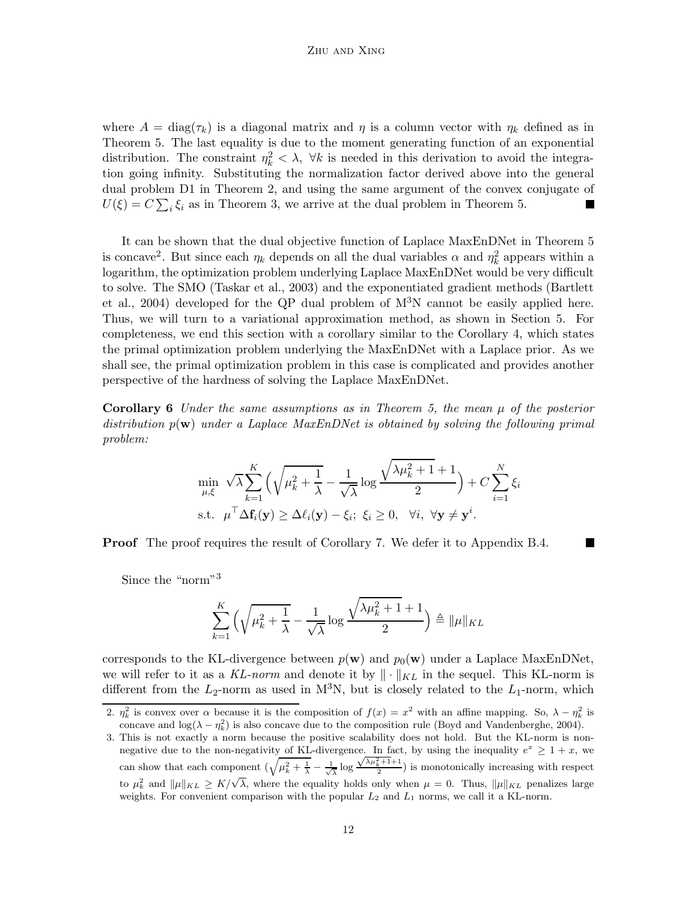where  $A = \text{diag}(\tau_k)$  is a diagonal matrix and  $\eta$  is a column vector with  $\eta_k$  defined as in Theorem 5. The last equality is due to the moment generating function of an exponential distribution. The constraint  $\eta_k^2 < \lambda$ ,  $\forall k$  is needed in this derivation to avoid the integration going infinity. Substituting the normalization factor derived above into the general dual problem D1 in Theorem 2, and using the same argument of the convex conjugate of  $U(\xi) = C \sum_i \xi_i$  as in Theorem 3, we arrive at the dual problem in Theorem 5.

It can be shown that the dual objective function of Laplace MaxEnDNet in Theorem 5 is concave<sup>2</sup>. But since each  $\eta_k$  depends on all the dual variables  $\alpha$  and  $\eta_k^2$  appears within a logarithm, the optimization problem underlying Laplace MaxEnDNet would be very difficult to solve. The SMO (Taskar et al., 2003) and the exponentiated gradient methods (Bartlett et al., 2004) developed for the QP dual problem of M3N cannot be easily applied here. Thus, we will turn to a variational approximation method, as shown in Section 5. For completeness, we end this section with a corollary similar to the Corollary 4, which states the primal optimization problem underlying the MaxEnDNet with a Laplace prior. As we shall see, the primal optimization problem in this case is complicated and provides another perspective of the hardness of solving the Laplace MaxEnDNet.

Corollary 6 *Under the same assumptions as in Theorem 5, the mean* µ *of the posterior distribution* p(w) *under a Laplace MaxEnDNet is obtained by solving the following primal problem:*

$$
\min_{\mu,\xi} \sqrt{\lambda} \sum_{k=1}^K \left( \sqrt{\mu_k^2 + \frac{1}{\lambda}} - \frac{1}{\sqrt{\lambda}} \log \frac{\sqrt{\lambda \mu_k^2 + 1} + 1}{2} \right) + C \sum_{i=1}^N \xi_i
$$
  
s.t.  $\mu^\top \Delta \mathbf{f}_i(\mathbf{y}) \ge \Delta \ell_i(\mathbf{y}) - \xi_i; \ \xi_i \ge 0, \ \ \forall i, \ \forall \mathbf{y} \neq \mathbf{y}^i.$ 

**Proof** The proof requires the result of Corollary 7. We defer it to Appendix B.4.

Since the "norm"<sup>3</sup>

$$
\sum_{k=1}^{K} \left( \sqrt{\mu_k^2 + \frac{1}{\lambda}} - \frac{1}{\sqrt{\lambda}} \log \frac{\sqrt{\lambda \mu_k^2 + 1} + 1}{2} \right) \triangleq ||\mu||_{KL}
$$

corresponds to the KL-divergence between  $p(\mathbf{w})$  and  $p_0(\mathbf{w})$  under a Laplace MaxEnDNet, we will refer to it as a KL-norm and denote it by  $\|\cdot\|_{KL}$  in the sequel. This KL-norm is different from the  $L_2$ -norm as used in M<sup>3</sup>N, but is closely related to the  $L_1$ -norm, which

<sup>2.</sup>  $\eta_k^2$  is convex over  $\alpha$  because it is the composition of  $f(x) = x^2$  with an affine mapping. So,  $\lambda - \eta_k^2$  is concave and  $log(\lambda - \eta_k^2)$  is also concave due to the composition rule (Boyd and Vandenberghe, 2004).

<sup>3.</sup> This is not exactly a norm because the positive scalability does not hold. But the KL-norm is nonnegative due to the non-negativity of KL-divergence. In fact, by using the inequality  $e^x \ge 1 + x$ , we can show that each component  $\left(\sqrt{\mu_k^2 + \frac{1}{\lambda}} - \frac{1}{\sqrt{\lambda}}\right)$  log  $\frac{\sqrt{\lambda\mu_{k+1}^2+1}}{2}$  is monotonically increasing with respect to  $\mu_k^2$  and  $\|\mu\|_{KL} \ge K/\sqrt{\lambda}$ , where the equality holds only when  $\mu = 0$ . Thus,  $\|\mu\|_{KL}$  penalizes large weights. For convenient comparison with the popular  $L_2$  and  $L_1$  norms, we call it a KL-norm.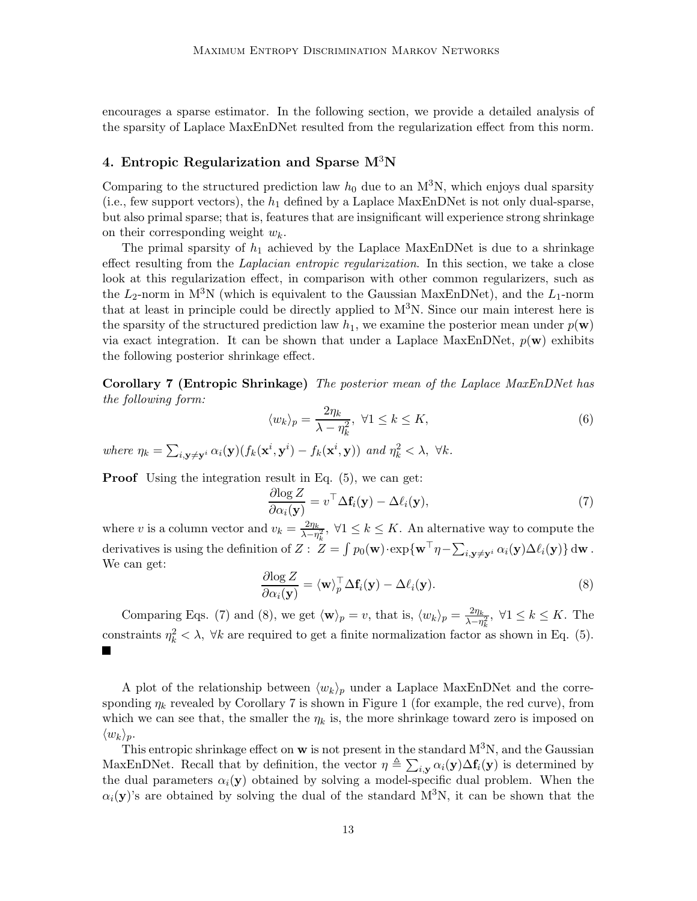encourages a sparse estimator. In the following section, we provide a detailed analysis of the sparsity of Laplace MaxEnDNet resulted from the regularization effect from this norm.

## 4. Entropic Regularization and Sparse  $M^3N$

Comparing to the structured prediction law  $h_0$  due to an M<sup>3</sup>N, which enjoys dual sparsity (i.e., few support vectors), the  $h_1$  defined by a Laplace MaxEnDNet is not only dual-sparse, but also primal sparse; that is, features that are insignificant will experience strong shrinkage on their corresponding weight  $w_k$ .

The primal sparsity of  $h_1$  achieved by the Laplace MaxEnDNet is due to a shrinkage effect resulting from the *Laplacian entropic regularization*. In this section, we take a close look at this regularization effect, in comparison with other common regularizers, such as the  $L_2$ -norm in M<sup>3</sup>N (which is equivalent to the Gaussian MaxEnDNet), and the  $L_1$ -norm that at least in principle could be directly applied to  $M<sup>3</sup>N$ . Since our main interest here is the sparsity of the structured prediction law  $h_1$ , we examine the posterior mean under  $p(\mathbf{w})$ via exact integration. It can be shown that under a Laplace MaxEnDNet,  $p(\mathbf{w})$  exhibits the following posterior shrinkage effect.

Corollary 7 (Entropic Shrinkage) *The posterior mean of the Laplace MaxEnDNet has the following form:*

$$
\langle w_k \rangle_p = \frac{2\eta_k}{\lambda - \eta_k^2}, \ \forall 1 \le k \le K,\tag{6}
$$

where  $\eta_k = \sum_{i, \mathbf{y} \neq \mathbf{y}^i} \alpha_i(\mathbf{y}) (f_k(\mathbf{x}^i, \mathbf{y}^i) - f_k(\mathbf{x}^i, \mathbf{y}))$  and  $\eta_k^2 < \lambda$ ,  $\forall k$ .

**Proof** Using the integration result in Eq.  $(5)$ , we can get:

$$
\frac{\partial \log Z}{\partial \alpha_i(\mathbf{y})} = v^\top \Delta \mathbf{f}_i(\mathbf{y}) - \Delta \ell_i(\mathbf{y}),\tag{7}
$$

where v is a column vector and  $v_k = \frac{2\eta_k}{\lambda - n}$  $\frac{2\eta_k}{\lambda-\eta_k^2}$ ,  $\forall 1 \leq k \leq K$ . An alternative way to compute the derivatives is using the definition of  $Z: Z = \int p_0(\mathbf{w}) \cdot \exp\{\mathbf{w}^\top \eta - \sum_{i, \mathbf{y} \neq \mathbf{y}^i} \alpha_i(\mathbf{y}) \Delta \ell_i(\mathbf{y})\} d\mathbf{w}$ . We can get:

$$
\frac{\partial \log Z}{\partial \alpha_i(\mathbf{y})} = \langle \mathbf{w} \rangle_p^{\top} \Delta \mathbf{f}_i(\mathbf{y}) - \Delta \ell_i(\mathbf{y}). \tag{8}
$$

Comparing Eqs. (7) and (8), we get  $\langle \mathbf{w} \rangle_p = v$ , that is,  $\langle w_k \rangle_p = \frac{2\eta_k}{\lambda - \eta}$  $\frac{2\eta_k}{\lambda-\eta_k^2}$ ,  $\forall 1 \leq k \leq K$ . The constraints  $\eta_k^2 < \lambda$ ,  $\forall k$  are required to get a finite normalization factor as shown in Eq. (5).

A plot of the relationship between  $\langle w_k \rangle_p$  under a Laplace MaxEnDNet and the corresponding  $\eta_k$  revealed by Corollary 7 is shown in Figure 1 (for example, the red curve), from which we can see that, the smaller the  $\eta_k$  is, the more shrinkage toward zero is imposed on  $\langle w_k \rangle_p$ .

This entropic shrinkage effect on  $w$  is not present in the standard  $M<sup>3</sup>N$ , and the Gaussian MaxEnDNet. Recall that by definition, the vector  $\eta \triangleq \sum_{i,y} \alpha_i(y) \Delta f_i(y)$  is determined by the dual parameters  $\alpha_i(y)$  obtained by solving a model-specific dual problem. When the  $\alpha_i(y)$ 's are obtained by solving the dual of the standard M<sup>3</sup>N, it can be shown that the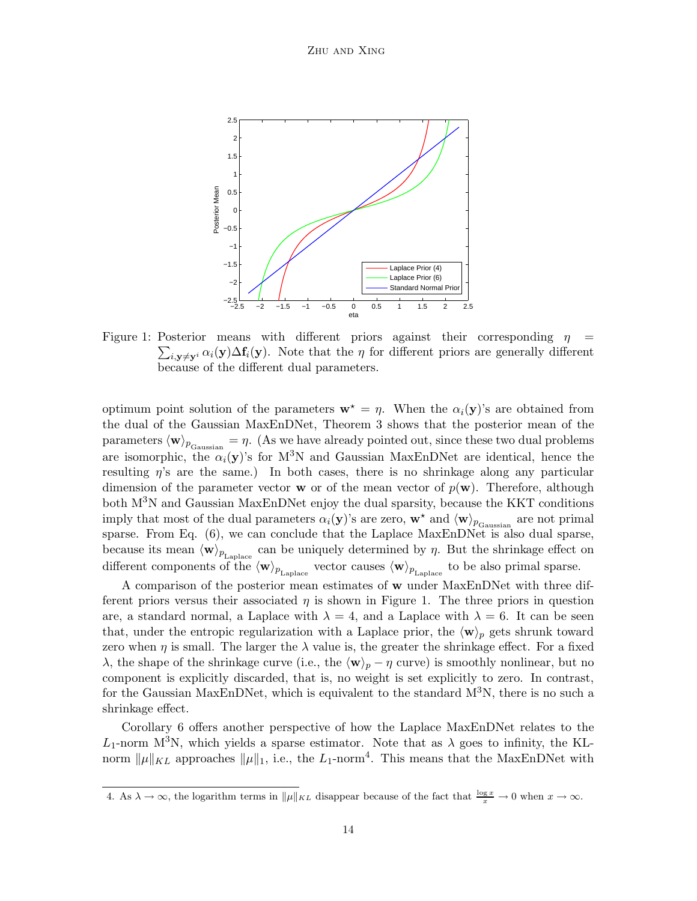

Figure 1: Posterior means with different priors against their corresponding  $\eta =$  $\sum_{i,\mathbf{y}\neq\mathbf{y}^i} \alpha_i(\mathbf{y}) \Delta \mathbf{f}_i(\mathbf{y})$ . Note that the  $\eta$  for different priors are generally different because of the different dual parameters.

optimum point solution of the parameters  $\mathbf{w}^* = \eta$ . When the  $\alpha_i(\mathbf{y})$ 's are obtained from the dual of the Gaussian MaxEnDNet, Theorem 3 shows that the posterior mean of the parameters  $\langle \mathbf{w} \rangle_{p_{\text{Gaussian}}} = \eta$ . (As we have already pointed out, since these two dual problems are isomorphic, the  $\alpha_i(y)$ 's for M<sup>3</sup>N and Gaussian MaxEnDNet are identical, hence the resulting  $\eta$ 's are the same.) In both cases, there is no shrinkage along any particular dimension of the parameter vector **w** or of the mean vector of  $p(\mathbf{w})$ . Therefore, although both  $M^{3}N$  and Gaussian MaxEnDNet enjoy the dual sparsity, because the KKT conditions imply that most of the dual parameters  $\alpha_i(y)$ 's are zero,  $\mathbf{w}^*$  and  $\langle \mathbf{w} \rangle_{p_{\text{Gaussian}}}$  are not primal sparse. From Eq. (6), we can conclude that the Laplace MaxEnDNet is also dual sparse, because its mean  $\langle \mathbf{w} \rangle_{p_{\text{Laplace}}}$  can be uniquely determined by  $\eta$ . But the shrinkage effect on different components of the  $\langle w \rangle_{p_{\text{Laplace}}}$  vector causes  $\langle w \rangle_{p_{\text{Laplace}}}$  to be also primal sparse.

A comparison of the posterior mean estimates of w under MaxEnDNet with three different priors versus their associated  $\eta$  is shown in Figure 1. The three priors in question are, a standard normal, a Laplace with  $\lambda = 4$ , and a Laplace with  $\lambda = 6$ . It can be seen that, under the entropic regularization with a Laplace prior, the  $\langle w \rangle_p$  gets shrunk toward zero when  $\eta$  is small. The larger the  $\lambda$  value is, the greater the shrinkage effect. For a fixed λ, the shape of the shrinkage curve (i.e., the  $\langle \mathbf{w} \rangle_p - \eta$  curve) is smoothly nonlinear, but no component is explicitly discarded, that is, no weight is set explicitly to zero. In contrast, for the Gaussian MaxEnDNet, which is equivalent to the standard  $M<sup>3</sup>N$ , there is no such a shrinkage effect.

Corollary 6 offers another perspective of how the Laplace MaxEnDNet relates to the  $L_1$ -norm M<sup>3</sup>N, which yields a sparse estimator. Note that as  $\lambda$  goes to infinity, the KLnorm  $\|\mu\|_{KL}$  approaches  $\|\mu\|_1$ , i.e., the L<sub>1</sub>-norm<sup>4</sup>. This means that the MaxEnDNet with

<sup>4.</sup> As  $\lambda \to \infty$ , the logarithm terms in  $\|\mu\|_{KL}$  disappear because of the fact that  $\frac{\log x}{x} \to 0$  when  $x \to \infty$ .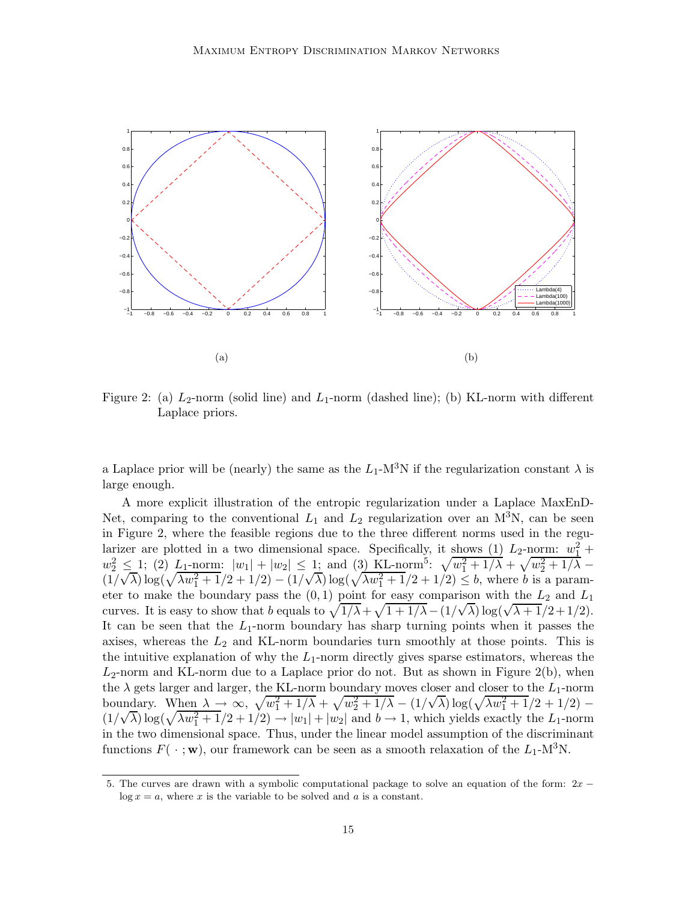

Figure 2: (a)  $L_2$ -norm (solid line) and  $L_1$ -norm (dashed line); (b) KL-norm with different Laplace priors.

a Laplace prior will be (nearly) the same as the  $L_1$ -M<sup>3</sup>N if the regularization constant  $\lambda$  is large enough.

A more explicit illustration of the entropic regularization under a Laplace MaxEnD-Net, comparing to the conventional  $L_1$  and  $L_2$  regularization over an M<sup>3</sup>N, can be seen in Figure 2, where the feasible regions due to the three different norms used in the regularizer are plotted in a two dimensional space. Specifically, it shows (1)  $L_2$ -norm:  $w_1^2$  +  $w_2^2 \leq 1$ ; (2)  $L_1$ -norm:  $|w_1| + |w_2| \leq 1$ ; and (3) KL-norm<sup>5</sup>:  $\sqrt{w_1^2 + 1/\lambda} + \sqrt{w_2^2 + 1/\lambda}$  $(1/\sqrt{\lambda}) \log(\sqrt{\lambda w_1^2 + 1}/2 + 1/2) - (1/\sqrt{\lambda}) \log(\sqrt{\lambda w_1^2 + 1}/2 + 1/2) \le b$ , where b is a parameter to make the boundary pass the  $(0,1)$  point for easy comparison with the  $L_2$  and  $L_1$ curves. It is easy to show that b equals to  $\sqrt{1/\lambda} + \sqrt{1+1/\lambda} - (1/\sqrt{\lambda}) \log(\sqrt{\lambda+1}/2+1/2)$ . It can be seen that the  $L_1$ -norm boundary has sharp turning points when it passes the axises, whereas the  $L_2$  and KL-norm boundaries turn smoothly at those points. This is the intuitive explanation of why the  $L_1$ -norm directly gives sparse estimators, whereas the  $L_2$ -norm and KL-norm due to a Laplace prior do not. But as shown in Figure 2(b), when the  $\lambda$  gets larger and larger, the KL-norm boundary moves closer and closer to the  $L_1$ -norm boundary. When  $\lambda \to \infty$ ,  $\sqrt{w_1^2 + 1/\lambda} + \sqrt{w_2^2 + 1/\lambda} - (1/\sqrt{\lambda}) \log(\sqrt{\lambda w_1^2 + 1}/2 + 1/2) (1/\sqrt{\lambda}) \log(\sqrt{\lambda w_1^2 + 1}/2 + 1/2) \rightarrow |w_1| + |w_2|$  and  $b \rightarrow 1$ , which yields exactly the L<sub>1</sub>-norm in the two dimensional space. Thus, under the linear model assumption of the discriminant functions  $F(\cdot; \mathbf{w})$ , our framework can be seen as a smooth relaxation of the  $L_1$ -M<sup>3</sup>N.

<sup>5.</sup> The curves are drawn with a symbolic computational package to solve an equation of the form: 2x −  $\log x = a$ , where x is the variable to be solved and a is a constant.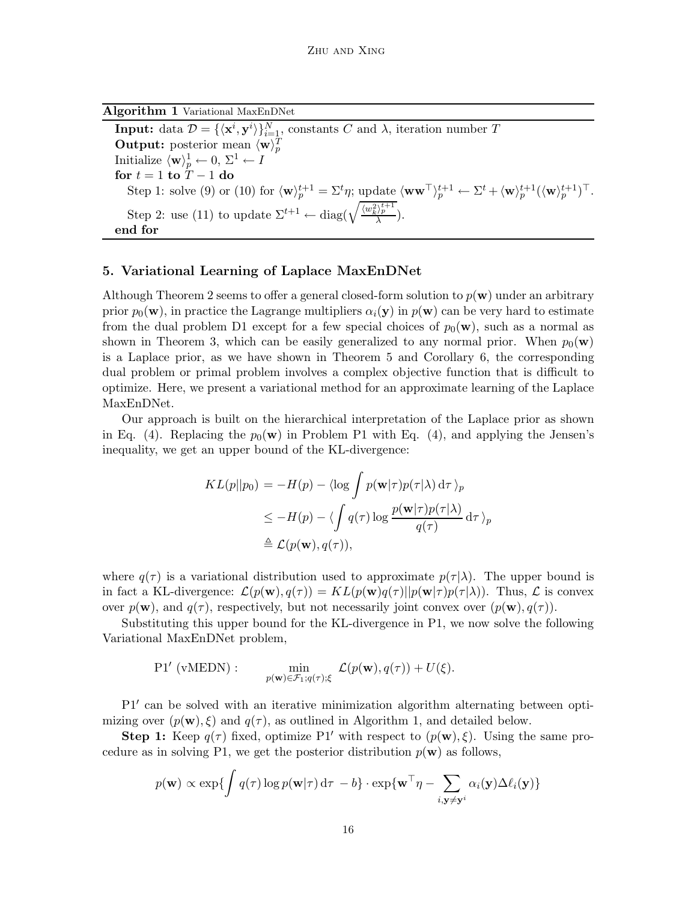Algorithm 1 Variational MaxEnDNet **Input:** data  $\mathcal{D} = \{ \langle \mathbf{x}^i, \mathbf{y}^i \rangle \}_{i=1, \atop n=1}^N$  constants C and  $\lambda$ , iteration number T **Output:** posterior mean  $\langle \mathbf{w} \rangle_p^T$ Initialize  $\langle \mathbf{w} \rangle_p^1 \leftarrow 0, \ \Sigma^1 \leftarrow I$ for  $t = 1$  to  $T - 1$  do Step 1: solve (9) or (10) for  $\langle \mathbf{w} \rangle_p^{t+1} = \Sigma^t \eta$ ; update  $\langle \mathbf{w} \mathbf{w}^\top \rangle_p^{t+1} \leftarrow \Sigma^t + \langle \mathbf{w} \rangle_p^{t+1} (\langle \mathbf{w} \rangle_p^{t+1})^\top$ . Step 2: use (11) to update  $\Sigma^{t+1} \leftarrow \text{diag}(\sqrt{\frac{\langle w_k^2 \rangle_p^{t+1}}{\lambda}})$ . end for

## 5. Variational Learning of Laplace MaxEnDNet

Although Theorem 2 seems to offer a general closed-form solution to  $p(\mathbf{w})$  under an arbitrary prior  $p_0(\mathbf{w})$ , in practice the Lagrange multipliers  $\alpha_i(\mathbf{y})$  in  $p(\mathbf{w})$  can be very hard to estimate from the dual problem D1 except for a few special choices of  $p_0(\mathbf{w})$ , such as a normal as shown in Theorem 3, which can be easily generalized to any normal prior. When  $p_0(\mathbf{w})$ is a Laplace prior, as we have shown in Theorem 5 and Corollary 6, the corresponding dual problem or primal problem involves a complex objective function that is difficult to optimize. Here, we present a variational method for an approximate learning of the Laplace MaxEnDNet.

Our approach is built on the hierarchical interpretation of the Laplace prior as shown in Eq. (4). Replacing the  $p_0(\mathbf{w})$  in Problem P1 with Eq. (4), and applying the Jensen's inequality, we get an upper bound of the KL-divergence:

$$
KL(p||p_0) = -H(p) - \langle \log \int p(\mathbf{w}|\tau)p(\tau|\lambda) d\tau \rangle_p
$$
  
\n
$$
\leq -H(p) - \langle \int q(\tau) \log \frac{p(\mathbf{w}|\tau)p(\tau|\lambda)}{q(\tau)} d\tau \rangle_p
$$
  
\n
$$
\triangleq \mathcal{L}(p(\mathbf{w}), q(\tau)),
$$

where  $q(\tau)$  is a variational distribution used to approximate  $p(\tau|\lambda)$ . The upper bound is in fact a KL-divergence:  $\mathcal{L}(p(\mathbf{w}), q(\tau)) = KL(p(\mathbf{w})q(\tau)||p(\mathbf{w}|\tau)p(\tau|\lambda)).$  Thus,  $\mathcal{L}$  is convex over  $p(\mathbf{w})$ , and  $q(\tau)$ , respectively, but not necessarily joint convex over  $(p(\mathbf{w}), q(\tau))$ .

Substituting this upper bound for the KL-divergence in P1, we now solve the following Variational MaxEnDNet problem,

$$
\text{P1}'\,\,(\text{vMEDN}): \qquad \min_{p(\mathbf{w}) \in \mathcal{F}_1; q(\tau); \xi} \,\mathcal{L}(p(\mathbf{w}), q(\tau)) + U(\xi).
$$

P1′ can be solved with an iterative minimization algorithm alternating between optimizing over  $(p(\mathbf{w}), \xi)$  and  $q(\tau)$ , as outlined in Algorithm 1, and detailed below.

**Step 1:** Keep  $q(\tau)$  fixed, optimize P1' with respect to  $(p(\mathbf{w}), \xi)$ . Using the same procedure as in solving P1, we get the posterior distribution  $p(\mathbf{w})$  as follows,

$$
p(\mathbf{w}) \propto \exp\{\int q(\tau) \log p(\mathbf{w}|\tau) d\tau - b\} \cdot \exp\{\mathbf{w}^\top \eta - \sum_{i, \mathbf{y} \neq \mathbf{y}^i} \alpha_i(\mathbf{y}) \Delta \ell_i(\mathbf{y})\}
$$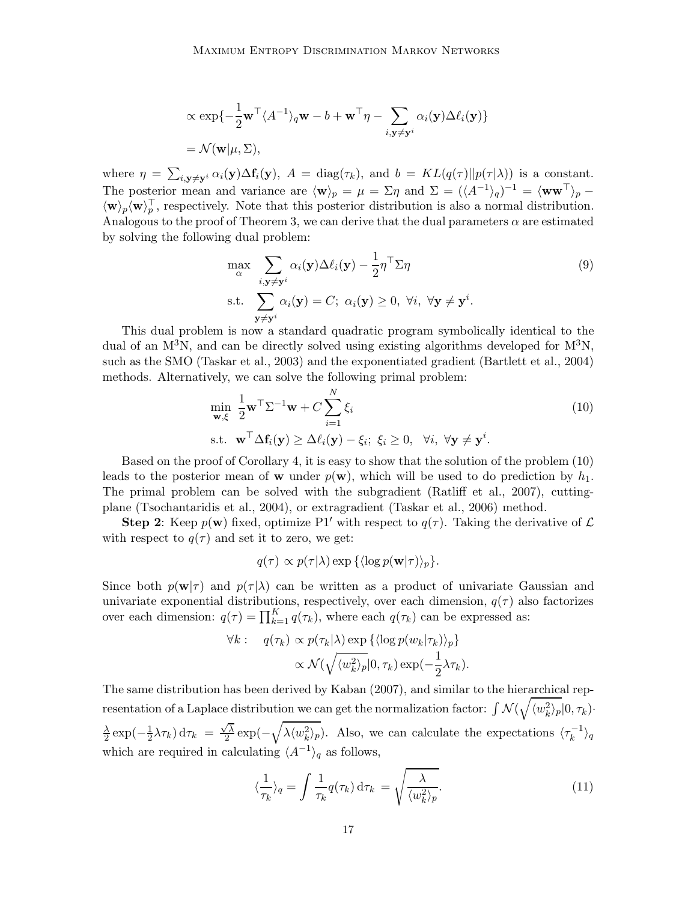$$
\alpha \exp\{-\frac{1}{2}\mathbf{w}^\top \langle A^{-1} \rangle_q \mathbf{w} - b + \mathbf{w}^\top \eta - \sum_{i,\mathbf{y} \neq \mathbf{y}^i} \alpha_i(\mathbf{y}) \Delta \ell_i(\mathbf{y})\}
$$
  
=  $\mathcal{N}(\mathbf{w}|\mu, \Sigma),$ 

where  $\eta = \sum_{i,\mathbf{y}\neq\mathbf{y}^i} \alpha_i(\mathbf{y}) \Delta \mathbf{f}_i(\mathbf{y}), A = \text{diag}(\tau_k)$ , and  $b = KL(q(\tau)||p(\tau|\lambda))$  is a constant. The posterior mean and variance are  $\langle \mathbf{w} \rangle_p = \mu = \Sigma \eta$  and  $\Sigma = (\langle A^{-1} \rangle_q)^{-1} = \langle \mathbf{w} \mathbf{w}^\top \rangle_p$  $\langle \mathbf{w} \rangle_p \langle \mathbf{w} \rangle_p^{\dagger}$ , respectively. Note that this posterior distribution is also a normal distribution. Analogous to the proof of Theorem 3, we can derive that the dual parameters  $\alpha$  are estimated by solving the following dual problem:

$$
\max_{\alpha} \sum_{i, \mathbf{y} \neq \mathbf{y}^i} \alpha_i(\mathbf{y}) \Delta \ell_i(\mathbf{y}) - \frac{1}{2} \eta^\top \Sigma \eta
$$
\ns.t. 
$$
\sum_{\mathbf{y} \neq \mathbf{y}^i} \alpha_i(\mathbf{y}) = C; \ \alpha_i(\mathbf{y}) \ge 0, \ \forall i, \ \forall \mathbf{y} \neq \mathbf{y}^i.
$$
\n(9)

This dual problem is now a standard quadratic program symbolically identical to the dual of an  $M^3N$ , and can be directly solved using existing algorithms developed for  $M^3N$ , such as the SMO (Taskar et al., 2003) and the exponentiated gradient (Bartlett et al., 2004) methods. Alternatively, we can solve the following primal problem:

$$
\min_{\mathbf{w}, \xi} \frac{1}{2} \mathbf{w}^{\top} \Sigma^{-1} \mathbf{w} + C \sum_{i=1}^{N} \xi_i
$$
\n
$$
\text{s.t. } \mathbf{w}^{\top} \Delta \mathbf{f}_i(\mathbf{y}) \ge \Delta \ell_i(\mathbf{y}) - \xi_i; \ \xi_i \ge 0, \ \forall i, \ \forall \mathbf{y} \ne \mathbf{y}^i.
$$
\n(10)

Based on the proof of Corollary 4, it is easy to show that the solution of the problem (10) leads to the posterior mean of **w** under  $p(\mathbf{w})$ , which will be used to do prediction by  $h_1$ . The primal problem can be solved with the subgradient (Ratliff et al., 2007), cuttingplane (Tsochantaridis et al., 2004), or extragradient (Taskar et al., 2006) method.

**Step 2:** Keep  $p(\mathbf{w})$  fixed, optimize P1' with respect to  $q(\tau)$ . Taking the derivative of  $\mathcal{L}$ with respect to  $q(\tau)$  and set it to zero, we get:

$$
q(\tau) \propto p(\tau|\lambda) \exp\left\{\langle \log p(\mathbf{w}|\tau) \rangle_p \right\}.
$$

Since both  $p(\mathbf{w}|\tau)$  and  $p(\tau|\lambda)$  can be written as a product of univariate Gaussian and univariate exponential distributions, respectively, over each dimension,  $q(\tau)$  also factorizes over each dimension:  $q(\tau) = \prod_{k=1}^{K} q(\tau_k)$ , where each  $q(\tau_k)$  can be expressed as:

$$
\forall k: \quad q(\tau_k) \propto p(\tau_k|\lambda) \exp\left\{ \langle \log p(w_k|\tau_k) \rangle_p \right\} \\ \propto \mathcal{N}(\sqrt{\langle w_k^2 \rangle_p} |0, \tau_k) \exp(-\frac{1}{2}\lambda \tau_k).
$$

The same distribution has been derived by Kaban (2007), and similar to the hierarchical representation of a Laplace distribution we can get the normalization factor:  $\int \mathcal{N}(\sqrt{\langle w_k^2 \rangle_p} |0, \tau_k)$ .  $\lambda$  $\frac{\lambda}{2}$  exp( $-\frac{1}{2}$  $\frac{1}{2}\lambda\tau_k$  d $\tau_k = \frac{\sqrt{\lambda}}{2}$  $\sqrt{\lambda} \exp(-\sqrt{\lambda \langle w_k^2 \rangle_p})$ . Also, we can calculate the expectations  $\langle \tau_k^{-1} \rangle_q$ which are required in calculating  $\langle A^{-1} \rangle_q$  as follows,

$$
\langle \frac{1}{\tau_k} \rangle_q = \int \frac{1}{\tau_k} q(\tau_k) \, \mathrm{d}\tau_k = \sqrt{\frac{\lambda}{\langle w_k^2 \rangle_p}}.
$$
\n(11)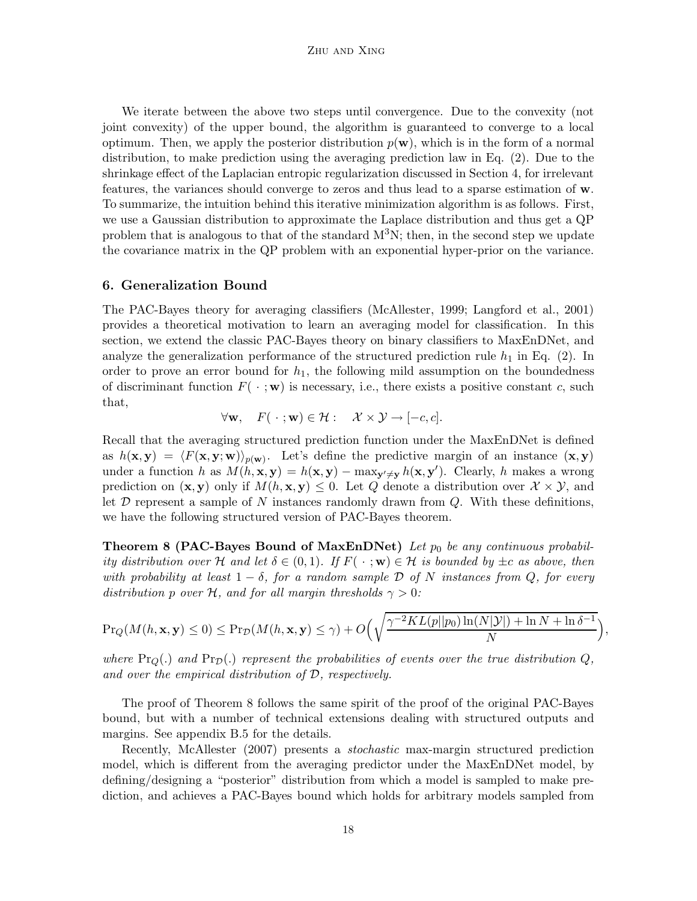We iterate between the above two steps until convergence. Due to the convexity (not joint convexity) of the upper bound, the algorithm is guaranteed to converge to a local optimum. Then, we apply the posterior distribution  $p(\mathbf{w})$ , which is in the form of a normal distribution, to make prediction using the averaging prediction law in Eq. (2). Due to the shrinkage effect of the Laplacian entropic regularization discussed in Section 4, for irrelevant features, the variances should converge to zeros and thus lead to a sparse estimation of w. To summarize, the intuition behind this iterative minimization algorithm is as follows. First, we use a Gaussian distribution to approximate the Laplace distribution and thus get a QP problem that is analogous to that of the standard  $M^3N$ ; then, in the second step we update the covariance matrix in the QP problem with an exponential hyper-prior on the variance.

#### 6. Generalization Bound

The PAC-Bayes theory for averaging classifiers (McAllester, 1999; Langford et al., 2001) provides a theoretical motivation to learn an averaging model for classification. In this section, we extend the classic PAC-Bayes theory on binary classifiers to MaxEnDNet, and analyze the generalization performance of the structured prediction rule  $h_1$  in Eq. (2). In order to prove an error bound for  $h_1$ , the following mild assumption on the boundedness of discriminant function  $F(\cdot;\mathbf{w})$  is necessary, i.e., there exists a positive constant c, such that,

$$
\forall \mathbf{w}, \quad F(\cdot; \mathbf{w}) \in \mathcal{H} : \quad \mathcal{X} \times \mathcal{Y} \to [-c, c].
$$

Recall that the averaging structured prediction function under the MaxEnDNet is defined as  $h(\mathbf{x}, \mathbf{y}) = \langle F(\mathbf{x}, \mathbf{y}; \mathbf{w}) \rangle_{p(\mathbf{w})}$ . Let's define the predictive margin of an instance  $(\mathbf{x}, \mathbf{y})$ under a function h as  $M(h, \mathbf{x}, \mathbf{y}) = h(\mathbf{x}, \mathbf{y}) - \max_{\mathbf{y}' \neq \mathbf{y}} h(\mathbf{x}, \mathbf{y}')$ . Clearly, h makes a wrong prediction on  $(\mathbf{x}, \mathbf{y})$  only if  $M(h, \mathbf{x}, \mathbf{y}) \leq 0$ . Let Q denote a distribution over  $\mathcal{X} \times \mathcal{Y}$ , and let  $\mathcal D$  represent a sample of N instances randomly drawn from  $Q$ . With these definitions, we have the following structured version of PAC-Bayes theorem.

**Theorem 8 (PAC-Bayes Bound of MaxEnDNet)** Let  $p_0$  be any continuous probabil*ity distribution over* H *and let*  $\delta \in (0,1)$ *. If*  $F(\cdot;\mathbf{w}) \in \mathcal{H}$  *is bounded by*  $\pm c$  *as above, then with probability at least* 1 − δ*, for a random sample* D *of* N *instances from* Q*, for every distribution* p *over* H, and for all margin thresholds  $\gamma > 0$ :

$$
\Pr_Q(M(h, \mathbf{x}, \mathbf{y}) \le 0) \le \Pr_D(M(h, \mathbf{x}, \mathbf{y}) \le \gamma) + O\left(\sqrt{\frac{\gamma^{-2}KL(p||p_0)\ln(N|\mathcal{Y}|) + \ln N + \ln \delta^{-1}}{N}}\right)
$$

,

where  $\Pr_{Q}(.)$  and  $\Pr_{Q}()$  represent the probabilities of events over the true distribution  $Q$ , *and over the empirical distribution of* D*, respectively.*

The proof of Theorem 8 follows the same spirit of the proof of the original PAC-Bayes bound, but with a number of technical extensions dealing with structured outputs and margins. See appendix B.5 for the details.

Recently, McAllester (2007) presents a *stochastic* max-margin structured prediction model, which is different from the averaging predictor under the MaxEnDNet model, by defining/designing a "posterior" distribution from which a model is sampled to make prediction, and achieves a PAC-Bayes bound which holds for arbitrary models sampled from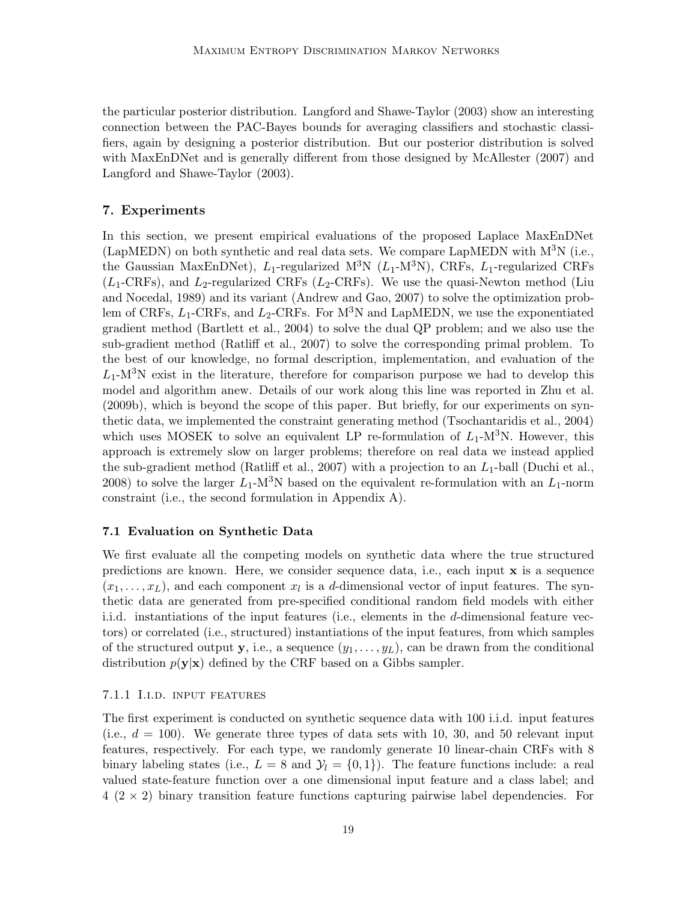the particular posterior distribution. Langford and Shawe-Taylor (2003) show an interesting connection between the PAC-Bayes bounds for averaging classifiers and stochastic classifiers, again by designing a posterior distribution. But our posterior distribution is solved with MaxEnDNet and is generally different from those designed by McAllester (2007) and Langford and Shawe-Taylor (2003).

## 7. Experiments

In this section, we present empirical evaluations of the proposed Laplace MaxEnDNet (LapMEDN) on both synthetic and real data sets. We compare LapMEDN with  $M^3N$  (i.e., the Gaussian MaxEnDNet),  $L_1$ -regularized M<sup>3</sup>N ( $L_1$ -M<sup>3</sup>N), CRFs,  $L_1$ -regularized CRFs  $(L_1\text{-CRFs})$ , and  $L_2\text{-regularized CRFs}$  ( $L_2\text{-CRFs}$ ). We use the quasi-Newton method (Liu and Nocedal, 1989) and its variant (Andrew and Gao, 2007) to solve the optimization problem of CRFs,  $L_1$ -CRFs, and  $L_2$ -CRFs. For M<sup>3</sup>N and LapMEDN, we use the exponentiated gradient method (Bartlett et al., 2004) to solve the dual QP problem; and we also use the sub-gradient method (Ratliff et al., 2007) to solve the corresponding primal problem. To the best of our knowledge, no formal description, implementation, and evaluation of the  $L_1$ -M<sup>3</sup>N exist in the literature, therefore for comparison purpose we had to develop this model and algorithm anew. Details of our work along this line was reported in Zhu et al. (2009b), which is beyond the scope of this paper. But briefly, for our experiments on synthetic data, we implemented the constraint generating method (Tsochantaridis et al., 2004) which uses MOSEK to solve an equivalent LP re-formulation of  $L_1$ -M<sup>3</sup>N. However, this approach is extremely slow on larger problems; therefore on real data we instead applied the sub-gradient method (Ratliff et al., 2007) with a projection to an  $L_1$ -ball (Duchi et al., 2008) to solve the larger  $L_1$ -M<sup>3</sup>N based on the equivalent re-formulation with an  $L_1$ -norm constraint (i.e., the second formulation in Appendix A).

## 7.1 Evaluation on Synthetic Data

We first evaluate all the competing models on synthetic data where the true structured predictions are known. Here, we consider sequence data, i.e., each input  $x$  is a sequence  $(x_1, \ldots, x_L)$ , and each component  $x_l$  is a d-dimensional vector of input features. The synthetic data are generated from pre-specified conditional random field models with either i.i.d. instantiations of the input features (i.e., elements in the d-dimensional feature vectors) or correlated (i.e., structured) instantiations of the input features, from which samples of the structured output y, i.e., a sequence  $(y_1, \ldots, y_L)$ , can be drawn from the conditional distribution  $p(\mathbf{y}|\mathbf{x})$  defined by the CRF based on a Gibbs sampler.

#### 7.1.1 I.i.d. input features

The first experiment is conducted on synthetic sequence data with 100 i.i.d. input features (i.e.,  $d = 100$ ). We generate three types of data sets with 10, 30, and 50 relevant input features, respectively. For each type, we randomly generate 10 linear-chain CRFs with 8 binary labeling states (i.e.,  $L = 8$  and  $\mathcal{Y}_l = \{0, 1\}$ ). The feature functions include: a real valued state-feature function over a one dimensional input feature and a class label; and  $4 (2 \times 2)$  binary transition feature functions capturing pairwise label dependencies. For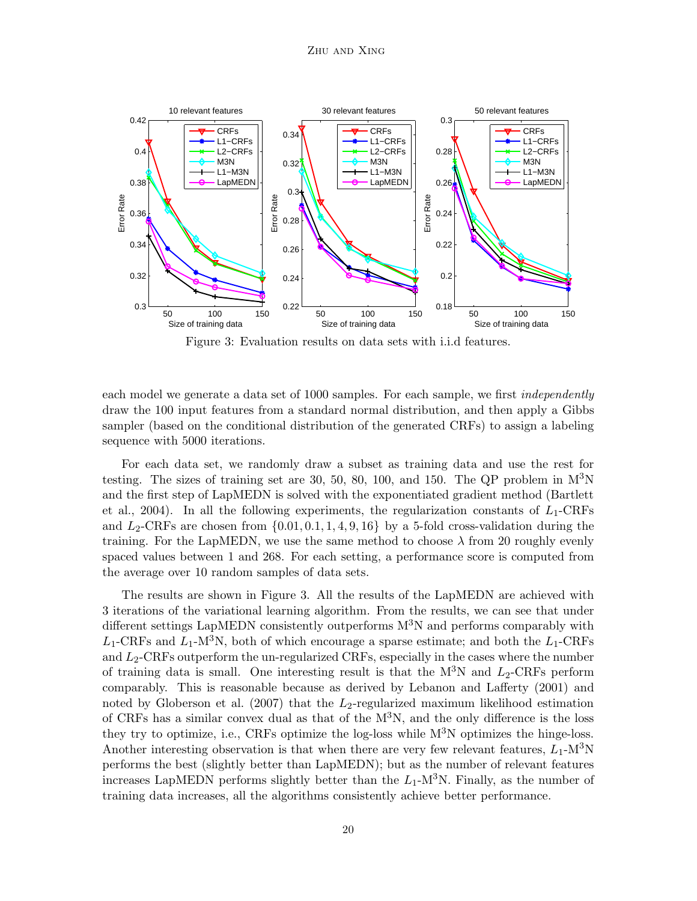

Figure 3: Evaluation results on data sets with i.i.d features.

each model we generate a data set of 1000 samples. For each sample, we first *independently* draw the 100 input features from a standard normal distribution, and then apply a Gibbs sampler (based on the conditional distribution of the generated CRFs) to assign a labeling sequence with 5000 iterations.

For each data set, we randomly draw a subset as training data and use the rest for testing. The sizes of training set are 30, 50, 80, 100, and 150. The QP problem in  $M^{3}N$ and the first step of LapMEDN is solved with the exponentiated gradient method (Bartlett et al., 2004). In all the following experiments, the regularization constants of  $L_1$ -CRFs and  $L_2$ -CRFs are chosen from  $\{0.01, 0.1, 1, 4, 9, 16\}$  by a 5-fold cross-validation during the training. For the LapMEDN, we use the same method to choose  $\lambda$  from 20 roughly evenly spaced values between 1 and 268. For each setting, a performance score is computed from the average over 10 random samples of data sets.

The results are shown in Figure 3. All the results of the LapMEDN are achieved with 3 iterations of the variational learning algorithm. From the results, we can see that under different settings LapMEDN consistently outperforms  $M<sup>3</sup>N$  and performs comparably with  $L_1$ -CRFs and  $L_1$ -M<sup>3</sup>N, both of which encourage a sparse estimate; and both the  $L_1$ -CRFs and  $L_2$ -CRFs outperform the un-regularized CRFs, especially in the cases where the number of training data is small. One interesting result is that the  $M^3N$  and  $L_2$ -CRFs perform comparably. This is reasonable because as derived by Lebanon and Lafferty (2001) and noted by Globerson et al. (2007) that the  $L_2$ -regularized maximum likelihood estimation of CRFs has a similar convex dual as that of the  $M<sup>3</sup>N$ , and the only difference is the loss they try to optimize, i.e., CRFs optimize the log-loss while  $M<sup>3</sup>N$  optimizes the hinge-loss. Another interesting observation is that when there are very few relevant features,  $L_1$ -M<sup>3</sup>N performs the best (slightly better than LapMEDN); but as the number of relevant features increases LapMEDN performs slightly better than the  $L_1$ -M<sup>3</sup>N. Finally, as the number of training data increases, all the algorithms consistently achieve better performance.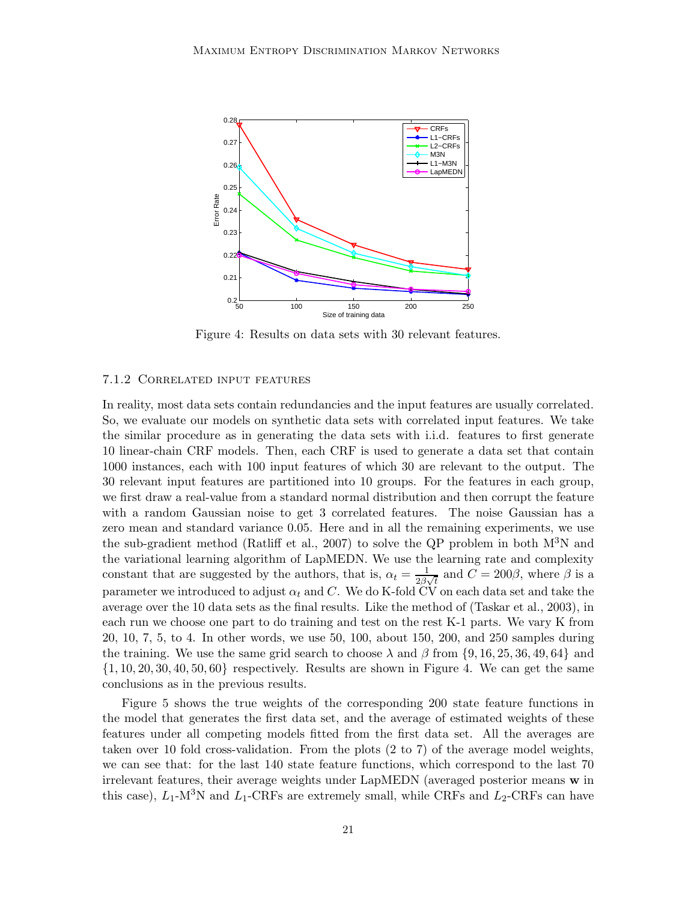

Figure 4: Results on data sets with 30 relevant features.

#### 7.1.2 Correlated input features

In reality, most data sets contain redundancies and the input features are usually correlated. So, we evaluate our models on synthetic data sets with correlated input features. We take the similar procedure as in generating the data sets with i.i.d. features to first generate 10 linear-chain CRF models. Then, each CRF is used to generate a data set that contain 1000 instances, each with 100 input features of which 30 are relevant to the output. The 30 relevant input features are partitioned into 10 groups. For the features in each group, we first draw a real-value from a standard normal distribution and then corrupt the feature with a random Gaussian noise to get 3 correlated features. The noise Gaussian has a zero mean and standard variance 0.05. Here and in all the remaining experiments, we use the sub-gradient method (Ratliff et al., 2007) to solve the QP problem in both  $M^3N$  and the variational learning algorithm of LapMEDN. We use the learning rate and complexity constant that are suggested by the authors, that is,  $\alpha_t = \frac{1}{2\beta_t}$  $\frac{1}{2\beta\sqrt{t}}$  and  $C = 200\beta$ , where  $\beta$  is a parameter we introduced to adjust  $\alpha_t$  and C. We do K-fold CV on each data set and take the average over the 10 data sets as the final results. Like the method of (Taskar et al., 2003), in each run we choose one part to do training and test on the rest K-1 parts. We vary K from 20, 10, 7, 5, to 4. In other words, we use 50, 100, about 150, 200, and 250 samples during the training. We use the same grid search to choose  $\lambda$  and  $\beta$  from {9, 16, 25, 36, 49, 64} and  $\{1, 10, 20, 30, 40, 50, 60\}$  respectively. Results are shown in Figure 4. We can get the same conclusions as in the previous results.

Figure 5 shows the true weights of the corresponding 200 state feature functions in the model that generates the first data set, and the average of estimated weights of these features under all competing models fitted from the first data set. All the averages are taken over 10 fold cross-validation. From the plots (2 to 7) of the average model weights, we can see that: for the last 140 state feature functions, which correspond to the last 70 irrelevant features, their average weights under LapMEDN (averaged posterior means w in this case),  $L_1$ -M<sup>3</sup>N and  $L_1$ -CRFs are extremely small, while CRFs and  $L_2$ -CRFs can have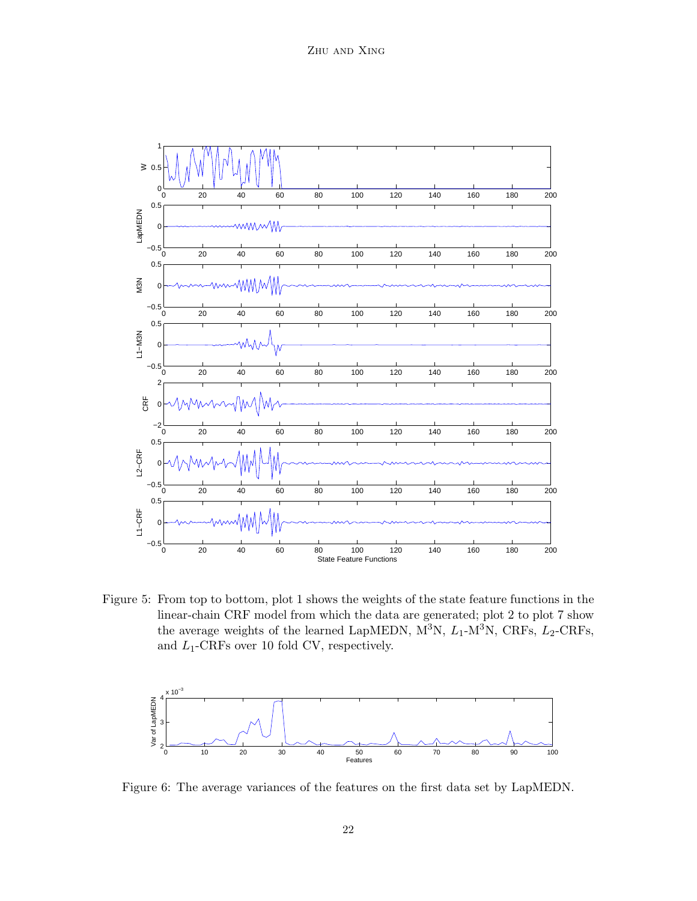

Figure 5: From top to bottom, plot 1 shows the weights of the state feature functions in the linear-chain CRF model from which the data are generated; plot 2 to plot 7 show the average weights of the learned LapMEDN,  $\overline{M}^3$ N,  $L_1$ - $\overline{M}^3$ N, CRFs,  $L_2$ -CRFs, and  $L_1$ -CRFs over 10 fold CV, respectively.



Figure 6: The average variances of the features on the first data set by LapMEDN.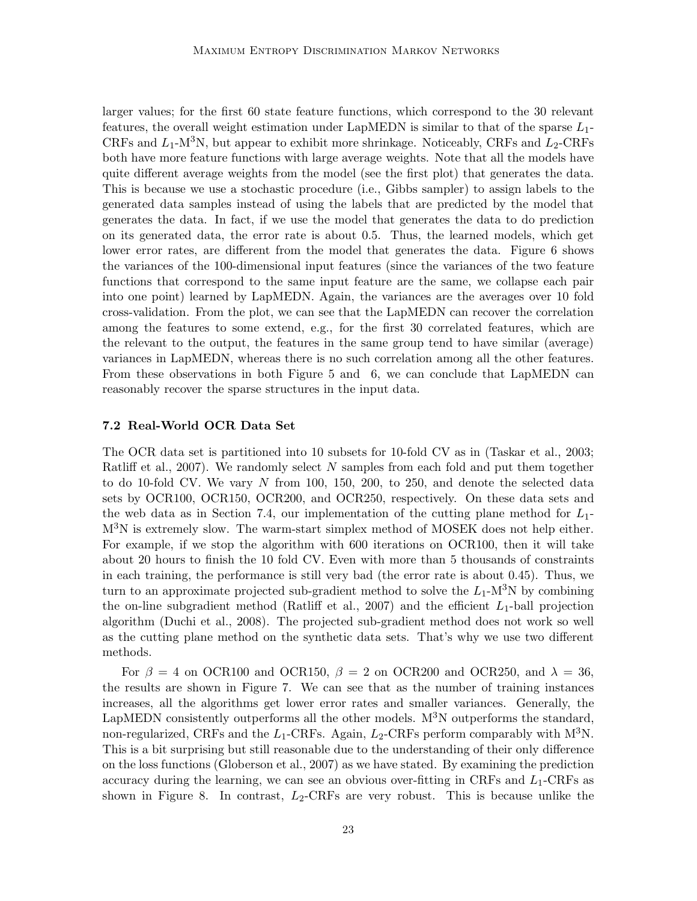larger values; for the first 60 state feature functions, which correspond to the 30 relevant features, the overall weight estimation under LapMEDN is similar to that of the sparse  $L_1$ -CRFs and  $L_1$ -M<sup>3</sup>N, but appear to exhibit more shrinkage. Noticeably, CRFs and  $L_2$ -CRFs both have more feature functions with large average weights. Note that all the models have quite different average weights from the model (see the first plot) that generates the data. This is because we use a stochastic procedure (i.e., Gibbs sampler) to assign labels to the generated data samples instead of using the labels that are predicted by the model that generates the data. In fact, if we use the model that generates the data to do prediction on its generated data, the error rate is about 0.5. Thus, the learned models, which get lower error rates, are different from the model that generates the data. Figure 6 shows the variances of the 100-dimensional input features (since the variances of the two feature functions that correspond to the same input feature are the same, we collapse each pair into one point) learned by LapMEDN. Again, the variances are the averages over 10 fold cross-validation. From the plot, we can see that the LapMEDN can recover the correlation among the features to some extend, e.g., for the first 30 correlated features, which are the relevant to the output, the features in the same group tend to have similar (average) variances in LapMEDN, whereas there is no such correlation among all the other features. From these observations in both Figure 5 and 6, we can conclude that LapMEDN can reasonably recover the sparse structures in the input data.

#### 7.2 Real-World OCR Data Set

The OCR data set is partitioned into 10 subsets for 10-fold CV as in (Taskar et al., 2003; Ratliff et al., 2007). We randomly select  $N$  samples from each fold and put them together to do 10-fold CV. We vary N from 100, 150, 200, to 250, and denote the selected data sets by OCR100, OCR150, OCR200, and OCR250, respectively. On these data sets and the web data as in Section 7.4, our implementation of the cutting plane method for  $L_1$ - $M<sup>3</sup>N$  is extremely slow. The warm-start simplex method of MOSEK does not help either. For example, if we stop the algorithm with 600 iterations on OCR100, then it will take about 20 hours to finish the 10 fold CV. Even with more than 5 thousands of constraints in each training, the performance is still very bad (the error rate is about 0.45). Thus, we turn to an approximate projected sub-gradient method to solve the  $L_1$ -M<sup>3</sup>N by combining the on-line subgradient method (Ratliff et al., 2007) and the efficient  $L_1$ -ball projection algorithm (Duchi et al., 2008). The projected sub-gradient method does not work so well as the cutting plane method on the synthetic data sets. That's why we use two different methods.

For  $\beta = 4$  on OCR100 and OCR150,  $\beta = 2$  on OCR200 and OCR250, and  $\lambda = 36$ , the results are shown in Figure 7. We can see that as the number of training instances increases, all the algorithms get lower error rates and smaller variances. Generally, the LapMEDN consistently outperforms all the other models.  $M<sup>3</sup>N$  outperforms the standard, non-regularized, CRFs and the  $L_1$ -CRFs. Again,  $L_2$ -CRFs perform comparably with M<sup>3</sup>N. This is a bit surprising but still reasonable due to the understanding of their only difference on the loss functions (Globerson et al., 2007) as we have stated. By examining the prediction accuracy during the learning, we can see an obvious over-fitting in CRFs and  $L_1$ -CRFs as shown in Figure 8. In contrast,  $L_2$ -CRFs are very robust. This is because unlike the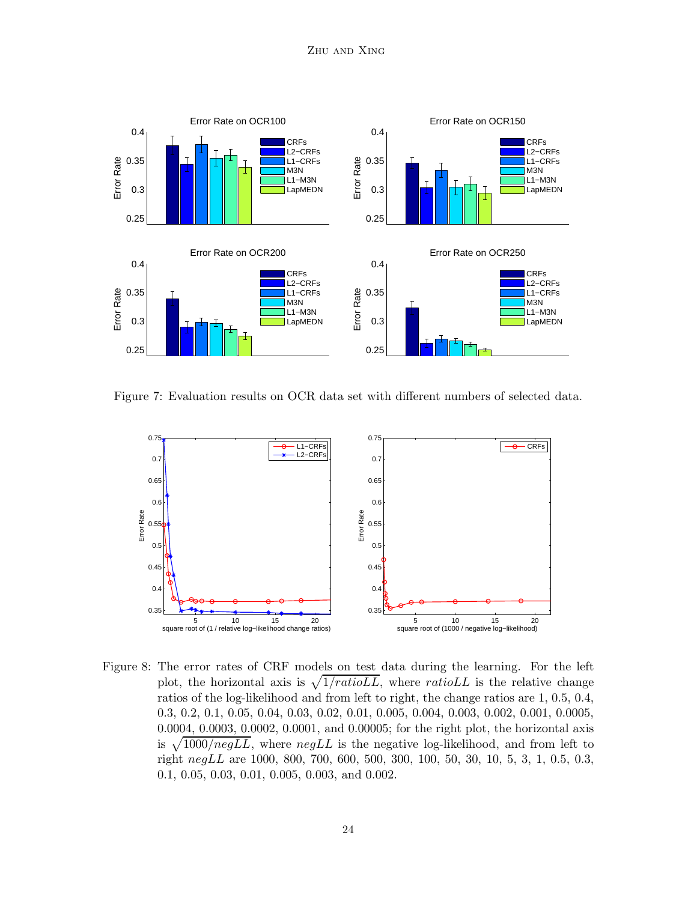

Figure 7: Evaluation results on OCR data set with different numbers of selected data.



Figure 8: The error rates of CRF models on test data during the learning. For the left plot, the horizontal axis is  $\sqrt{1/ratioLL}$ , where ratioLL is the relative change ratios of the log-likelihood and from left to right, the change ratios are 1, 0.5, 0.4, 0.3, 0.2, 0.1, 0.05, 0.04, 0.03, 0.02, 0.01, 0.005, 0.004, 0.003, 0.002, 0.001, 0.0005, 0.0004, 0.0003, 0.0002, 0.0001, and 0.00005; for the right plot, the horizontal axis is  $\sqrt{1000/negLL}$ , where  $negLL$  is the negative log-likelihood, and from left to right negLL are 1000, 800, 700, 600, 500, 300, 100, 50, 30, 10, 5, 3, 1, 0.5, 0.3, 0.1, 0.05, 0.03, 0.01, 0.005, 0.003, and 0.002.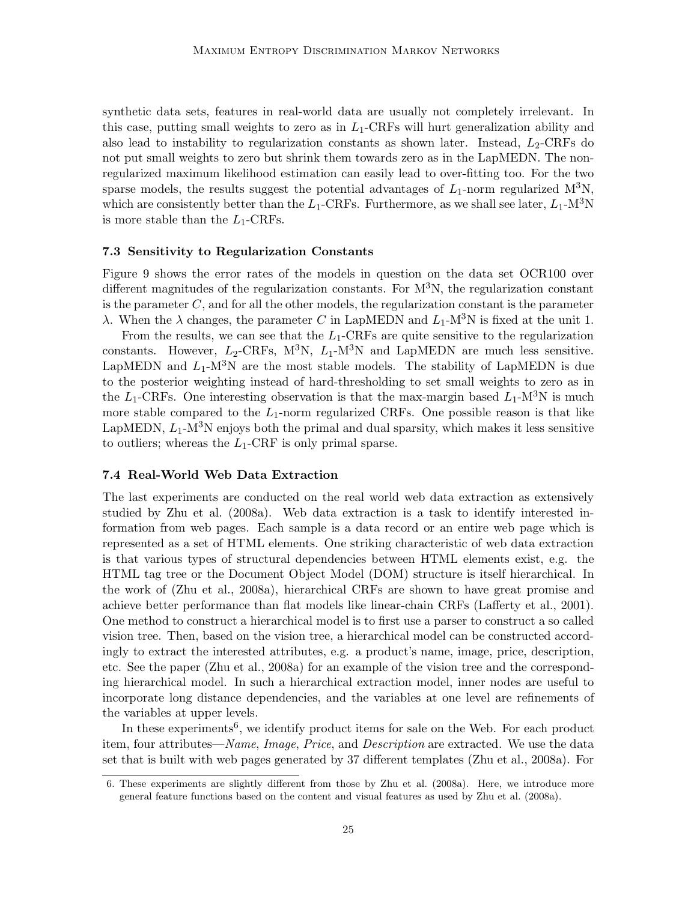synthetic data sets, features in real-world data are usually not completely irrelevant. In this case, putting small weights to zero as in  $L_1$ -CRFs will hurt generalization ability and also lead to instability to regularization constants as shown later. Instead,  $L_2$ -CRFs do not put small weights to zero but shrink them towards zero as in the LapMEDN. The nonregularized maximum likelihood estimation can easily lead to over-fitting too. For the two sparse models, the results suggest the potential advantages of  $L_1$ -norm regularized M<sup>3</sup>N, which are consistently better than the  $L_1$ -CRFs. Furthermore, as we shall see later,  $L_1$ -M<sup>3</sup>N is more stable than the  $L_1$ -CRFs.

#### 7.3 Sensitivity to Regularization Constants

Figure 9 shows the error rates of the models in question on the data set OCR100 over different magnitudes of the regularization constants. For  $M^{3}N$ , the regularization constant is the parameter  $C$ , and for all the other models, the regularization constant is the parameter  $λ$ . When the  $λ$  changes, the parameter C in LapMEDN and  $L_1$ -M<sup>3</sup>N is fixed at the unit 1.

From the results, we can see that the  $L_1$ -CRFs are quite sensitive to the regularization constants. However,  $L_2$ -CRFs,  $M^3N$ ,  $L_1$ -M<sup>3</sup>N and LapMEDN are much less sensitive. LapMEDN and  $L_1$ -M<sup>3</sup>N are the most stable models. The stability of LapMEDN is due to the posterior weighting instead of hard-thresholding to set small weights to zero as in the  $L_1$ -CRFs. One interesting observation is that the max-margin based  $L_1$ -M<sup>3</sup>N is much more stable compared to the  $L_1$ -norm regularized CRFs. One possible reason is that like LapMEDN,  $L_1$ -M<sup>3</sup>N enjoys both the primal and dual sparsity, which makes it less sensitive to outliers; whereas the  $L_1$ -CRF is only primal sparse.

## 7.4 Real-World Web Data Extraction

The last experiments are conducted on the real world web data extraction as extensively studied by Zhu et al. (2008a). Web data extraction is a task to identify interested information from web pages. Each sample is a data record or an entire web page which is represented as a set of HTML elements. One striking characteristic of web data extraction is that various types of structural dependencies between HTML elements exist, e.g. the HTML tag tree or the Document Object Model (DOM) structure is itself hierarchical. In the work of (Zhu et al., 2008a), hierarchical CRFs are shown to have great promise and achieve better performance than flat models like linear-chain CRFs (Lafferty et al., 2001). One method to construct a hierarchical model is to first use a parser to construct a so called vision tree. Then, based on the vision tree, a hierarchical model can be constructed accordingly to extract the interested attributes, e.g. a product's name, image, price, description, etc. See the paper (Zhu et al., 2008a) for an example of the vision tree and the corresponding hierarchical model. In such a hierarchical extraction model, inner nodes are useful to incorporate long distance dependencies, and the variables at one level are refinements of the variables at upper levels.

In these experiments<sup>6</sup>, we identify product items for sale on the Web. For each product item, four attributes—*Name*, *Image*, *Price*, and *Description* are extracted. We use the data set that is built with web pages generated by 37 different templates (Zhu et al., 2008a). For

<sup>6.</sup> These experiments are slightly different from those by Zhu et al. (2008a). Here, we introduce more general feature functions based on the content and visual features as used by Zhu et al. (2008a).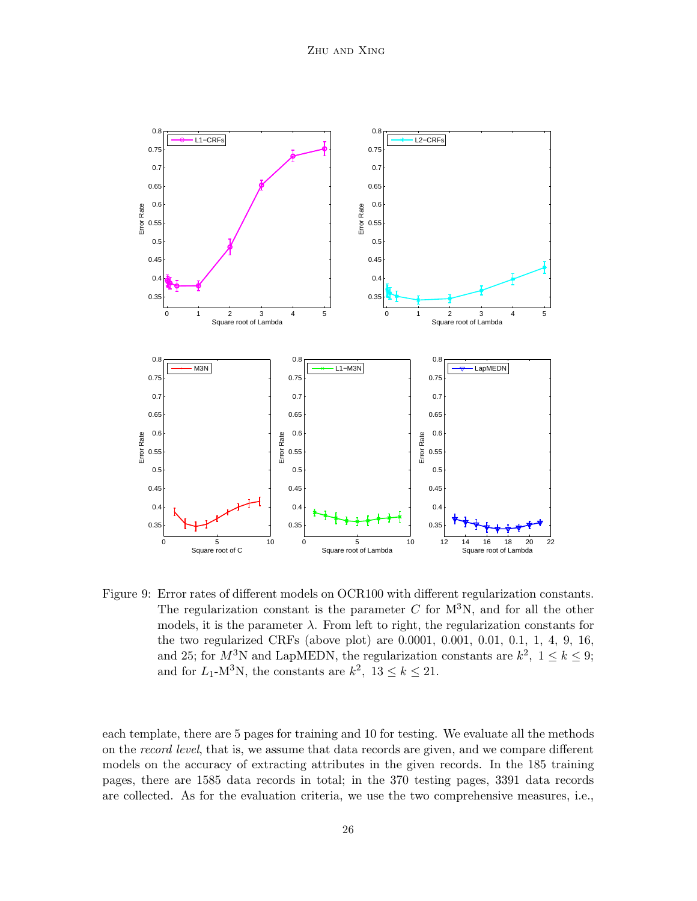

Figure 9: Error rates of different models on OCR100 with different regularization constants. The regularization constant is the parameter  $C$  for  $M^3N$ , and for all the other models, it is the parameter  $\lambda$ . From left to right, the regularization constants for the two regularized CRFs (above plot) are 0.0001, 0.001, 0.01, 0.1, 1, 4, 9, 16, and 25; for  $M^3$ N and LapMEDN, the regularization constants are  $k^2$ ,  $1 \leq k \leq 9$ ; and for  $L_1$ -M<sup>3</sup>N, the constants are  $k^2$ ,  $13 \le k \le 21$ .

each template, there are 5 pages for training and 10 for testing. We evaluate all the methods on the *record level*, that is, we assume that data records are given, and we compare different models on the accuracy of extracting attributes in the given records. In the 185 training pages, there are 1585 data records in total; in the 370 testing pages, 3391 data records are collected. As for the evaluation criteria, we use the two comprehensive measures, i.e.,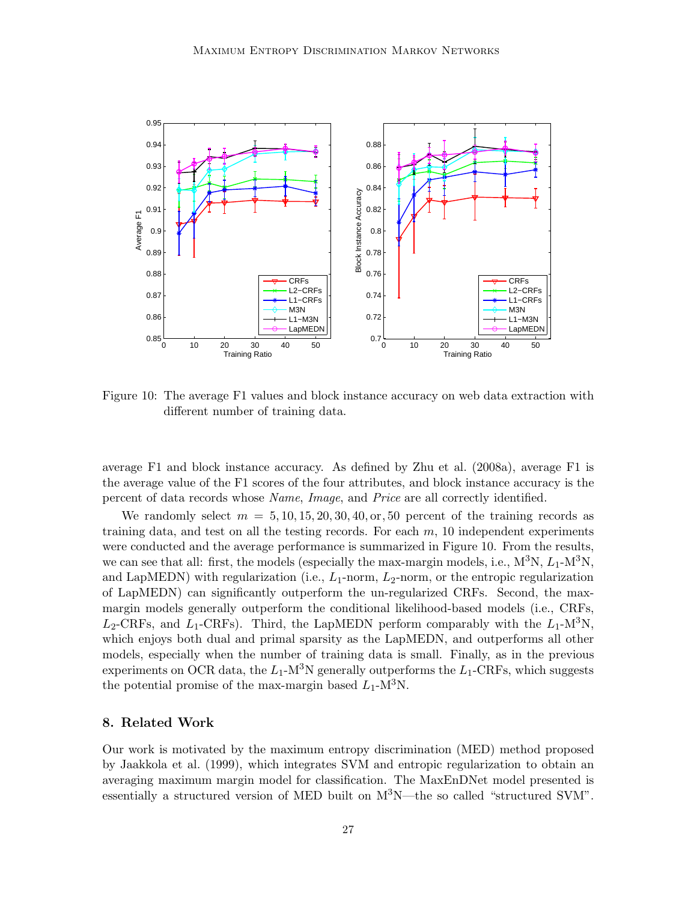

Figure 10: The average F1 values and block instance accuracy on web data extraction with different number of training data.

average F1 and block instance accuracy. As defined by Zhu et al. (2008a), average F1 is the average value of the F1 scores of the four attributes, and block instance accuracy is the percent of data records whose *Name*, *Image*, and *Price* are all correctly identified.

We randomly select  $m = 5, 10, 15, 20, 30, 40, \text{or}, 50$  percent of the training records as training data, and test on all the testing records. For each  $m$ , 10 independent experiments were conducted and the average performance is summarized in Figure 10. From the results, we can see that all: first, the models (especially the max-margin models, i.e.,  $M^3N$ ,  $L_1-M^3N$ , and LapMEDN) with regularization (i.e.,  $L_1$ -norm,  $L_2$ -norm, or the entropic regularization of LapMEDN) can significantly outperform the un-regularized CRFs. Second, the maxmargin models generally outperform the conditional likelihood-based models (i.e., CRFs,  $L_2$ -CRFs, and  $L_1$ -CRFs). Third, the LapMEDN perform comparably with the  $L_1$ -M<sup>3</sup>N, which enjoys both dual and primal sparsity as the LapMEDN, and outperforms all other models, especially when the number of training data is small. Finally, as in the previous experiments on OCR data, the  $L_1$ -M<sup>3</sup>N generally outperforms the  $L_1$ -CRFs, which suggests the potential promise of the max-margin based  $L_1$ -M<sup>3</sup>N.

#### 8. Related Work

Our work is motivated by the maximum entropy discrimination (MED) method proposed by Jaakkola et al. (1999), which integrates SVM and entropic regularization to obtain an averaging maximum margin model for classification. The MaxEnDNet model presented is essentially a structured version of MED built on  $M^3N$ —the so called "structured SVM".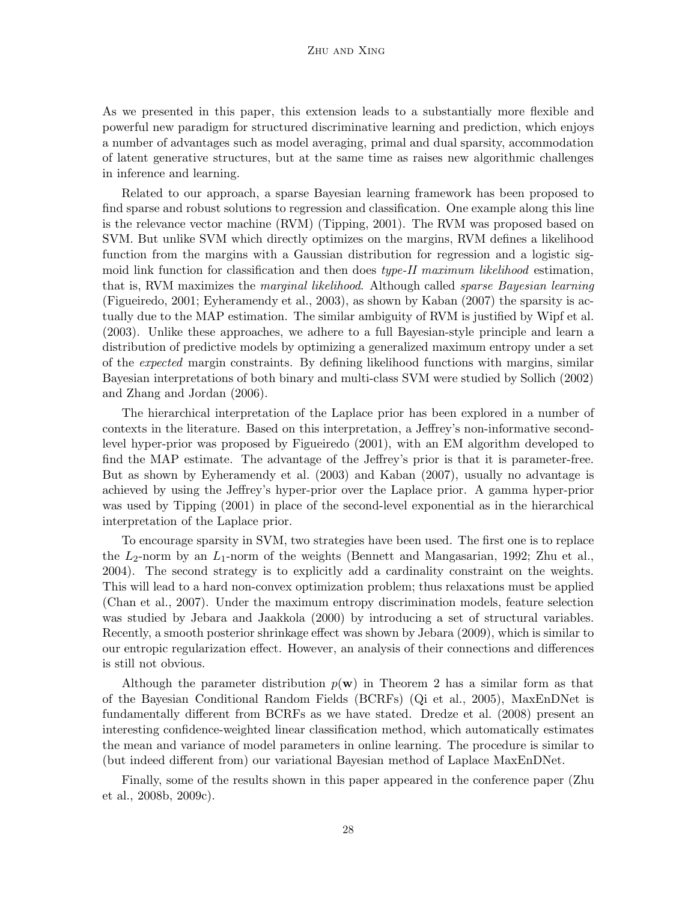As we presented in this paper, this extension leads to a substantially more flexible and powerful new paradigm for structured discriminative learning and prediction, which enjoys a number of advantages such as model averaging, primal and dual sparsity, accommodation of latent generative structures, but at the same time as raises new algorithmic challenges in inference and learning.

Related to our approach, a sparse Bayesian learning framework has been proposed to find sparse and robust solutions to regression and classification. One example along this line is the relevance vector machine (RVM) (Tipping, 2001). The RVM was proposed based on SVM. But unlike SVM which directly optimizes on the margins, RVM defines a likelihood function from the margins with a Gaussian distribution for regression and a logistic sigmoid link function for classification and then does *type-II maximum likelihood* estimation, that is, RVM maximizes the *marginal likelihood*. Although called *sparse Bayesian learning* (Figueiredo, 2001; Eyheramendy et al., 2003), as shown by Kaban (2007) the sparsity is actually due to the MAP estimation. The similar ambiguity of RVM is justified by Wipf et al. (2003). Unlike these approaches, we adhere to a full Bayesian-style principle and learn a distribution of predictive models by optimizing a generalized maximum entropy under a set of the *expected* margin constraints. By defining likelihood functions with margins, similar Bayesian interpretations of both binary and multi-class SVM were studied by Sollich (2002) and Zhang and Jordan (2006).

The hierarchical interpretation of the Laplace prior has been explored in a number of contexts in the literature. Based on this interpretation, a Jeffrey's non-informative secondlevel hyper-prior was proposed by Figueiredo (2001), with an EM algorithm developed to find the MAP estimate. The advantage of the Jeffrey's prior is that it is parameter-free. But as shown by Eyheramendy et al. (2003) and Kaban (2007), usually no advantage is achieved by using the Jeffrey's hyper-prior over the Laplace prior. A gamma hyper-prior was used by Tipping (2001) in place of the second-level exponential as in the hierarchical interpretation of the Laplace prior.

To encourage sparsity in SVM, two strategies have been used. The first one is to replace the  $L_2$ -norm by an  $L_1$ -norm of the weights (Bennett and Mangasarian, 1992; Zhu et al., 2004). The second strategy is to explicitly add a cardinality constraint on the weights. This will lead to a hard non-convex optimization problem; thus relaxations must be applied (Chan et al., 2007). Under the maximum entropy discrimination models, feature selection was studied by Jebara and Jaakkola (2000) by introducing a set of structural variables. Recently, a smooth posterior shrinkage effect was shown by Jebara (2009), which is similar to our entropic regularization effect. However, an analysis of their connections and differences is still not obvious.

Although the parameter distribution  $p(\mathbf{w})$  in Theorem 2 has a similar form as that of the Bayesian Conditional Random Fields (BCRFs) (Qi et al., 2005), MaxEnDNet is fundamentally different from BCRFs as we have stated. Dredze et al. (2008) present an interesting confidence-weighted linear classification method, which automatically estimates the mean and variance of model parameters in online learning. The procedure is similar to (but indeed different from) our variational Bayesian method of Laplace MaxEnDNet.

Finally, some of the results shown in this paper appeared in the conference paper (Zhu et al., 2008b, 2009c).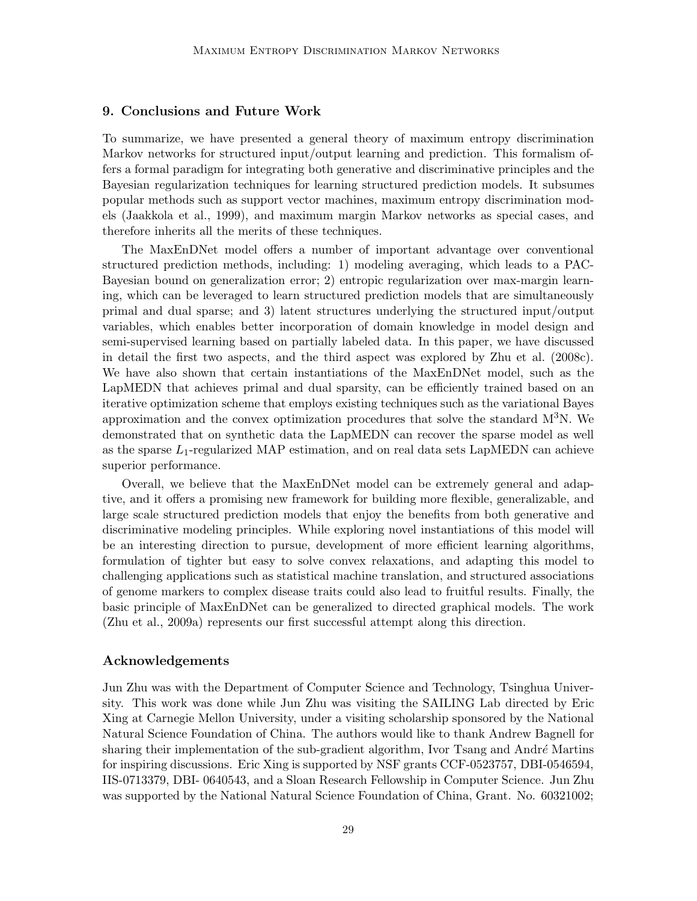## 9. Conclusions and Future Work

To summarize, we have presented a general theory of maximum entropy discrimination Markov networks for structured input/output learning and prediction. This formalism offers a formal paradigm for integrating both generative and discriminative principles and the Bayesian regularization techniques for learning structured prediction models. It subsumes popular methods such as support vector machines, maximum entropy discrimination models (Jaakkola et al., 1999), and maximum margin Markov networks as special cases, and therefore inherits all the merits of these techniques.

The MaxEnDNet model offers a number of important advantage over conventional structured prediction methods, including: 1) modeling averaging, which leads to a PAC-Bayesian bound on generalization error; 2) entropic regularization over max-margin learning, which can be leveraged to learn structured prediction models that are simultaneously primal and dual sparse; and 3) latent structures underlying the structured input/output variables, which enables better incorporation of domain knowledge in model design and semi-supervised learning based on partially labeled data. In this paper, we have discussed in detail the first two aspects, and the third aspect was explored by Zhu et al. (2008c). We have also shown that certain instantiations of the MaxEnDNet model, such as the LapMEDN that achieves primal and dual sparsity, can be efficiently trained based on an iterative optimization scheme that employs existing techniques such as the variational Bayes approximation and the convex optimization procedures that solve the standard  $M^{3}N$ . We demonstrated that on synthetic data the LapMEDN can recover the sparse model as well as the sparse  $L_1$ -regularized MAP estimation, and on real data sets LapMEDN can achieve superior performance.

Overall, we believe that the MaxEnDNet model can be extremely general and adaptive, and it offers a promising new framework for building more flexible, generalizable, and large scale structured prediction models that enjoy the benefits from both generative and discriminative modeling principles. While exploring novel instantiations of this model will be an interesting direction to pursue, development of more efficient learning algorithms, formulation of tighter but easy to solve convex relaxations, and adapting this model to challenging applications such as statistical machine translation, and structured associations of genome markers to complex disease traits could also lead to fruitful results. Finally, the basic principle of MaxEnDNet can be generalized to directed graphical models. The work (Zhu et al., 2009a) represents our first successful attempt along this direction.

#### Acknowledgements

Jun Zhu was with the Department of Computer Science and Technology, Tsinghua University. This work was done while Jun Zhu was visiting the SAILING Lab directed by Eric Xing at Carnegie Mellon University, under a visiting scholarship sponsored by the National Natural Science Foundation of China. The authors would like to thank Andrew Bagnell for sharing their implementation of the sub-gradient algorithm, Ivor Tsang and André Martins for inspiring discussions. Eric Xing is supported by NSF grants CCF-0523757, DBI-0546594, IIS-0713379, DBI- 0640543, and a Sloan Research Fellowship in Computer Science. Jun Zhu was supported by the National Natural Science Foundation of China, Grant. No. 60321002;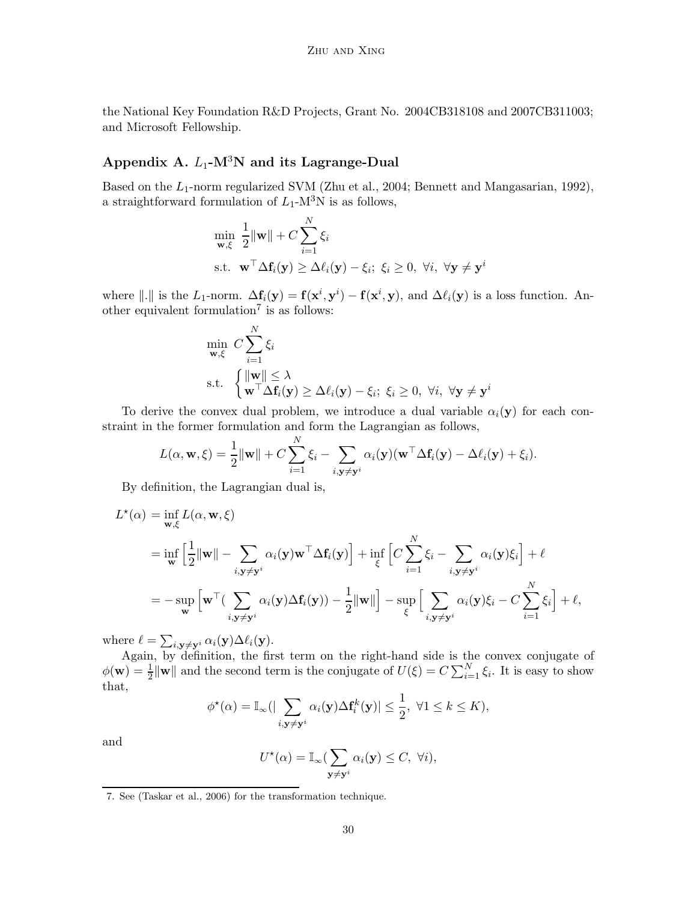the National Key Foundation R&D Projects, Grant No. 2004CB318108 and 2007CB311003; and Microsoft Fellowship.

# Appendix A.  $L_1$ -M<sup>3</sup>N and its Lagrange-Dual

Based on the  $L_1$ -norm regularized SVM (Zhu et al., 2004; Bennett and Mangasarian, 1992), a straightforward formulation of  $L_1$ -M<sup>3</sup>N is as follows,

$$
\min_{\mathbf{w}, \xi} \frac{1}{2} \|\mathbf{w}\| + C \sum_{i=1}^{N} \xi_i
$$
  
s.t.  $\mathbf{w}^\top \Delta \mathbf{f}_i(\mathbf{y}) \ge \Delta \ell_i(\mathbf{y}) - \xi_i; \ \xi_i \ge 0, \ \forall i, \ \forall \mathbf{y} \neq \mathbf{y}^i$ 

where  $\|.\|$  is the L<sub>1</sub>-norm.  $\Delta \mathbf{f}_i(\mathbf{y}) = \mathbf{f}(\mathbf{x}^i, \mathbf{y}^i) - \mathbf{f}(\mathbf{x}^i, \mathbf{y}),$  and  $\Delta \ell_i(\mathbf{y})$  is a loss function. Another equivalent formulation<sup>7</sup> is as follows:

$$
\min_{\mathbf{w}, \xi} C \sum_{i=1}^{N} \xi_i
$$
\n
$$
\text{s.t. } \begin{cases} \|\mathbf{w}\| \leq \lambda \\ \mathbf{w}^\top \Delta \mathbf{f}_i(\mathbf{y}) \geq \Delta \ell_i(\mathbf{y}) - \xi_i; \ \xi_i \geq 0, \ \forall i, \ \forall \mathbf{y} \neq \mathbf{y}^i \end{cases}
$$

To derive the convex dual problem, we introduce a dual variable  $\alpha_i(\mathbf{y})$  for each constraint in the former formulation and form the Lagrangian as follows,

$$
L(\alpha, \mathbf{w}, \xi) = \frac{1}{2} ||\mathbf{w}|| + C \sum_{i=1}^{N} \xi_i - \sum_{i, \mathbf{y} \neq \mathbf{y}^i} \alpha_i(\mathbf{y}) (\mathbf{w}^\top \Delta \mathbf{f}_i(\mathbf{y}) - \Delta \ell_i(\mathbf{y}) + \xi_i).
$$

By definition, the Lagrangian dual is,

$$
L^*(\alpha) = \inf_{\mathbf{w}, \xi} L(\alpha, \mathbf{w}, \xi)
$$
  
= 
$$
\inf_{\mathbf{w}} \left[ \frac{1}{2} ||\mathbf{w}|| - \sum_{i, \mathbf{y} \neq \mathbf{y}^i} \alpha_i(\mathbf{y}) \mathbf{w}^\top \Delta \mathbf{f}_i(\mathbf{y}) \right] + \inf_{\xi} \left[ C \sum_{i=1}^N \xi_i - \sum_{i, \mathbf{y} \neq \mathbf{y}^i} \alpha_i(\mathbf{y}) \xi_i \right] + \ell
$$
  
= 
$$
- \sup_{\mathbf{w}} \left[ \mathbf{w}^\top \left( \sum_{i, \mathbf{y} \neq \mathbf{y}^i} \alpha_i(\mathbf{y}) \Delta \mathbf{f}_i(\mathbf{y}) \right) - \frac{1}{2} ||\mathbf{w}|| \right] - \sup_{\xi} \left[ \sum_{i, \mathbf{y} \neq \mathbf{y}^i} \alpha_i(\mathbf{y}) \xi_i - C \sum_{i=1}^N \xi_i \right] + \ell,
$$

where  $\ell = \sum_{i, \mathbf{y} \neq \mathbf{y}^i} \alpha_i(\mathbf{y}) \Delta \ell_i(\mathbf{y}).$ 

Again, by definition, the first term on the right-hand side is the convex conjugate of  $\phi(\mathbf{w}) = \frac{1}{2} \|\mathbf{w}\|$  and the second term is the conjugate of  $U(\xi) = C \sum_{i=1}^{N} \xi_i$ . It is easy to show that,

$$
\phi^{\star}(\alpha) = \mathbb{I}_{\infty}(|\sum_{i,\mathbf{y}\neq \mathbf{y}^i} \alpha_i(\mathbf{y}) \Delta \mathbf{f}_i^k(\mathbf{y})| \leq \frac{1}{2}, \ \forall 1 \leq k \leq K),
$$

and

$$
U^{\star}(\alpha) = \mathbb{I}_{\infty}(\sum_{\mathbf{y} \neq \mathbf{y}^i} \alpha_i(\mathbf{y}) \leq C, \ \forall i),
$$

<sup>7.</sup> See (Taskar et al., 2006) for the transformation technique.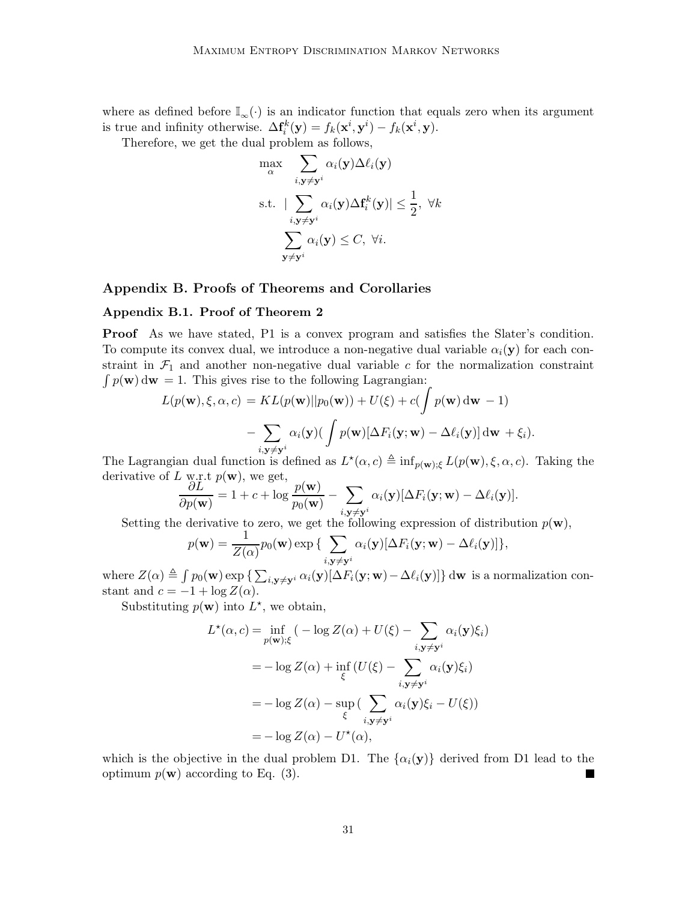where as defined before  $\mathbb{I}_{\infty}(\cdot)$  is an indicator function that equals zero when its argument is true and infinity otherwise.  $\Delta \mathbf{f}_i^k(\mathbf{y}) = f_k(\mathbf{x}^i, \mathbf{y}^i) - f_k(\mathbf{x}^i, \mathbf{y}).$ 

Therefore, we get the dual problem as follows,

$$
\max_{\alpha} \sum_{i,\mathbf{y} \neq \mathbf{y}^i} \alpha_i(\mathbf{y}) \Delta \ell_i(\mathbf{y})
$$
\ns.t. 
$$
|\sum_{i,\mathbf{y} \neq \mathbf{y}^i} \alpha_i(\mathbf{y}) \Delta \mathbf{f}_i^k(\mathbf{y})| \leq \frac{1}{2}, \ \forall k
$$
\n
$$
\sum_{\mathbf{y} \neq \mathbf{y}^i} \alpha_i(\mathbf{y}) \leq C, \ \forall i.
$$

## Appendix B. Proofs of Theorems and Corollaries

## Appendix B.1. Proof of Theorem 2

Proof As we have stated, P1 is a convex program and satisfies the Slater's condition. To compute its convex dual, we introduce a non-negative dual variable  $\alpha_i(\mathbf{y})$  for each constraint in  $\mathcal{F}_1$  and another non-negative dual variable c for the normalization constraint  $\int p(\mathbf{w}) d\mathbf{w} = 1$ . This gives rise to the following Lagrangian:

$$
L(p(\mathbf{w}), \xi, \alpha, c) = KL(p(\mathbf{w})||p_0(\mathbf{w})) + U(\xi) + c(\int p(\mathbf{w}) d\mathbf{w} - 1)
$$

$$
- \sum_{i, \mathbf{y} \neq \mathbf{y}^i} \alpha_i(\mathbf{y}) (\int p(\mathbf{w}) [\Delta F_i(\mathbf{y}; \mathbf{w}) - \Delta \ell_i(\mathbf{y})] d\mathbf{w} + \xi_i).
$$

The Lagrangian dual function is defined as  $L^*(\alpha, c) \triangleq \inf_{p(\mathbf{w}), \xi} L(p(\mathbf{w}), \xi, \alpha, c)$ . Taking the derivative of L w.r.t  $p(\mathbf{w})$ , we get,

$$
\frac{\partial L}{\partial p(\mathbf{w})} = 1 + c + \log \frac{p(\mathbf{w})}{p_0(\mathbf{w})} - \sum_{i, \mathbf{y} \neq \mathbf{y}^i} \alpha_i(\mathbf{y}) [\Delta F_i(\mathbf{y}; \mathbf{w}) - \Delta \ell_i(\mathbf{y})].
$$

Setting the derivative to zero, we get the following expression of distribution  $p(\mathbf{w})$ ,

$$
p(\mathbf{w}) = \frac{1}{Z(\alpha)} p_0(\mathbf{w}) \exp \big\{ \sum_{i, \mathbf{y} \neq \mathbf{y}^i} \alpha_i(\mathbf{y}) [\Delta F_i(\mathbf{y}; \mathbf{w}) - \Delta \ell_i(\mathbf{y})] \big\},
$$

where  $Z(\alpha) \triangleq \int p_0(\mathbf{w}) \exp \{ \sum_{i,\mathbf{y}\neq \mathbf{y}^i} \alpha_i(\mathbf{y}) [\Delta F_i(\mathbf{y}; \mathbf{w}) - \Delta \ell_i(\mathbf{y})] \} d\mathbf{w}$  is a normalization constant and  $c = -1 + \log Z(\alpha)$ .

Substituting  $p(\mathbf{w})$  into  $L^*$ , we obtain,

$$
L^{\star}(\alpha, c) = \inf_{p(\mathbf{w}); \xi} (-\log Z(\alpha) + U(\xi) - \sum_{i, \mathbf{y} \neq \mathbf{y}^i} \alpha_i(\mathbf{y})\xi_i)
$$
  
=  $-\log Z(\alpha) + \inf_{\xi} (U(\xi) - \sum_{i, \mathbf{y} \neq \mathbf{y}^i} \alpha_i(\mathbf{y})\xi_i)$   
=  $-\log Z(\alpha) - \sup_{\xi} (\sum_{i, \mathbf{y} \neq \mathbf{y}^i} \alpha_i(\mathbf{y})\xi_i - U(\xi))$   
=  $-\log Z(\alpha) - U^{\star}(\alpha),$ 

which is the objective in the dual problem D1. The  $\{\alpha_i(\mathbf{y})\}$  derived from D1 lead to the optimum  $p(\mathbf{w})$  according to Eq. (3).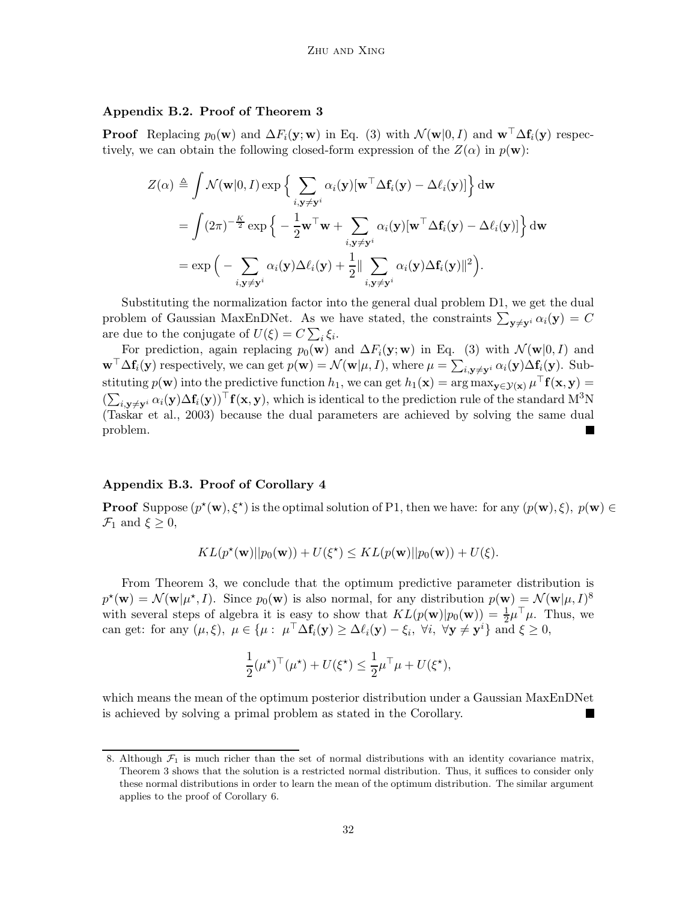## Appendix B.2. Proof of Theorem 3

**Proof** Replacing  $p_0(\mathbf{w})$  and  $\Delta F_i(\mathbf{y}; \mathbf{w})$  in Eq. (3) with  $\mathcal{N}(\mathbf{w}|0, I)$  and  $\mathbf{w}^\top \Delta \mathbf{f}_i(\mathbf{y})$  respectively, we can obtain the following closed-form expression of the  $Z(\alpha)$  in  $p(\mathbf{w})$ :

$$
Z(\alpha) \triangleq \int \mathcal{N}(\mathbf{w}|0, I) \exp \Big\{ \sum_{i, \mathbf{y} \neq \mathbf{y}^i} \alpha_i(\mathbf{y}) [\mathbf{w}^\top \Delta \mathbf{f}_i(\mathbf{y}) - \Delta \ell_i(\mathbf{y})] \Big\} d\mathbf{w}
$$
  
= 
$$
\int (2\pi)^{-\frac{K}{2}} \exp \Big\{ -\frac{1}{2} \mathbf{w}^\top \mathbf{w} + \sum_{i, \mathbf{y} \neq \mathbf{y}^i} \alpha_i(\mathbf{y}) [\mathbf{w}^\top \Delta \mathbf{f}_i(\mathbf{y}) - \Delta \ell_i(\mathbf{y})] \Big\} d\mathbf{w}
$$
  
= 
$$
\exp \Big( - \sum_{i, \mathbf{y} \neq \mathbf{y}^i} \alpha_i(\mathbf{y}) \Delta \ell_i(\mathbf{y}) + \frac{1}{2} || \sum_{i, \mathbf{y} \neq \mathbf{y}^i} \alpha_i(\mathbf{y}) \Delta \mathbf{f}_i(\mathbf{y}) ||^2 \Big).
$$

Substituting the normalization factor into the general dual problem D1, we get the dual problem of Gaussian MaxEnDNet. As we have stated, the constraints  $\sum_{\mathbf{y}\neq\mathbf{y}^i} \alpha_i(\mathbf{y}) = C$ are due to the conjugate of  $U(\xi) = C \sum_i \xi_i$ .

For prediction, again replacing  $p_0(\mathbf{w})$  and  $\Delta F_i(\mathbf{y}; \mathbf{w})$  in Eq. (3) with  $\mathcal{N}(\mathbf{w}|0, I)$  and  $\mathbf{w}^{\top} \Delta \mathbf{f}_i(\mathbf{y})$  respectively, we can get  $p(\mathbf{w}) = \mathcal{N}(\mathbf{w} | \mu, I)$ , where  $\mu = \sum_{i, \mathbf{y} \neq \mathbf{y}^i} \alpha_i(\mathbf{y}) \Delta \mathbf{f}_i(\mathbf{y})$ . Substituting  $p(\mathbf{w})$  into the predictive function  $h_1$ , we can get  $h_1(\mathbf{x}) = \arg \max_{\mathbf{y} \in \mathcal{Y}(\mathbf{x})} \mu^\top \mathbf{f}(\mathbf{x}, \mathbf{y}) =$  $(\sum_{i,\mathbf{y}\neq\mathbf{y}^i} \alpha_i(\mathbf{y}) \Delta \mathbf{f}_i(\mathbf{y}))^\top \mathbf{f}(\mathbf{x}, \mathbf{y}),$  which is identical to the prediction rule of the standard M<sup>3</sup>N (Taskar et al., 2003) because the dual parameters are achieved by solving the same dual problem. L.

#### Appendix B.3. Proof of Corollary 4

**Proof** Suppose  $(p^*(\mathbf{w}), \xi^*)$  is the optimal solution of P1, then we have: for any  $(p(\mathbf{w}), \xi)$ ,  $p(\mathbf{w}) \in$  $\mathcal{F}_1$  and  $\xi \geq 0$ ,

$$
KL(p^{\star}(\mathbf{w})||p_0(\mathbf{w})) + U(\xi^{\star}) \leq KL(p(\mathbf{w})||p_0(\mathbf{w})) + U(\xi).
$$

From Theorem 3, we conclude that the optimum predictive parameter distribution is  $p^{\star}(\mathbf{w}) = \mathcal{N}(\mathbf{w}|\mu^{\star}, I)$ . Since  $p_0(\mathbf{w})$  is also normal, for any distribution  $p(\mathbf{w}) = \mathcal{N}(\mathbf{w}|\mu, I)^8$ with several steps of algebra it is easy to show that  $KL(p(\mathbf{w})|p_0(\mathbf{w})) = \frac{1}{2}\mu^{\top}\mu$ . Thus, we can get: for any  $(\mu, \xi)$ ,  $\mu \in {\{\mu : \mu^{\top} \Delta f_i(\mathbf{y}) \ge \Delta \ell_i(\mathbf{y}) - \xi_i, \forall i, \forall \mathbf{y} \ne \mathbf{y}^i\}}$  and  $\xi \ge 0$ ,

$$
\frac{1}{2}(\mu^\star)^\top(\mu^\star) + U(\xi^\star) \le \frac{1}{2}\mu^\top\mu + U(\xi^\star),
$$

which means the mean of the optimum posterior distribution under a Gaussian MaxEnDNet is achieved by solving a primal problem as stated in the Corollary. L.

<sup>8.</sup> Although  $\mathcal{F}_1$  is much richer than the set of normal distributions with an identity covariance matrix, Theorem 3 shows that the solution is a restricted normal distribution. Thus, it suffices to consider only these normal distributions in order to learn the mean of the optimum distribution. The similar argument applies to the proof of Corollary 6.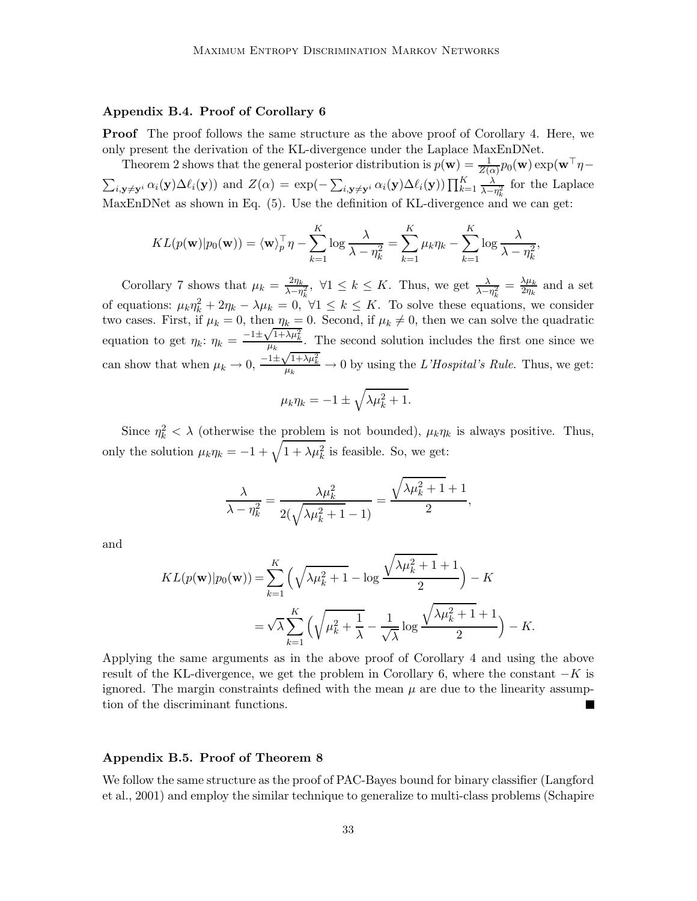#### Appendix B.4. Proof of Corollary 6

**Proof** The proof follows the same structure as the above proof of Corollary 4. Here, we only present the derivation of the KL-divergence under the Laplace MaxEnDNet.

Theorem 2 shows that the general posterior distribution is  $p(\mathbf{w}) = \frac{1}{Z(\alpha)} p_0(\mathbf{w}) \exp(\mathbf{w}^\top \eta \sum_{i,\mathbf{y}\neq\mathbf{y}^i} \alpha_i(\mathbf{y}) \Delta \ell_i(\mathbf{y})$  and  $Z(\alpha) = \exp(-\sum_{i,\mathbf{y}\neq\mathbf{y}^i} \alpha_i(\mathbf{y}) \Delta \ell_i(\mathbf{y})) \prod_{k=1}^K \frac{\lambda}{\lambda - \ell_k}$  $\frac{\lambda}{\lambda-\eta_k^2}$  for the Laplace MaxEnDNet as shown in Eq. (5). Use the definition of KL-divergence and we can get:

$$
KL(p(\mathbf{w})|p_0(\mathbf{w})) = \langle \mathbf{w} \rangle_p^{\top} \eta - \sum_{k=1}^K \log \frac{\lambda}{\lambda - \eta_k^2} = \sum_{k=1}^K \mu_k \eta_k - \sum_{k=1}^K \log \frac{\lambda}{\lambda - \eta_k^2},
$$

Corollary 7 shows that  $\mu_k = \frac{2\eta_k}{\lambda - n}$  $\frac{2\eta_k}{\lambda-\eta_k^2}$ ,  $\forall 1 \leq k \leq K$ . Thus, we get  $\frac{\lambda}{\lambda-\eta_k^2} = \frac{\lambda\mu_k}{2\eta_k}$  $\frac{\lambda\mu_k}{2\eta_k}$  and a set of equations:  $\mu_k \eta_k^2 + 2\eta_k - \lambda \mu_k = 0$ ,  $\forall 1 \leq k \leq K$ . To solve these equations, we consider two cases. First, if  $\mu_k = 0$ , then  $\eta_k = 0$ . Second, if  $\mu_k \neq 0$ , then we can solve the quadratic equation to get  $\eta_k$ :  $\eta_k = \frac{-1 \pm \sqrt{1 + \lambda \mu_k^2}}{\mu_k}$ . The second solution includes the first one since we can show that when  $\mu_k \to 0$ ,  $\frac{-1 \pm \sqrt{1 + \lambda \mu_k^2}}{\mu_k} \to 0$  by using the *L'Hospital's Rule*. Thus, we get:

$$
\mu_k \eta_k = -1 \pm \sqrt{\lambda \mu_k^2 + 1}.
$$

Since  $\eta_k^2 < \lambda$  (otherwise the problem is not bounded),  $\mu_k \eta_k$  is always positive. Thus, only the solution  $\mu_k \eta_k = -1 + \sqrt{1 + \lambda \mu_k^2}$  is feasible. So, we get:

$$
\frac{\lambda}{\lambda - \eta_k^2} = \frac{\lambda \mu_k^2}{2(\sqrt{\lambda \mu_k^2 + 1} - 1)} = \frac{\sqrt{\lambda \mu_k^2 + 1} + 1}{2},
$$

and

$$
KL(p(\mathbf{w})|p_0(\mathbf{w})) = \sum_{k=1}^K \left(\sqrt{\lambda \mu_k^2 + 1} - \log \frac{\sqrt{\lambda \mu_k^2 + 1} + 1}{2}\right) - K
$$
  
=  $\sqrt{\lambda} \sum_{k=1}^K \left(\sqrt{\mu_k^2 + \frac{1}{\lambda}} - \frac{1}{\sqrt{\lambda}} \log \frac{\sqrt{\lambda \mu_k^2 + 1} + 1}{2}\right) - K.$ 

Applying the same arguments as in the above proof of Corollary 4 and using the above result of the KL-divergence, we get the problem in Corollary 6, where the constant  $-K$  is ignored. The margin constraints defined with the mean  $\mu$  are due to the linearity assumption of the discriminant functions.

#### Appendix B.5. Proof of Theorem 8

We follow the same structure as the proof of PAC-Bayes bound for binary classifier (Langford et al., 2001) and employ the similar technique to generalize to multi-class problems (Schapire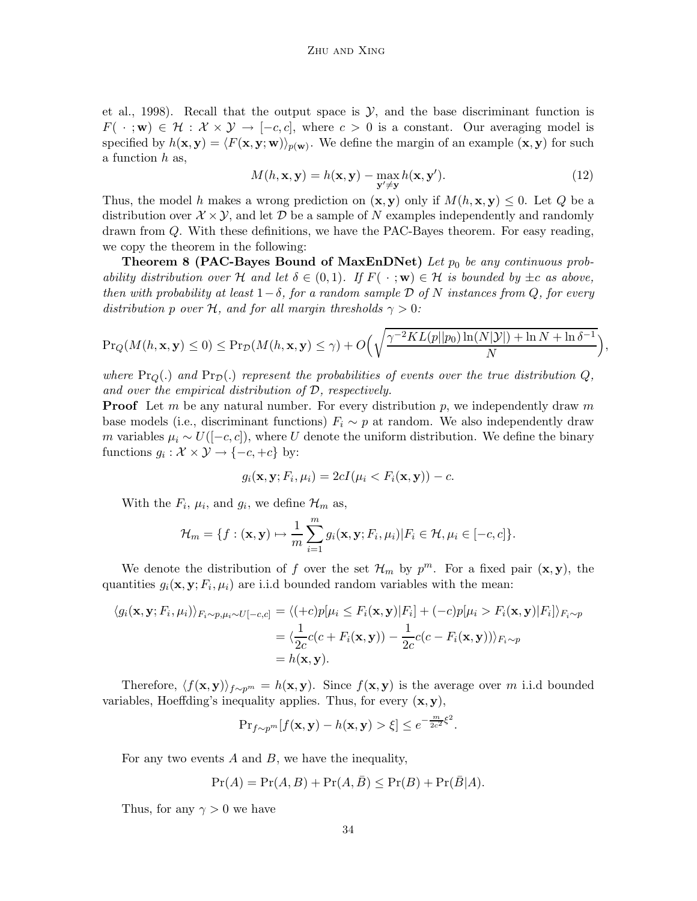et al., 1998). Recall that the output space is  $\mathcal{Y}$ , and the base discriminant function is  $F(\cdot; \mathbf{w}) \in \mathcal{H} : \mathcal{X} \times \mathcal{Y} \to [-c, c],$  where  $c > 0$  is a constant. Our averaging model is specified by  $h(\mathbf{x}, \mathbf{y}) = \langle F(\mathbf{x}, \mathbf{y}; \mathbf{w}) \rangle_{p(\mathbf{w})}$ . We define the margin of an example  $(\mathbf{x}, \mathbf{y})$  for such a function h as,

$$
M(h, \mathbf{x}, \mathbf{y}) = h(\mathbf{x}, \mathbf{y}) - \max_{\mathbf{y}' \neq \mathbf{y}} h(\mathbf{x}, \mathbf{y}').
$$
 (12)

,

Thus, the model h makes a wrong prediction on  $(\mathbf{x}, \mathbf{y})$  only if  $M(h, \mathbf{x}, \mathbf{y}) \leq 0$ . Let Q be a distribution over  $\mathcal{X} \times \mathcal{Y}$ , and let D be a sample of N examples independently and randomly drawn from Q. With these definitions, we have the PAC-Bayes theorem. For easy reading, we copy the theorem in the following:

Theorem 8 (PAC-Bayes Bound of MaxEnDNet) Let  $p_0$  be any continuous prob*ability distribution over* H *and let*  $\delta \in (0,1)$ *. If*  $F(\cdot;\mathbf{w}) \in \mathcal{H}$  *is bounded by*  $\pm c$  *as above, then with probability at least*  $1-\delta$ *, for a random sample*  $\mathcal D$  *of* N *instances from*  $Q$ *, for every distribution* p *over* H, and for all margin thresholds  $\gamma > 0$ :

$$
\Pr_Q(M(h, \mathbf{x}, \mathbf{y}) \le 0) \le \Pr_D(M(h, \mathbf{x}, \mathbf{y}) \le \gamma) + O\left(\sqrt{\frac{\gamma^{-2}KL(p||p_0)\ln(N|\mathcal{Y}|) + \ln N + \ln \delta^{-1}}{N}}\right)
$$

where  $\Pr_Q(.)$  and  $\Pr_D(.)$  represent the probabilities of events over the true distribution  $Q$ , *and over the empirical distribution of* D*, respectively.*

**Proof** Let m be any natural number. For every distribution p, we independently draw m base models (i.e., discriminant functions)  $F_i \sim p$  at random. We also independently draw m variables  $\mu_i \sim U([-c, c])$ , where U denote the uniform distribution. We define the binary functions  $g_i : \mathcal{X} \times \mathcal{Y} \to \{-c, +c\}$  by:

$$
g_i(\mathbf{x}, \mathbf{y}; F_i, \mu_i) = 2cI(\mu_i < F_i(\mathbf{x}, \mathbf{y})) - c.
$$

With the  $F_i$ ,  $\mu_i$ , and  $g_i$ , we define  $\mathcal{H}_m$  as,

$$
\mathcal{H}_m = \{f : (\mathbf{x}, \mathbf{y}) \mapsto \frac{1}{m} \sum_{i=1}^m g_i(\mathbf{x}, \mathbf{y}; F_i, \mu_i) | F_i \in \mathcal{H}, \mu_i \in [-c, c] \}.
$$

We denote the distribution of f over the set  $\mathcal{H}_m$  by  $p^m$ . For a fixed pair  $(\mathbf{x}, \mathbf{y})$ , the quantities  $g_i(\mathbf{x}, \mathbf{y}; F_i, \mu_i)$  are i.i.d bounded random variables with the mean:

$$
\langle g_i(\mathbf{x}, \mathbf{y}; F_i, \mu_i) \rangle_{F_i \sim p, \mu_i \sim U[-c, c]} = \langle (+c)p[\mu_i \le F_i(\mathbf{x}, \mathbf{y})|F_i] + (-c)p[\mu_i > F_i(\mathbf{x}, \mathbf{y})|F_i] \rangle_{F_i \sim p}
$$
  
= 
$$
\langle \frac{1}{2c}c(c + F_i(\mathbf{x}, \mathbf{y})) - \frac{1}{2c}c(c - F_i(\mathbf{x}, \mathbf{y})) \rangle_{F_i \sim p}
$$
  
=  $h(\mathbf{x}, \mathbf{y}).$ 

Therefore,  $\langle f(\mathbf{x}, \mathbf{y}) \rangle_{f \sim p^m} = h(\mathbf{x}, \mathbf{y})$ . Since  $f(\mathbf{x}, \mathbf{y})$  is the average over m i.i.d bounded variables, Hoeffding's inequality applies. Thus, for every  $(x, y)$ ,

$$
\Pr_{f \sim p^m} [f(\mathbf{x}, \mathbf{y}) - h(\mathbf{x}, \mathbf{y}) > \xi] \le e^{-\frac{m}{2c^2} \xi^2}.
$$

For any two events  $A$  and  $B$ , we have the inequality,

$$
Pr(A) = Pr(A, B) + Pr(A, \overline{B}) \le Pr(B) + Pr(\overline{B}|A).
$$

Thus, for any  $\gamma > 0$  we have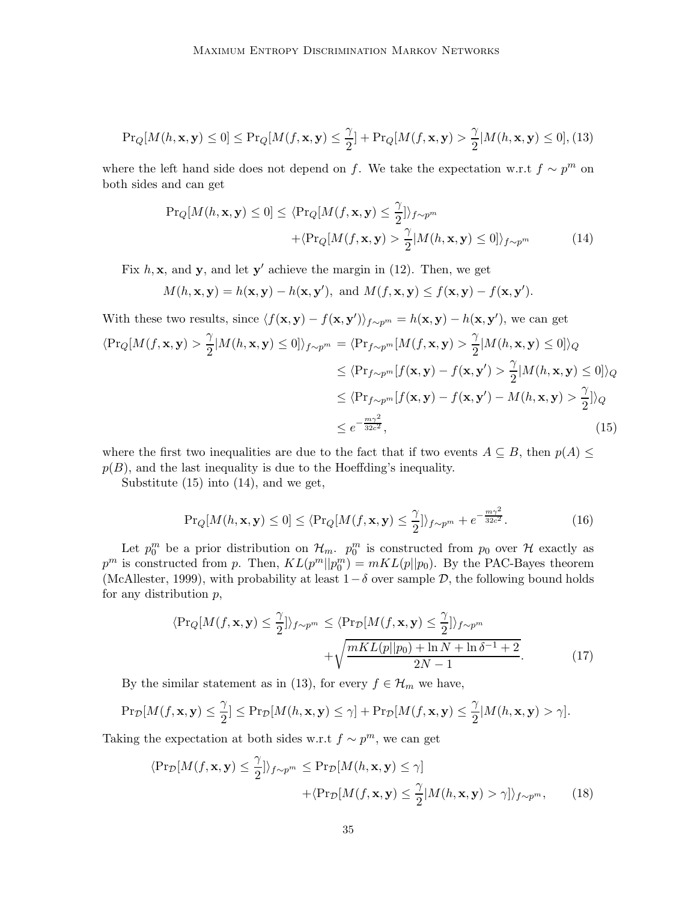$$
\Pr_{Q}[M(h, \mathbf{x}, \mathbf{y}) \le 0] \le \Pr_{Q}[M(f, \mathbf{x}, \mathbf{y}) \le \frac{\gamma}{2}] + \Pr_{Q}[M(f, \mathbf{x}, \mathbf{y}) > \frac{\gamma}{2}|M(h, \mathbf{x}, \mathbf{y}) \le 0], (13)
$$

where the left hand side does not depend on f. We take the expectation w.r.t  $f \sim p^m$  on both sides and can get

$$
\Pr_{Q}[M(h, \mathbf{x}, \mathbf{y}) \le 0] \le \langle \Pr_{Q}[M(f, \mathbf{x}, \mathbf{y}) \le \frac{\gamma}{2}] \rangle_{f \sim p^{m}} + \langle \Pr_{Q}[M(f, \mathbf{x}, \mathbf{y}) > \frac{\gamma}{2}|M(h, \mathbf{x}, \mathbf{y}) \le 0] \rangle_{f \sim p^{m}}
$$
(14)

Fix  $h, \mathbf{x}$ , and  $\mathbf{y}$ , and let  $\mathbf{y}'$  achieve the margin in (12). Then, we get

$$
M(h, \mathbf{x}, \mathbf{y}) = h(\mathbf{x}, \mathbf{y}) - h(\mathbf{x}, \mathbf{y}'), \text{ and } M(f, \mathbf{x}, \mathbf{y}) \le f(\mathbf{x}, \mathbf{y}) - f(\mathbf{x}, \mathbf{y}').
$$

With these two results, since 
$$
\langle f(\mathbf{x}, \mathbf{y}) - f(\mathbf{x}, \mathbf{y}') \rangle_{f \sim p^m} = h(\mathbf{x}, \mathbf{y}) - h(\mathbf{x}, \mathbf{y}')
$$
, we can get  
\n $\langle \Pr_Q[M(f, \mathbf{x}, \mathbf{y}) > \frac{\gamma}{2} | M(h, \mathbf{x}, \mathbf{y}) \le 0] \rangle_{f \sim p^m} = \langle \Pr_{f \sim p^m}[M(f, \mathbf{x}, \mathbf{y}) > \frac{\gamma}{2} | M(h, \mathbf{x}, \mathbf{y}) \le 0] \rangle_Q$   
\n $\le \langle \Pr_{f \sim p^m}[f(\mathbf{x}, \mathbf{y}) - f(\mathbf{x}, \mathbf{y}') > \frac{\gamma}{2} | M(h, \mathbf{x}, \mathbf{y}) \le 0] \rangle_Q$   
\n $\le \langle \Pr_{f \sim p^m}[f(\mathbf{x}, \mathbf{y}) - f(\mathbf{x}, \mathbf{y}') - M(h, \mathbf{x}, \mathbf{y}) > \frac{\gamma}{2}] \rangle_Q$   
\n $\le e^{-\frac{m\gamma^2}{32c^2}},$  (15)

where the first two inequalities are due to the fact that if two events  $A \subseteq B$ , then  $p(A) \leq$  $p(B)$ , and the last inequality is due to the Hoeffding's inequality.

Substitute (15) into (14), and we get,

$$
\Pr_{Q}[M(h, \mathbf{x}, \mathbf{y}) \le 0] \le \langle \Pr_{Q}[M(f, \mathbf{x}, \mathbf{y}) \le \frac{\gamma}{2}] \rangle_{f \sim p^m} + e^{-\frac{m\gamma^2}{32c^2}}.
$$
 (16)

Let  $p_0^m$  be a prior distribution on  $\mathcal{H}_m$ .  $p_0^m$  is constructed from  $p_0$  over  $\mathcal{H}$  exactly as  $p^m$  is constructed from p. Then,  $KL(p^m||p_0^m) = mKL(p||p_0)$ . By the PAC-Bayes theorem (McAllester, 1999), with probability at least  $1-\delta$  over sample  $\mathcal{D}$ , the following bound holds for any distribution  $p$ ,

$$
\langle \Pr_{Q}[M(f, \mathbf{x}, \mathbf{y}) \leq \frac{\gamma}{2}] \rangle_{f \sim p^{m}} \leq \langle \Pr_{\mathcal{D}}[M(f, \mathbf{x}, \mathbf{y}) \leq \frac{\gamma}{2}] \rangle_{f \sim p^{m}} + \sqrt{\frac{mKL(p||p_0) + \ln N + \ln \delta^{-1} + 2}{2N - 1}}.
$$
(17)

By the similar statement as in (13), for every  $f \in \mathcal{H}_m$  we have,

$$
\Pr_{\mathcal{D}}[M(f, \mathbf{x}, \mathbf{y}) \leq \frac{\gamma}{2}] \leq \Pr_{\mathcal{D}}[M(h, \mathbf{x}, \mathbf{y}) \leq \gamma] + \Pr_{\mathcal{D}}[M(f, \mathbf{x}, \mathbf{y}) \leq \frac{\gamma}{2}|M(h, \mathbf{x}, \mathbf{y}) > \gamma].
$$

Taking the expectation at both sides w.r.t  $f \sim p^m$ , we can get

$$
\langle \Pr_{\mathcal{D}}[M(f, \mathbf{x}, \mathbf{y}) \leq \frac{\gamma}{2}] \rangle_{f \sim p^m} \leq \Pr_{\mathcal{D}}[M(h, \mathbf{x}, \mathbf{y}) \leq \gamma] + \langle \Pr_{\mathcal{D}}[M(f, \mathbf{x}, \mathbf{y}) \leq \frac{\gamma}{2} |M(h, \mathbf{x}, \mathbf{y}) > \gamma] \rangle_{f \sim p^m}, \quad (18)
$$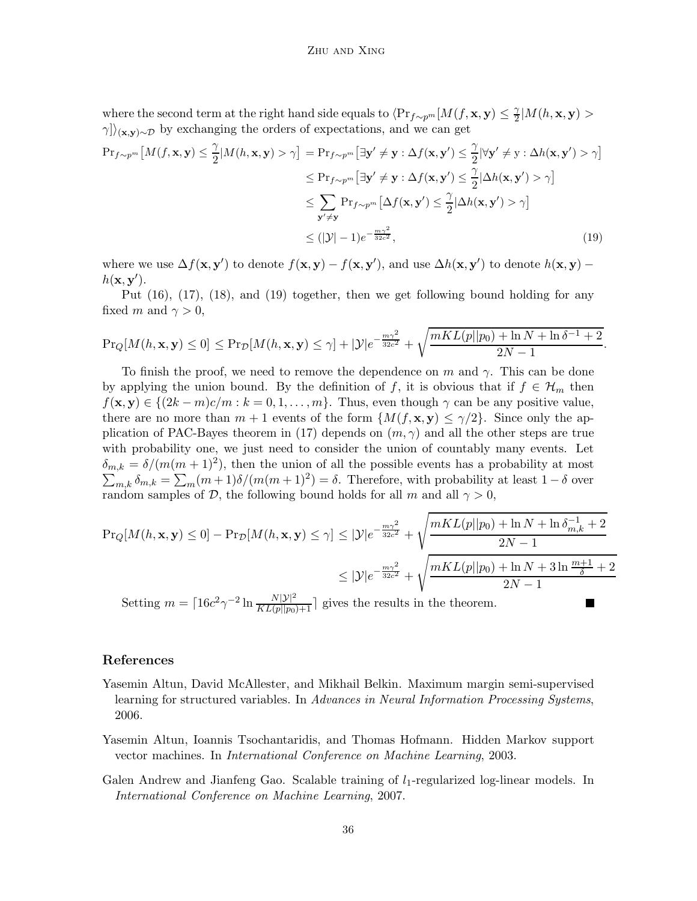where the second term at the right hand side equals to  $\langle \Pr_{f \sim p^m}[M(f, \mathbf{x}, \mathbf{y})] \leq \frac{\gamma}{2}$  $\frac{\gamma}{2}|M(h,\mathbf{x},\mathbf{y})>$  $\langle \gamma \rangle_{(\mathbf{x},\mathbf{y})\sim\mathcal{D}}$  by exchanging the orders of expectations, and we can get

$$
\Pr_{f \sim p^m} \left[ M(f, \mathbf{x}, \mathbf{y}) \leq \frac{\gamma}{2} | M(h, \mathbf{x}, \mathbf{y}) > \gamma \right] = \Pr_{f \sim p^m} \left[ \exists \mathbf{y}' \neq \mathbf{y} : \Delta f(\mathbf{x}, \mathbf{y}') \leq \frac{\gamma}{2} | \forall \mathbf{y}' \neq \mathbf{y} : \Delta h(\mathbf{x}, \mathbf{y}') > \gamma \right]
$$
  
\n
$$
\leq \Pr_{f \sim p^m} \left[ \exists \mathbf{y}' \neq \mathbf{y} : \Delta f(\mathbf{x}, \mathbf{y}') \leq \frac{\gamma}{2} | \Delta h(\mathbf{x}, \mathbf{y}') > \gamma \right]
$$
  
\n
$$
\leq \sum_{\mathbf{y}' \neq \mathbf{y}} \Pr_{f \sim p^m} \left[ \Delta f(\mathbf{x}, \mathbf{y}') \leq \frac{\gamma}{2} | \Delta h(\mathbf{x}, \mathbf{y}') > \gamma \right]
$$
  
\n
$$
\leq (|\mathcal{Y}| - 1) e^{-\frac{m\gamma^2}{32c^2}}, \tag{19}
$$

where we use  $\Delta f(\mathbf{x}, \mathbf{y}')$  to denote  $f(\mathbf{x}, \mathbf{y}) - f(\mathbf{x}, \mathbf{y}')$ , and use  $\Delta h(\mathbf{x}, \mathbf{y}')$  to denote  $h(\mathbf{x}, \mathbf{y}) - f(\mathbf{x}, \mathbf{y}')$  $h(\mathbf{x}, \mathbf{y}')$ .

Put (16), (17), (18), and (19) together, then we get following bound holding for any fixed m and  $\gamma > 0$ ,

$$
\Pr_Q[M(h, \mathbf{x}, \mathbf{y}) \leq 0] \leq \Pr_D[M(h, \mathbf{x}, \mathbf{y}) \leq \gamma] + |\mathcal{Y}|e^{-\frac{m\gamma^2}{32c^2}} + \sqrt{\frac{mKL(p||p_0) + \ln N + \ln \delta^{-1} + 2}{2N - 1}}.
$$

To finish the proof, we need to remove the dependence on m and  $\gamma$ . This can be done by applying the union bound. By the definition of f, it is obvious that if  $f \in \mathcal{H}_m$  then  $f(\mathbf{x}, \mathbf{y}) \in \{(2k-m)c/m : k = 0, 1, \ldots, m\}$ . Thus, even though  $\gamma$  can be any positive value, there are no more than  $m + 1$  events of the form  $\{M(f, \mathbf{x}, \mathbf{y}) \leq \gamma/2\}$ . Since only the application of PAC-Bayes theorem in (17) depends on  $(m, \gamma)$  and all the other steps are true with probability one, we just need to consider the union of countably many events. Let  $\delta_{m,k} = \delta/(m(m+1)^2)$ , then the union of all the possible events has a probability at most  $\sum_{m,k} \delta_{m,k} = \sum_m (m+1)\delta/(m(m+1)^2) = \delta$ . Therefore, with probability at least  $1-\delta$  over random samples of D, the following bound holds for all m and all  $\gamma > 0$ ,

$$
\Pr_{Q}[M(h, \mathbf{x}, \mathbf{y}) \le 0] - \Pr_{\mathcal{D}}[M(h, \mathbf{x}, \mathbf{y}) \le \gamma] \le |\mathcal{Y}|e^{-\frac{m\gamma^2}{32c^2}} + \sqrt{\frac{mKL(p||p_0) + \ln N + \ln \delta_{m,k}^{-1} + 2}{2N - 1}}
$$
  

$$
\le |\mathcal{Y}|e^{-\frac{m\gamma^2}{32c^2}} + \sqrt{\frac{mKL(p||p_0) + \ln N + 3\ln \frac{m+1}{\delta} + 2}{2N - 1}}
$$

Setting  $m = \lceil 16c^2 \gamma^{-2} \ln \frac{N|\mathcal{Y}|^2}{KL(p||p_0)+1} \rceil$  gives the results in the theorem.

## References

- Yasemin Altun, David McAllester, and Mikhail Belkin. Maximum margin semi-supervised learning for structured variables. In *Advances in Neural Information Processing Systems*, 2006.
- Yasemin Altun, Ioannis Tsochantaridis, and Thomas Hofmann. Hidden Markov support vector machines. In *International Conference on Machine Learning*, 2003.
- Galen Andrew and Jianfeng Gao. Scalable training of  $l_1$ -regularized log-linear models. In *International Conference on Machine Learning*, 2007.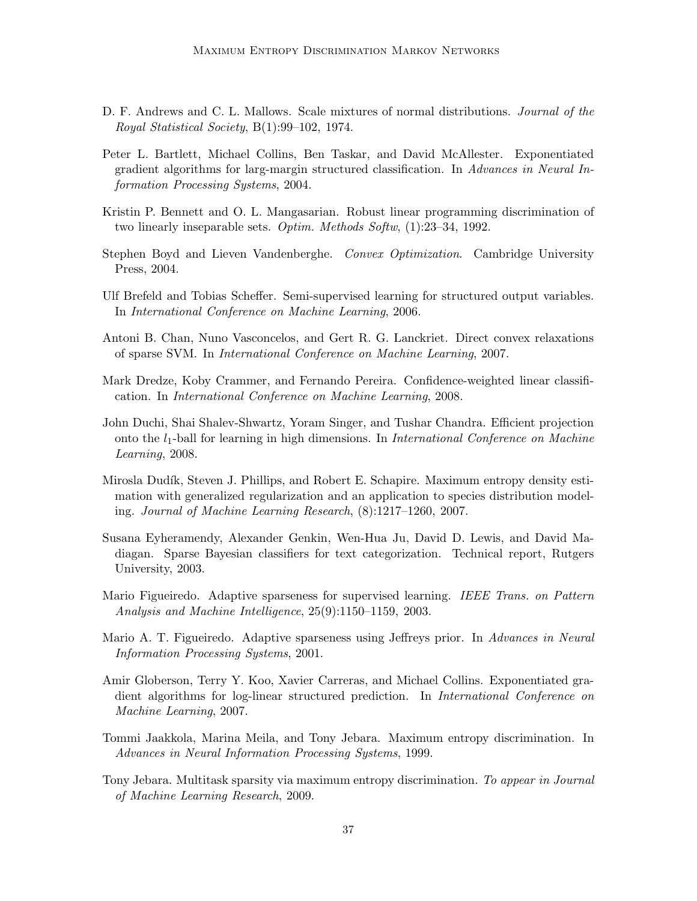- D. F. Andrews and C. L. Mallows. Scale mixtures of normal distributions. *Journal of the Royal Statistical Society*, B(1):99–102, 1974.
- Peter L. Bartlett, Michael Collins, Ben Taskar, and David McAllester. Exponentiated gradient algorithms for larg-margin structured classification. In *Advances in Neural Information Processing Systems*, 2004.
- Kristin P. Bennett and O. L. Mangasarian. Robust linear programming discrimination of two linearly inseparable sets. *Optim. Methods Softw*, (1):23–34, 1992.
- Stephen Boyd and Lieven Vandenberghe. *Convex Optimization*. Cambridge University Press, 2004.
- Ulf Brefeld and Tobias Scheffer. Semi-supervised learning for structured output variables. In *International Conference on Machine Learning*, 2006.
- Antoni B. Chan, Nuno Vasconcelos, and Gert R. G. Lanckriet. Direct convex relaxations of sparse SVM. In *International Conference on Machine Learning*, 2007.
- Mark Dredze, Koby Crammer, and Fernando Pereira. Confidence-weighted linear classification. In *International Conference on Machine Learning*, 2008.
- John Duchi, Shai Shalev-Shwartz, Yoram Singer, and Tushar Chandra. Efficient projection onto the l1-ball for learning in high dimensions. In *International Conference on Machine Learning*, 2008.
- Mirosla Dudík, Steven J. Phillips, and Robert E. Schapire. Maximum entropy density estimation with generalized regularization and an application to species distribution modeling. *Journal of Machine Learning Research*, (8):1217–1260, 2007.
- Susana Eyheramendy, Alexander Genkin, Wen-Hua Ju, David D. Lewis, and David Madiagan. Sparse Bayesian classifiers for text categorization. Technical report, Rutgers University, 2003.
- Mario Figueiredo. Adaptive sparseness for supervised learning. *IEEE Trans. on Pattern Analysis and Machine Intelligence*, 25(9):1150–1159, 2003.
- Mario A. T. Figueiredo. Adaptive sparseness using Jeffreys prior. In *Advances in Neural Information Processing Systems*, 2001.
- Amir Globerson, Terry Y. Koo, Xavier Carreras, and Michael Collins. Exponentiated gradient algorithms for log-linear structured prediction. In *International Conference on Machine Learning*, 2007.
- Tommi Jaakkola, Marina Meila, and Tony Jebara. Maximum entropy discrimination. In *Advances in Neural Information Processing Systems*, 1999.
- Tony Jebara. Multitask sparsity via maximum entropy discrimination. *To appear in Journal of Machine Learning Research*, 2009.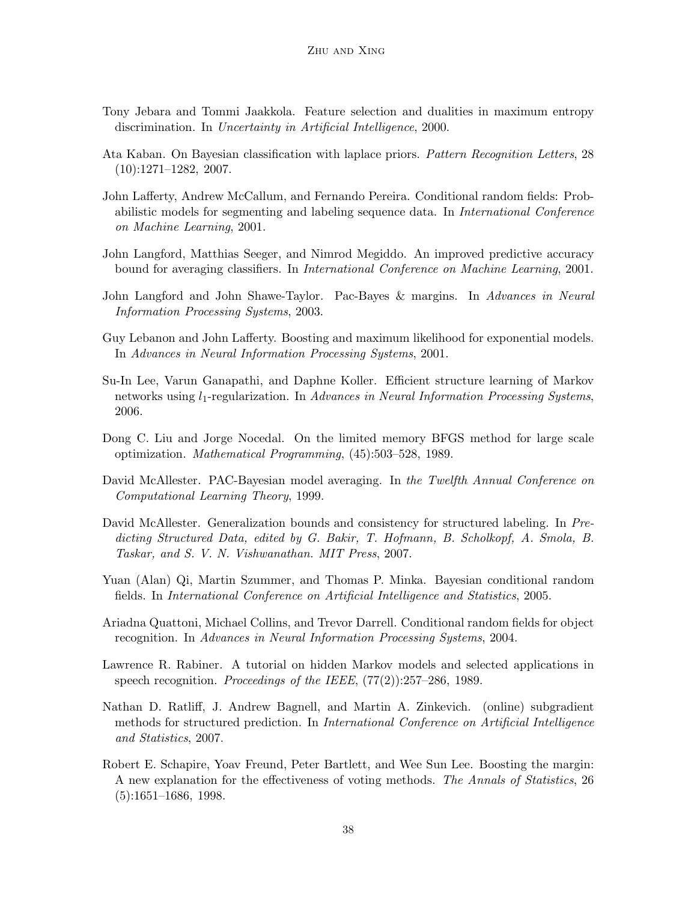- Tony Jebara and Tommi Jaakkola. Feature selection and dualities in maximum entropy discrimination. In *Uncertainty in Artificial Intelligence*, 2000.
- Ata Kaban. On Bayesian classification with laplace priors. *Pattern Recognition Letters*, 28 (10):1271–1282, 2007.
- John Lafferty, Andrew McCallum, and Fernando Pereira. Conditional random fields: Probabilistic models for segmenting and labeling sequence data. In *International Conference on Machine Learning*, 2001.
- John Langford, Matthias Seeger, and Nimrod Megiddo. An improved predictive accuracy bound for averaging classifiers. In *International Conference on Machine Learning*, 2001.
- John Langford and John Shawe-Taylor. Pac-Bayes & margins. In *Advances in Neural Information Processing Systems*, 2003.
- Guy Lebanon and John Lafferty. Boosting and maximum likelihood for exponential models. In *Advances in Neural Information Processing Systems*, 2001.
- Su-In Lee, Varun Ganapathi, and Daphne Koller. Efficient structure learning of Markov networks using l1-regularization. In *Advances in Neural Information Processing Systems*, 2006.
- Dong C. Liu and Jorge Nocedal. On the limited memory BFGS method for large scale optimization. *Mathematical Programming*, (45):503–528, 1989.
- David McAllester. PAC-Bayesian model averaging. In *the Twelfth Annual Conference on Computational Learning Theory*, 1999.
- David McAllester. Generalization bounds and consistency for structured labeling. In *Predicting Structured Data, edited by G. Bakir, T. Hofmann, B. Scholkopf, A. Smola, B. Taskar, and S. V. N. Vishwanathan. MIT Press*, 2007.
- Yuan (Alan) Qi, Martin Szummer, and Thomas P. Minka. Bayesian conditional random fields. In *International Conference on Artificial Intelligence and Statistics*, 2005.
- Ariadna Quattoni, Michael Collins, and Trevor Darrell. Conditional random fields for object recognition. In *Advances in Neural Information Processing Systems*, 2004.
- Lawrence R. Rabiner. A tutorial on hidden Markov models and selected applications in speech recognition. *Proceedings of the IEEE*, (77(2)):257–286, 1989.
- Nathan D. Ratliff, J. Andrew Bagnell, and Martin A. Zinkevich. (online) subgradient methods for structured prediction. In *International Conference on Artificial Intelligence and Statistics*, 2007.
- Robert E. Schapire, Yoav Freund, Peter Bartlett, and Wee Sun Lee. Boosting the margin: A new explanation for the effectiveness of voting methods. *The Annals of Statistics*, 26 (5):1651–1686, 1998.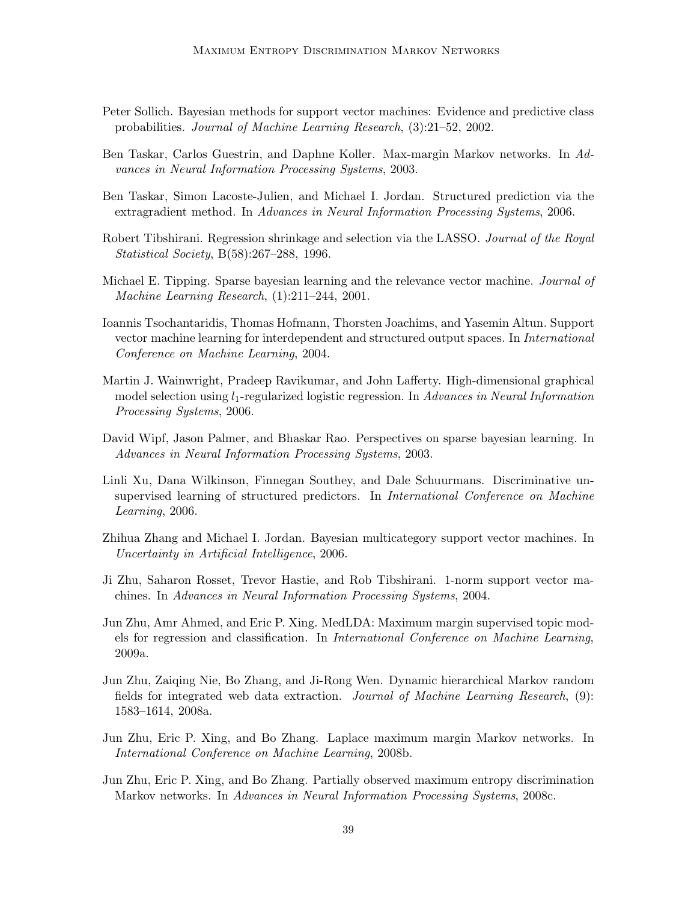- Peter Sollich. Bayesian methods for support vector machines: Evidence and predictive class probabilities. *Journal of Machine Learning Research*, (3):21–52, 2002.
- Ben Taskar, Carlos Guestrin, and Daphne Koller. Max-margin Markov networks. In *Advances in Neural Information Processing Systems*, 2003.
- Ben Taskar, Simon Lacoste-Julien, and Michael I. Jordan. Structured prediction via the extragradient method. In *Advances in Neural Information Processing Systems*, 2006.
- Robert Tibshirani. Regression shrinkage and selection via the LASSO. *Journal of the Royal Statistical Society*, B(58):267–288, 1996.
- Michael E. Tipping. Sparse bayesian learning and the relevance vector machine. *Journal of Machine Learning Research*, (1):211–244, 2001.
- Ioannis Tsochantaridis, Thomas Hofmann, Thorsten Joachims, and Yasemin Altun. Support vector machine learning for interdependent and structured output spaces. In *International Conference on Machine Learning*, 2004.
- Martin J. Wainwright, Pradeep Ravikumar, and John Lafferty. High-dimensional graphical model selection using l1-regularized logistic regression. In *Advances in Neural Information Processing Systems*, 2006.
- David Wipf, Jason Palmer, and Bhaskar Rao. Perspectives on sparse bayesian learning. In *Advances in Neural Information Processing Systems*, 2003.
- Linli Xu, Dana Wilkinson, Finnegan Southey, and Dale Schuurmans. Discriminative unsupervised learning of structured predictors. In *International Conference on Machine Learning*, 2006.
- Zhihua Zhang and Michael I. Jordan. Bayesian multicategory support vector machines. In *Uncertainty in Artificial Intelligence*, 2006.
- Ji Zhu, Saharon Rosset, Trevor Hastie, and Rob Tibshirani. 1-norm support vector machines. In *Advances in Neural Information Processing Systems*, 2004.
- Jun Zhu, Amr Ahmed, and Eric P. Xing. MedLDA: Maximum margin supervised topic models for regression and classification. In *International Conference on Machine Learning*, 2009a.
- Jun Zhu, Zaiqing Nie, Bo Zhang, and Ji-Rong Wen. Dynamic hierarchical Markov random fields for integrated web data extraction. *Journal of Machine Learning Research*, (9): 1583–1614, 2008a.
- Jun Zhu, Eric P. Xing, and Bo Zhang. Laplace maximum margin Markov networks. In *International Conference on Machine Learning*, 2008b.
- Jun Zhu, Eric P. Xing, and Bo Zhang. Partially observed maximum entropy discrimination Markov networks. In *Advances in Neural Information Processing Systems*, 2008c.